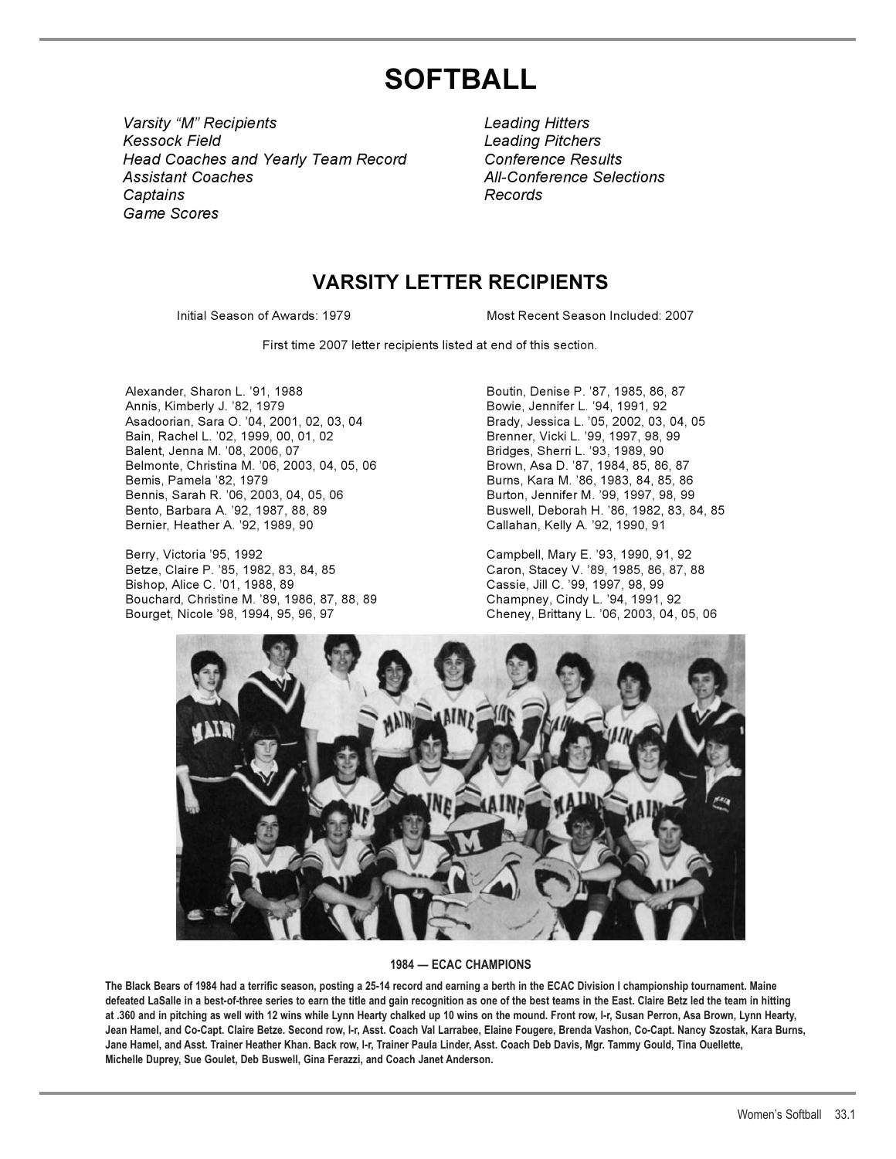# **SOFTBALL**

*Varsity "M" Recipients Leading Hitters Varsity "M" Recipients Leading Hitters Kessock Field Leading Pitchers Kessock Field Leading Pitchers Head Coaches and Yearly Team Record Conference Results Head Coaches and Yearly Team Record Conference Results* Assistant Coaches **All-Conference Selections**  *Game Scores Game ScoresCaptains Records*

*Captains Records*

# **VARSITY LETTER RECIPIENTS**

Initial Season of Awards: 1979 Most Recent Season Included: 2007

First time 2007 letter recipients listed at end of this section.

Alexander, Sharon L. '91, 1988 **Boutin, Denise P. '87, 1985, 86, 87** Annis, Kimberly J. '82, 1979 Bowie, Jennifer L. '94, 1991, 92 Asadoorian, Sara O. '04, 2001, 02, 03, 04 Brady, Jessica L. '05, 2002, 03, 04, 05 Bain, Rachel L. '02, 1999, 00, 01, 02 Brenner, Vicki L. '99, 1997, 98, 99 Balent, Jenna M. '08, 2006, 07<br>Belmonte, Christina M. '06, 2003, 04, 05, 06 Brown, Asa D. '87, 1984, 85, 86, 87 Belmonte, Christina M. '06, 2003, 04, 05, 06<br>Bemis, Pamela '82, 1979 Bemis, Pamela '82, 1979<br>Burns, Sarah R. '06, 2003, 04, 05, 06 Burns, Burton, Jennifer M. '99, 1997, 98, 99 Bento, Barbara A. '92, 1987, 88, 89 Buswell, Deborah H. '86, 1982, 83, 84, 85 Bernier, Heather A. '92, 1989, 90 Callahan, Kelly A. '92, 1990, 91

Berry, Victoria '95, 1992<br>Betze, Claire P. '85, 1982, 83, 84, 85 Caron, Stacey V. '89, 1985, 86, 87, 8 Bishop, Alice C. '01, 1988, 89 Cassie, Jill C. '99, 1997, 98, 99 Bouchard, Christine M. '89, 1986, 87, 88, 89 Champney, Cindy L. '94, 1991, 92 Bourget, Nicole '98, 1994, 95, 96, 97 Cheney, Brittany L. '06, 2003, 04, 05, 06

Burton, Jennifer M. '99, 1997, 98, 99

Caron, Stacey V. '89, 1985, 86, 87, 88



# **1984 — ECAC CHAMPIONS**

**The Black Bears of 1984 had a terrific season, posting a 25-14 record and earning a berth in the ECAC Division I championship tournament. Maine defeated LaSalle in a best-of-three series to earn the title and gain recognition as one of the best teams in the East. Claire Betz led the team in hitting at .360 and in pitching as well with 12 wins while Lynn Hearty chalked up 10 wins on the mound. Front row, l-r, Susan Perron, Asa Brown, Lynn Hearty, Jean Hamel, and Co-Capt. Claire Betze. Second row, l-r, Asst. Coach Val Larrabee, Elaine Fougere, Brenda Vashon, Co-Capt. Nancy Szostak, Kara Burns, Jane Hamel, and Asst. Trainer Heather Khan. Back row, l-r, Trainer Paula Linder, Asst. Coach Deb Davis, Mgr. Tammy Gould, Tina Ouellette, Michelle Duprey, Sue Goulet, Deb Buswell, Gina Ferazzi, and Coach Janet Anderson.**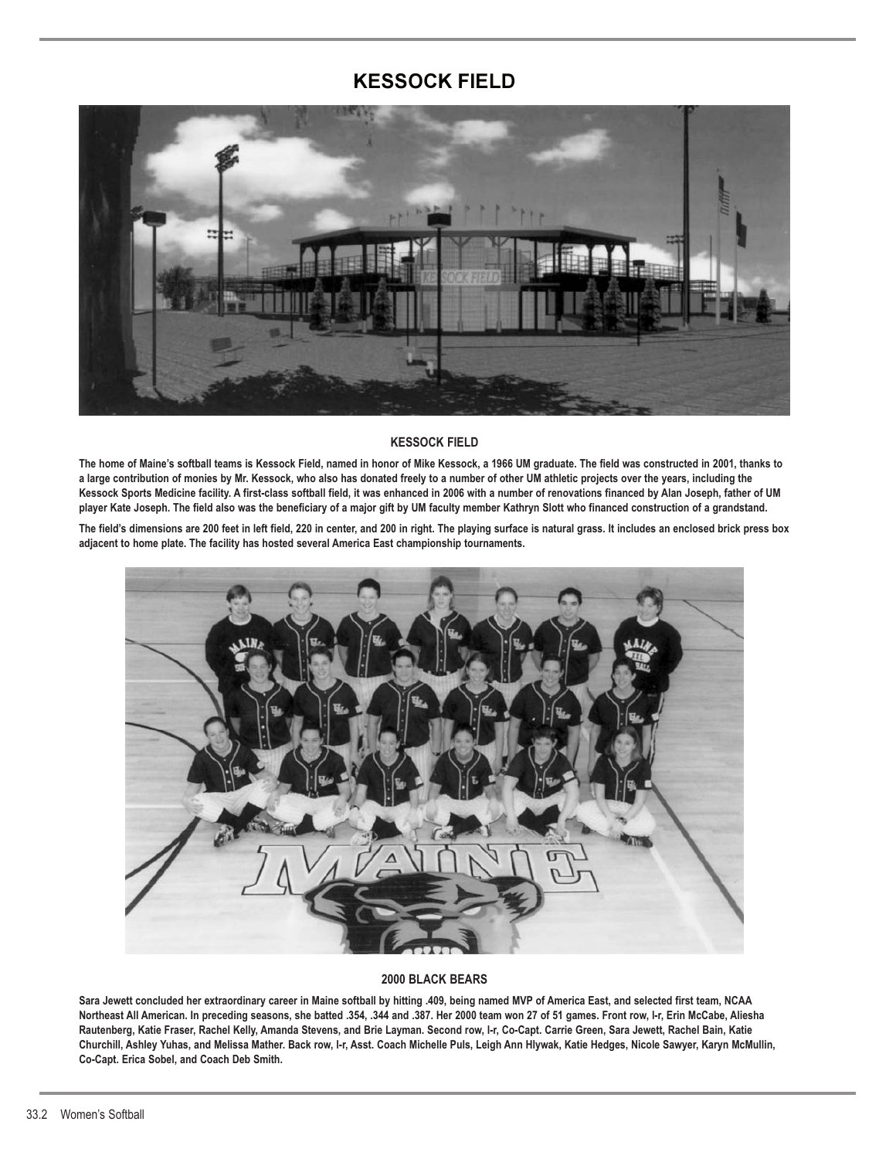# **KESSOCK FIELD**



#### **KESSOCK FIELD**

**The home of Maine's softball teams is Kessock Field, named in honor of Mike Kessock, a 1966 UM graduate. The field was constructed in 2001, thanks to a large contribution of monies by Mr. Kessock, who also has donated freely to a number of other UM athletic projects over the years, including the Kessock Sports Medicine facility. A first-class softball field, it was enhanced in 2006 with a number of renovations financed by Alan Joseph, father of UM player Kate Joseph. The field also was the beneficiary of a major gift by UM faculty member Kathryn Slott who financed construction of a grandstand.**

**The field's dimensions are 200 feet in left field, 220 in center, and 200 in right. The playing surface is natural grass. It includes an enclosed brick press box adjacent to home plate. The facility has hosted several America East championship tournaments.**



#### **2000 BLACK BEARS**

**Sara Jewett concluded her extraordinary career in Maine softball by hitting .409, being named MVP of America East, and selected first team, NCAA Northeast All American. In preceding seasons, she batted .354, .344 and .387. Her 2000 team won 27 of 51 games. Front row, l-r, Erin McCabe, Aliesha Rautenberg, Katie Fraser, Rachel Kelly, Amanda Stevens, and Brie Layman. Second row, l-r, Co-Capt. Carrie Green, Sara Jewett, Rachel Bain, Katie Churchill, Ashley Yuhas, and Melissa Mather. Back row, l-r, Asst. Coach Michelle Puls, Leigh Ann Hlywak, Katie Hedges, Nicole Sawyer, Karyn McMullin, Co-Capt. Erica Sobel, and Coach Deb Smith.**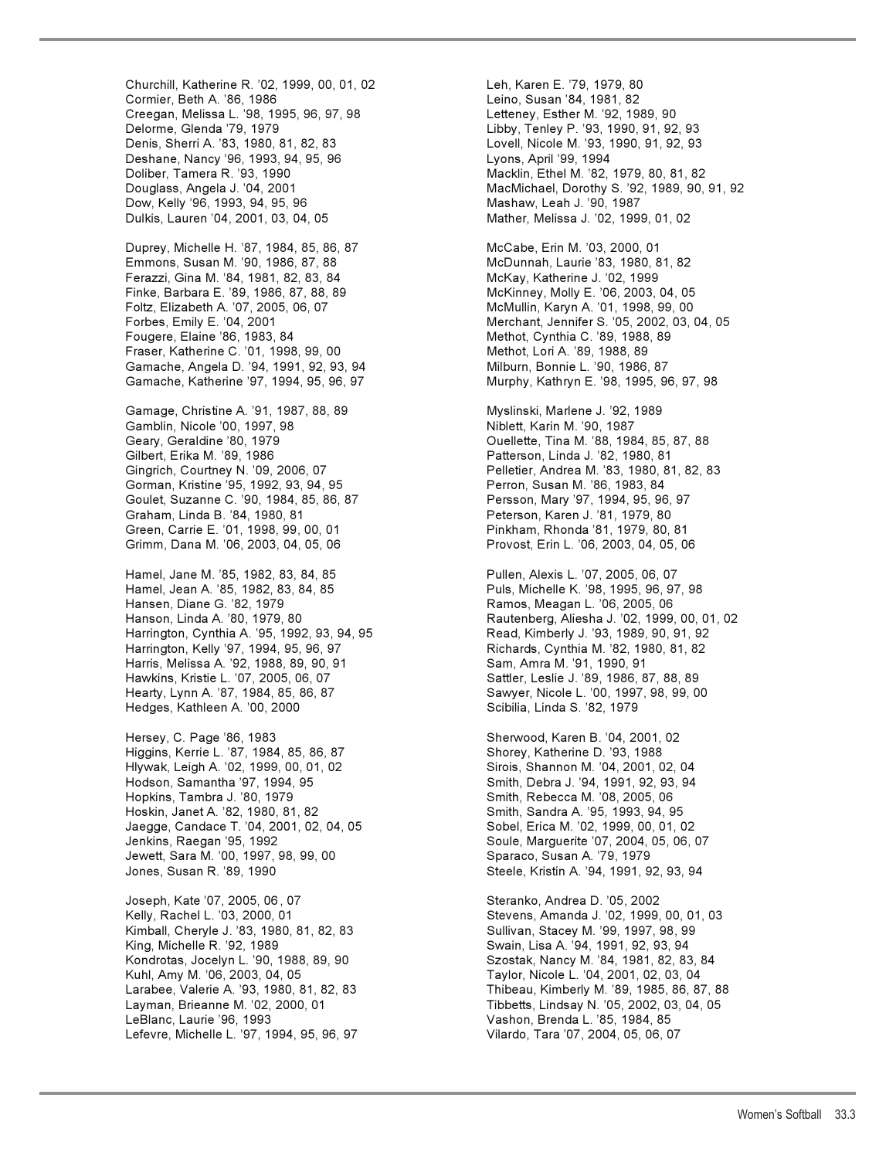Churchill, Katherine R. '02, 1999, 00, 01, 02 Leh, Karen E. '79, 1979, 80 Cormier, Beth A. '86, 1986 Leino, Susan '84, 1981, 82 Creegan, Melissa L. '98, 1995, 96, 97, 98 Letteney, Esther M. '92, 1989, 90 Delorme, Glenda '79, 1979 Libby, Tenley P. '93, 1990, 91, 92, 93 Deshane, Nancy '96, 1993, 94, 95, 96 Lyons, April '99, 1994 Doliber, Tamera R. '93, 1990 Macklin, Ethel M. '82, 1979, 80, 81, 82 Dow, Kelly '96, 1993, 94, 95, 96 Mashaw, Leah J. '90, 1987 Dulkis, Lauren '04, 2001, 03, 04, 05 Mather, Melissa J. '02, 1999, 01, 02

Emmons, Susan M. '90, 1986, 87, 88 McDunnah, Laurie '83, 1980, 81, 82 Ferazzi, Gina M. '84, 1981, 82, 83, 84 McKay, Katherine J. '02, 1999 Finke, Barbara E. '89, 1986, 87, 88, 89 McKinney, Molly E. '06, 2003, 04, 05 Forbes, Emily E. '04, 2001 Merchant, Jennifer S. '05, 2002, 03, 04, 05 Fougere, Elaine '86, 1983, 84 Methot, Cynthia C. '89, 1988, 89 Fraser, Katherine C. '01, 1998, 99, 00 Methot, Lori A. '89, 1988, 89 Gamache, Angela D. '94, 1991, 92, 93, 94 Milburn, Bonnie L. '90, 1986, 87 Gamache, Katherine '97, 1994, 95, 96, 97 Murphy, Kathryn E. '98, 1995, 96, 97, 98

Gamage, Christine A. '91, 1987, 88, 89 Myslinski, Marlene J. '92, 1989 Gamblin, Nicole '00, 1997, 98 Geary, Geraldine '80, 1979 Ouellette, Tina M. '88, 1984, 85, 87, 88 Gilbert, Erika M. '89, 1986 Patterson, Linda J. '82, 1980, 81 Gingrich, Courtney N. '09, 2006, 07 Pelletier, Andrea M. '83, 1980, 81, 82, 83 Gorman, Kristine '95, 1992, 93, 94, 95 **Perron, Susan M. '86, 1983, 84** Goulet, Suzanne C. '90, 1984, 85, 86, 87 Persson, Mary '97, 1994, 95, 96, 97 Green, Carrie E. '01, 1998, 99, 00, 01 Pinkham, Rhonda '81, 1979, 80, 81 Grimm, Dana M. '06, 2003, 04, 05, 06 Provost, Erin L. '06, 2003, 04, 05, 06

Hamel, Jane M. '85, 1982, 83, 84, 85 Pullen, Alexis L. '07, 2005, 06, 07 Hamel, Jean A. '85, 1982, 83, 84, 85 Puls, Michelle K. '98, 1995, 96, 97, 98 Hansen, Diane G. '82, 1979 Ramos, Meagan L. '06, 2005, 06 Harrington, Cynthia A. '95, 1992, 93, 94, 95 Read, Kimberly J. '93, 1989, 90, 91, 92 Harrington, Kelly '97, 1994, 95, 96, 97 Richards, Cynthia M. '82, 1980, 81, 82 Harris, Melissa A. '92, 1988, 89, 90, 91 Sam, Amra M. '91, 1990, 91 Hearty, Lynn A. '87, 1984, 85, 86, 87 Samyer, Nicole L. '00, 1997, 98, 99, 00 Hedges, Kathleen A. '00, 2000 **Schillia, Linda S. '82, 1979** Scibilia, Linda S. '82, 1979

Hersey, C. Page '86, 1983 Sherwood, Karen B. '04, 2001, 02 Higgins, Kerrie L. '87, 1984, 85, 86, 87 Shorey, Katherine D. '93, 1988 Hlywak, Leigh A. '02, 1999, 00, 01, 02 Sirois, Shannon M. '04, 2001, 02, 04 Hodson, Samantha '97, 1994, 95 Smith, Debra J. '94, 1991, 92, 93, 94 Hoskin, Janet A. '82, 1980, 81, 82 Smith, Sandra A. '95, 1993, 94, 95 Jaegge, Candace T. '04, 2001, 02, 04, 05 Sobel, Erica M. '02, 1999, 00, 01, 02 Jenkins, Raegan '95, 1992 Soule, Marguerite '07, 2004, 05, 06, 07 Jewett, Sara M. '00, 1997, 98, 99, 00 Sparaco, Susan A. '79, 1979 Jones, Susan R. '89, 1990 Steele, Kristin A. '94, 1991, 92, 93, 94

Joseph, Kate '07, 2005, 06 , 07 Steranko, Andrea D. '05, 2002 Kimball, Cheryle J. '83, 1980, 81, 82, 83 Sullivan, Stacey M. '99, 1997, 98, 99 King, Michelle R. '92, 1989 Swain, Lisa A. '94, 1991, 92, 93, 94 Kondrotas, Jocelyn L. '90, 1988, 89, 90 Szostak, Nancy M. '84, 1981, 82, 83, 84 Larabee, Valerie A. '93, 1980, 81, 82, 83 Thibeau, Kimberly M. '89, 1985, 86, 87, 88 Layman, Brieanne M. '02, 2000, 01 Tibbetts, Lindsay N. '05, 2002, 03, 04, 05 LeBlanc, Laurie '96, 1993 Vashon, Brenda L. '85, 1984, 85 Lefevre, Michelle L. '97, 1994, 95, 96, 97 Vilardo, Tara '07, 2004, 05, 06, 07

Lovell, Nicole M. '93, 1990, 91, 92, 93 Douglass, Angela J. '04, 2001 MacMichael, Dorothy S. '92, 1989, 90, 91, 92 Duprey, Michelle H. '87, 1984, 85, 86, 87 McCabe, Erin M. '03, 2000, 01 McMullin, Karyn A. '01, 1998, 99, 00 Peterson, Karen J. '81, 1979, 80 Rautenberg, Aliesha J. '02, 1999, 00, 01, 02 Sattler, Leslie J. '89, 1986, 87, 88, 89 Smith, Rebecca M. '08, 2005, 06 Stevens, Amanda J. '02, 1999, 00, 01, 03 Taylor, Nicole L. '04, 2001, 02, 03, 04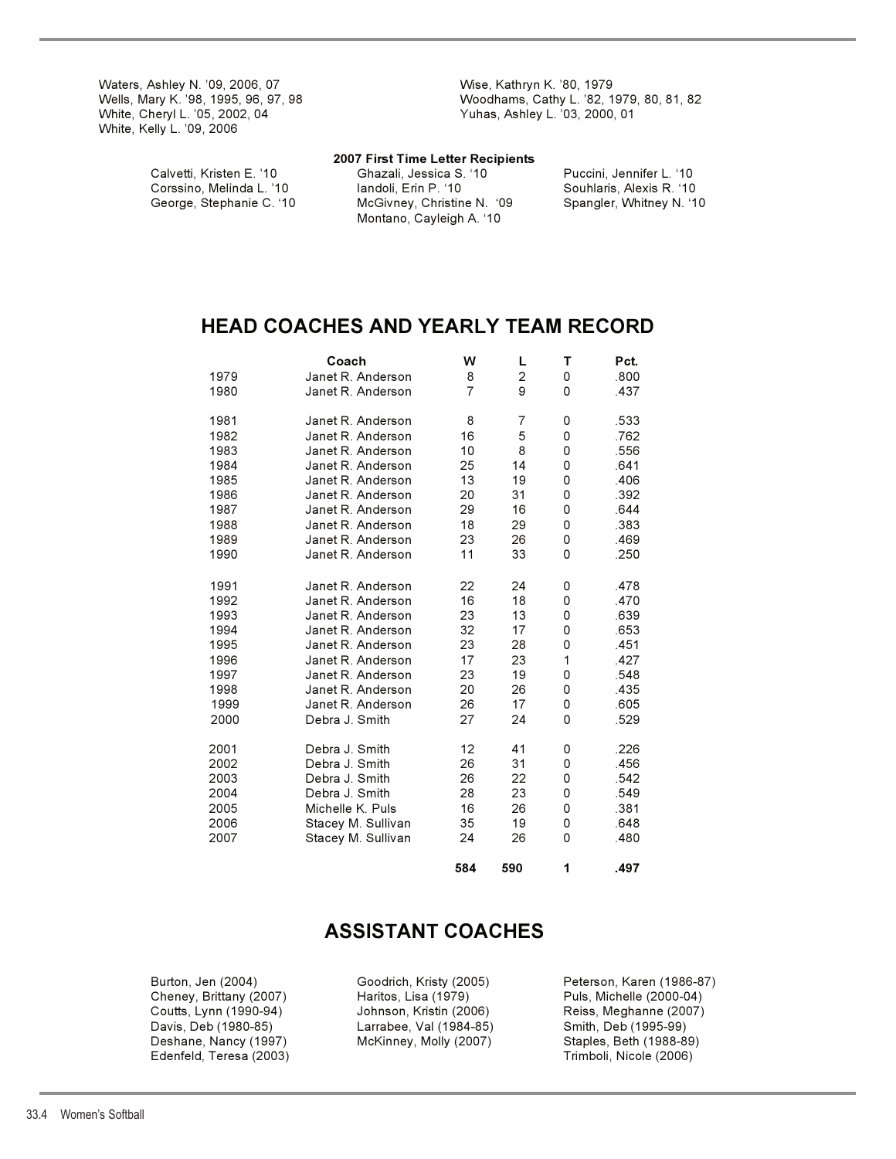Waters, Ashley N. '09, 2006, 07 Wise, Kathryn K. '80, 1979 White, Kelly L. '09, 2006

Wells, Mary K. '98, 1995, 96, 97, 98 Woodhams, Cathy L. '82, 1979, 80, 81, 82 Yuhas, Ashley L. '03, 2000, 01

#### **2007 First Time Letter Recipients**

Calvetti, Kristen E. '10 Ghazali, Jessica S. '10 Puccini, Jennifer L. '10 Corssino, Melinda L. '10 Iandoli, Erin P. '10 Iandoli, Erin P. '10 Iandoli, Erin P. '10 I<br>George, Stephanie C. '10 Iandoli, Christine N. '09 Iangler, Whitney N. '10 McGivney, Christine N. '09 Montano, Cayleigh A. '10

# **HEAD COACHES AND YEARLY TEAM RECORD**

|      | Coach              | W              | Г              | т | Pct. |
|------|--------------------|----------------|----------------|---|------|
| 1979 | Janet R. Anderson  | 8              | $\overline{c}$ | 0 | .800 |
| 1980 | Janet R. Anderson  | $\overline{7}$ | 9              | 0 | .437 |
| 1981 | Janet R. Anderson  | 8              | 7              | 0 | .533 |
| 1982 | Janet R. Anderson  | 16             | 5              | 0 | .762 |
| 1983 | Janet R. Anderson  | 10             | 8              | 0 | .556 |
| 1984 | Janet R. Anderson  | 25             | 14             | 0 | .641 |
| 1985 | Janet R. Anderson  | 13             | 19             | 0 | .406 |
| 1986 | Janet R. Anderson  | 20             | 31             | 0 | .392 |
| 1987 | Janet R. Anderson  | 29             | 16             | 0 | .644 |
| 1988 | Janet R. Anderson  | 18             | 29             | 0 | .383 |
| 1989 | Janet R. Anderson  | 23             | 26             | 0 | .469 |
| 1990 | Janet R. Anderson  | 11             | 33             | 0 | .250 |
| 1991 | Janet R. Anderson  | 22             | 24             | 0 | .478 |
| 1992 | Janet R. Anderson  | 16             | 18             | 0 | .470 |
| 1993 | Janet R. Anderson  | 23             | 13             | 0 | .639 |
| 1994 | Janet R. Anderson  | 32             | 17             | 0 | .653 |
| 1995 | Janet R. Anderson  | 23             | 28             | 0 | .451 |
| 1996 | Janet R. Anderson  | 17             | 23             | 1 | .427 |
| 1997 | Janet R. Anderson  | 23             | 19             | 0 | .548 |
| 1998 | Janet R. Anderson  | 20             | 26             | 0 | .435 |
| 1999 | Janet R. Anderson  | 26             | 17             | 0 | .605 |
| 2000 | Debra J. Smith     | 27             | 24             | 0 | .529 |
| 2001 | Debra J. Smith     | 12             | 41             | 0 | .226 |
| 2002 | Debra J. Smith     | 26             | 31             | 0 | .456 |
| 2003 | Debra J. Smith     | 26             | 22             | 0 | .542 |
| 2004 | Debra J. Smith     | 28             | 23             | 0 | .549 |
| 2005 | Michelle K. Puls   | 16             | 26             | 0 | .381 |
| 2006 | Stacey M. Sullivan | 35             | 19             | 0 | .648 |
| 2007 | Stacey M. Sullivan | 24             | 26             | 0 | .480 |
|      |                    | 584            | 590            | 1 | .497 |

# **ASSISTANT COACHES**

Davis, Deb (1980-85) Larrabee, Val (1984-85) Smith, Deb (1995-99) Deshane, Nancy (1997) McKinney, Molly (2007) Staples, Beth (1988-89) Edenfeld, Teresa (2003)

 Burton, Jen (2004) Goodrich, Kristy (2005) Peterson, Karen (1986-87) Cheney, Brittany (2007) Haritos, Lisa (1979) Puls, Michelle (2000-04) Coutts, Lynn (1990-94) Johnson, Kristin (2006) Reiss, Meghanne (2007)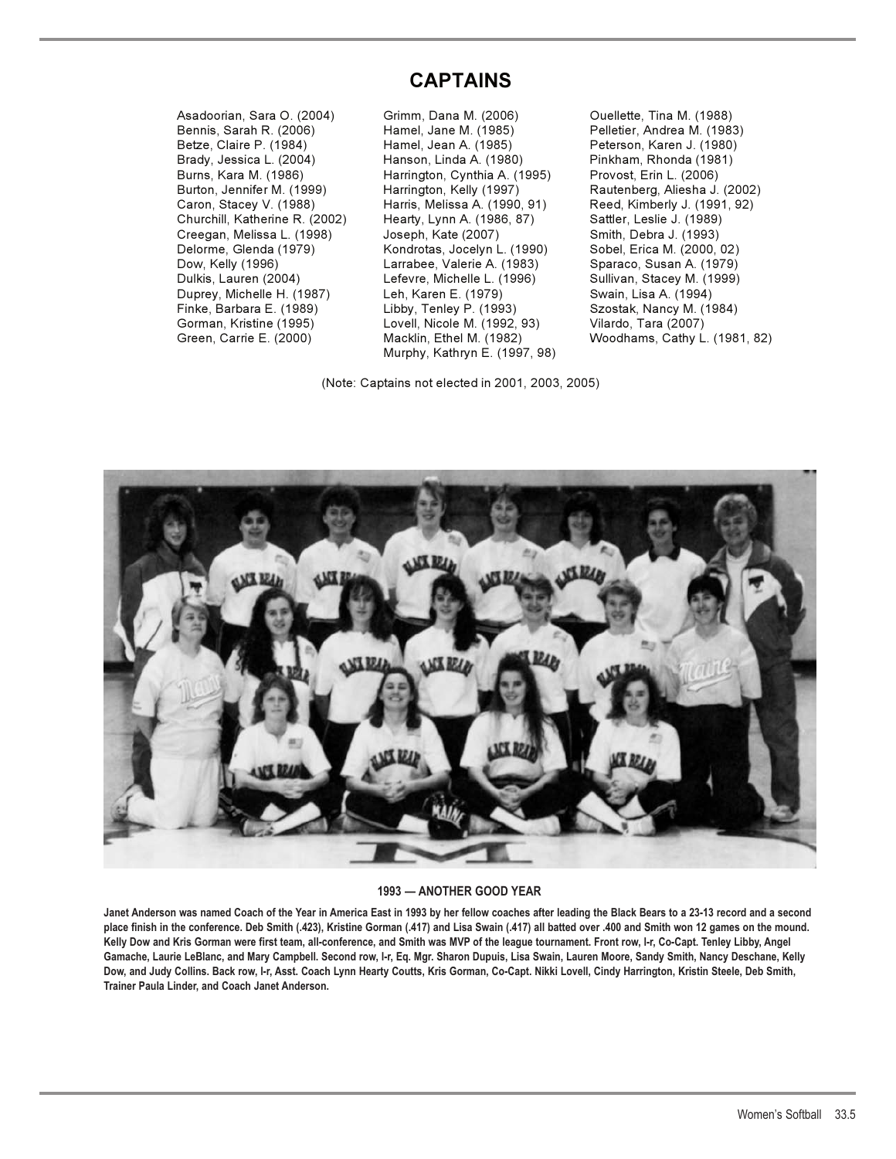# **CAPTAINS**

Asadoorian, Sara O. (2004) Grimm, Dana M. (2006) Ouellette, Tina M. (1988) Burns, Kara M. (1986) Harrington, Cynthia A. (1995)

Bennis, Sarah R. (2006) Hamel, Jane M. (1985) Pelletier, Andrea M. (1983) Betze, Claire P. (1984) Hamel, Jean A. (1985) Peterson, Karen J. (1980) Brady, Jessica L. (2004) Hanson, Linda A. (1980) Pinkham, Rhonda (1981) Burton, Jennifer M. (1999) Harrington, Kelly (1997) Rautenberg, Aliesha J. (2002) Caron, Stacey V. (1988) Harris, Melissa A. (1990, 91) Reed, Kimberly J. (1991, 92) Churchill, Katherine R. (2002) Hearty, Lynn A. (1986, 87) Sattler, Leslie J. (1989) Creegan, Melissa L. (1998) Joseph, Kate (2007) Smith, Debra J. (1993) Delorme, Glenda (1979) Kondrotas, Jocelyn L. (1990) Sobel, Erica M. (2000, 02) Dow, Kelly (1996) Larrabee, Valerie A. (1983) Sparaco, Susan A. (1979) Dulkis, Lauren (2004) Lefevre, Michelle L. (1996) Sullivan, Stacey M. (1999) Duprey, Michelle H. (1987) Leh, Karen E. (1979) Swain, Lisa A. (1994) Finke, Barbara E. (1989) Libby, Tenley P. (1993) Szostak, Nancy M. (1984) Gorman, Kristine (1995) Lovell, Nicole M. (1992, 93) Vilardo, Tara (2007) Murphy, Kathryn E. (1997, 98)

(Note: Captains not elected in 2001, 2003, 2005)

Green, Carrie E. (2000) Macklin, Ethel M. (1982) Woodhams, Cathy L. (1981, 82)



### **1993 — ANOTHER GOOD YEAR**

**Janet Anderson was named Coach of the Year in America East in 1993 by her fellow coaches after leading the Black Bears to a 23-13 record and a second place finish in the conference. Deb Smith (.423), Kristine Gorman (.417) and Lisa Swain (.417) all batted over .400 and Smith won 12 games on the mound. Kelly Dow and Kris Gorman were first team, all-conference, and Smith was MVP of the league tournament. Front row, l-r, Co-Capt. Tenley Libby, Angel Gamache, Laurie LeBlanc, and Mary Campbell. Second row, l-r, Eq. Mgr. Sharon Dupuis, Lisa Swain, Lauren Moore, Sandy Smith, Nancy Deschane, Kelly Dow, and Judy Collins. Back row, l-r, Asst. Coach Lynn Hearty Coutts, Kris Gorman, Co-Capt. Nikki Lovell, Cindy Harrington, Kristin Steele, Deb Smith, Trainer Paula Linder, and Coach Janet Anderson.**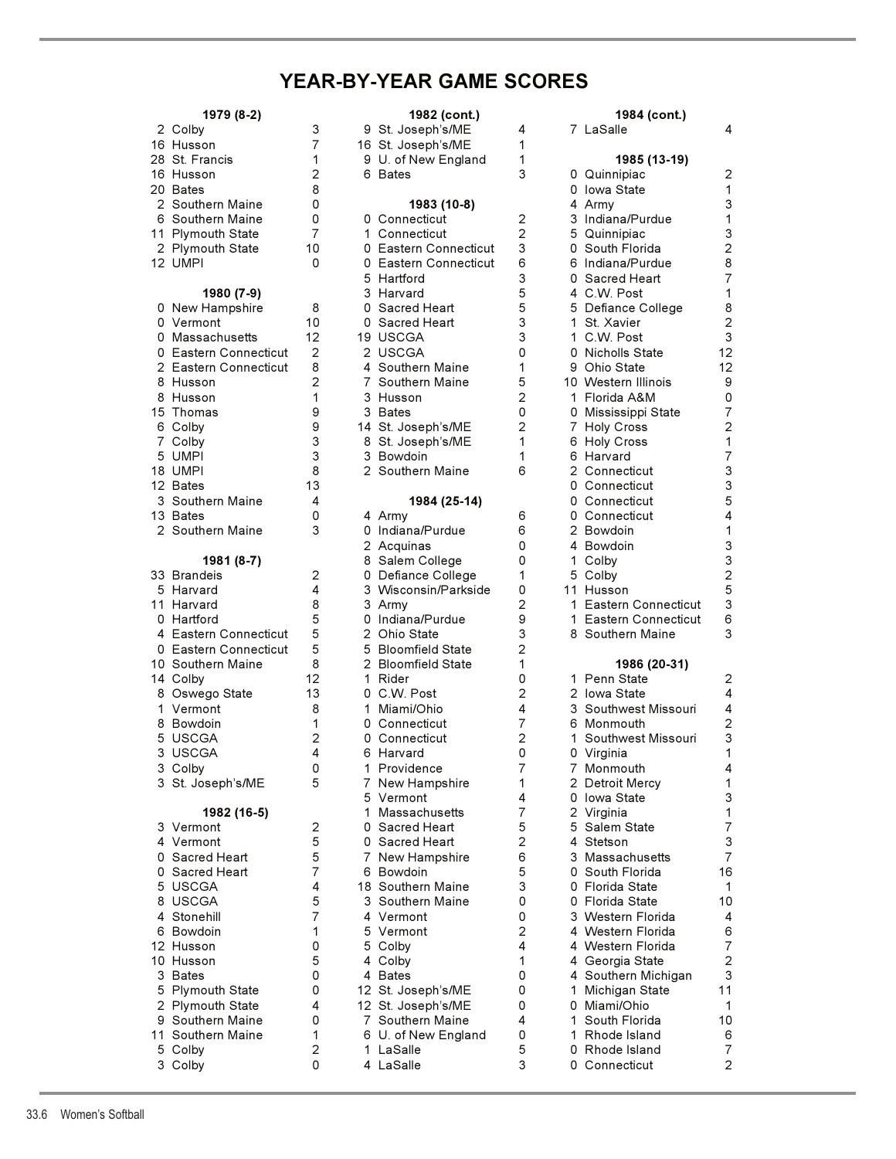# **YEAR-BY-YEAR GAME SCORES**

| 1979 (8-2)                                                                                                                                                                                                                                                                                                                                                                                            |  |
|-------------------------------------------------------------------------------------------------------------------------------------------------------------------------------------------------------------------------------------------------------------------------------------------------------------------------------------------------------------------------------------------------------|--|
| 2 Colby<br>16 Husson<br>28 St. Francis<br>16 Husson<br>20 Bates<br>2 Southern Maine<br>Southern Maine<br>6<br>11 Plymouth State<br>2 Plymouth State<br>12 <sup>2</sup><br><b>UMPI</b>                                                                                                                                                                                                                 |  |
| 1980 (7-9)<br>New Hampshire<br>0<br>0<br>Vermont<br>0 Massachusetts<br>0<br>Eastern Connecticut<br>Eastern Connecticut<br>$\overline{c}$<br>8 Husson<br>8<br>Husson<br>15<br>Thomas<br>6 Colby<br>7 Colby<br>5<br><b>UMPI</b><br>18 UMPI<br>12 Bates<br>3 Southern Maine<br>13 Bates<br>2 Southern Maine                                                                                              |  |
| 1981 (8-7)<br>33<br>Brandeis<br>5<br>Harvard<br>11<br>Harvard<br>0 Hartford<br>4 Eastern Connecticut<br>Eastern Connecticut<br>0<br>Southern Maine<br>10<br>14 Colby<br>8<br>Oswego State<br>1<br>Vermont<br>8 Bowdoin<br>5<br><b>USCGA</b><br><b>USCGA</b><br>3<br>3<br>Colby<br>3<br>St. Joseph's/ME                                                                                                |  |
| 1982 (16-5)<br>3<br>Vermont<br>$\overline{\mathbf{4}}$<br>Vermont<br>0<br>Sacred Heart<br>0<br>Sacred Heart<br>5<br><b>USCGA</b><br><b>USCGA</b><br>8<br>4<br>Stonehill<br>6<br>Bowdoin<br>12 <sup>2</sup><br>Husson<br>10 <sub>1</sub><br>Husson<br>3<br>Bates<br>5<br><b>Plymouth State</b><br>$\overline{c}$<br><b>Plymouth State</b><br>9<br>Southern Maine<br>11<br>Southern Maine<br>5<br>Colby |  |

| 1979 (8-2)                  |                | 1982 (cont.)                        |                |   | 1984 (cont.)                       |                         |
|-----------------------------|----------------|-------------------------------------|----------------|---|------------------------------------|-------------------------|
| 2 Colby                     | 3              | 9 St. Joseph's/ME                   | 4              |   | 7 LaSalle                          | 4                       |
| 16 Husson                   | 7              | 16 St. Joseph's/ME                  | 1              |   |                                    |                         |
| 28 St. Francis              | 1              | 9 U. of New England                 | 1              |   | 1985 (13-19)                       |                         |
| 16 Husson                   | 2              | 6 Bates                             | 3              |   | 0 Quinnipiac                       | $\overline{c}$          |
| 20 Bates                    | 8              |                                     |                |   | 0 Iowa State                       | 1                       |
| 2 Southern Maine            | 0              | 1983 (10-8)                         |                |   | 4 Army                             | $\mathsf 3$             |
| 6 Southern Maine            | 0              | 0 Connecticut                       | 2              |   | 3 Indiana/Purdue                   | $\mathbf{1}$            |
| 11 Plymouth State           | 7              | 1 Connecticut                       | $\overline{2}$ |   | 5 Quinnipiac                       | 3<br>$\overline{c}$     |
| 2 Plymouth State<br>12 UMPI | 10<br>0        | 0 Eastern Connecticut               | 3<br>6         |   | 0 South Florida                    | 8                       |
|                             |                | 0 Eastern Connecticut<br>5 Hartford | 3              |   | 6 Indiana/Purdue<br>0 Sacred Heart | $\overline{7}$          |
| 1980 (7-9)                  |                | 3 Harvard                           | 5              |   | 4 C.W. Post                        | $\mathbf{1}$            |
| 0 New Hampshire             | 8              | 0 Sacred Heart                      | 5              |   | 5 Defiance College                 | 8                       |
| 0 Vermont                   | 10             | 0 Sacred Heart                      | 3              |   | 1 St. Xavier                       | $\overline{c}$          |
| 0 Massachusetts             | 12             | 19 USCGA                            | 3              |   | 1 C.W. Post                        | 3                       |
| 0 Eastern Connecticut       | 2              | 2 USCGA                             | 0              |   | 0 Nicholls State                   | 12                      |
| 2 Eastern Connecticut       | 8              | 4 Southern Maine                    | 1              |   | 9 Ohio State                       | 12                      |
| 8 Husson                    | $\overline{2}$ | 7 Southern Maine                    | 5              |   | 10 Western Illinois                | 9                       |
| 8 Husson                    | 1              | 3 Husson                            | $\overline{2}$ |   | 1 Florida A&M                      | 0                       |
| 15 Thomas                   | 9              | 3 Bates                             | 0              |   | 0 Mississippi State                | $\overline{7}$          |
| 6 Colby                     | 9              | 14 St. Joseph's/ME                  | $\overline{c}$ |   | 7 Holy Cross                       | $\overline{\mathbf{c}}$ |
| 7 Colby                     | 3              | 8 St. Joseph's/ME                   | 1              |   | 6 Holy Cross                       | $\mathbf{1}$            |
| 5 UMPI                      | 3              | 3 Bowdoin                           | 1              |   | 6 Harvard                          | $\overline{7}$          |
| 18 UMPI                     | 8              | 2 Southern Maine                    | 6              |   | 2 Connecticut                      | 3                       |
| 12 Bates                    | 13             |                                     |                |   | 0 Connecticut                      | 3                       |
| 3 Southern Maine            | 4              | 1984 (25-14)                        |                |   | 0 Connecticut                      | 5                       |
| 13 Bates                    | 0              | 4 Army                              | 6              |   | 0 Connecticut                      | $\overline{4}$          |
| 2 Southern Maine            | 3              | 0 Indiana/Purdue                    | 6              |   | 2 Bowdoin                          | $\mathbf{1}$            |
| 1981 (8-7)                  |                | 2 Acquinas<br>8 Salem College       | 0<br>0         |   | 4 Bowdoin<br>1 Colby               | 3<br>3                  |
| 33 Brandeis                 | 2              | 0 Defiance College                  | 1              |   | 5 Colby                            | $\overline{c}$          |
| 5 Harvard                   | 4              | 3 Wisconsin/Parkside                | 0              |   | 11 Husson                          | 5                       |
| 11 Harvard                  | 8              | 3 Army                              | $\overline{c}$ |   | 1 Eastern Connecticut              | 3                       |
| 0 Hartford                  | 5              | 0 Indiana/Purdue                    | 9              |   | 1 Eastern Connecticut              | 6                       |
| 4 Eastern Connecticut       | 5              | 2 Ohio State                        | 3              |   | 8 Southern Maine                   | 3                       |
| 0 Eastern Connecticut       | 5              | 5 Bloomfield State                  | $\overline{2}$ |   |                                    |                         |
| 10  Southern Maine          | 8              | 2 Bloomfield State                  | 1              |   | 1986 (20-31)                       |                         |
| 14 Colby                    | 12             | 1 Rider                             | 0              |   | 1 Penn State                       | $\overline{2}$          |
| 8 Oswego State              | 13             | 0 C.W. Post                         | 2              |   | 2 Iowa State                       | $\overline{4}$          |
| 1 Vermont                   | 8              | 1 Miami/Ohio                        | 4              |   | 3 Southwest Missouri               | 4                       |
| 8 Bowdoin                   | 1              | 0 Connecticut                       | 7              |   | 6 Monmouth                         | $\overline{c}$          |
| 5 USCGA                     | 2              | 0 Connecticut                       | $\overline{2}$ | 1 | Southwest Missouri                 | 3                       |
| 3 USCGA                     | 4              | 6 Harvard                           | $\Omega$       |   | 0 Virginia                         | 1                       |
| 3 Colby                     | 0              | 1 Providence                        | 7              |   | 7 Monmouth                         | 4                       |
| 3 St. Joseph's/ME           | 5              | 7 New Hampshire<br>5 Vermont        | 1<br>4         |   | 2 Detroit Mercy<br>0 Iowa State    | $\mathbf 1$<br>3        |
| 1982 (16-5)                 |                | 1 Massachusetts                     | $\overline{7}$ |   | 2 Virginia                         | $\mathbf{1}$            |
| 3 Vermont                   | 2              | 0 Sacred Heart                      | 5              |   | 5 Salem State                      | $\overline{7}$          |
| 4 Vermont                   | 5              | 0 Sacred Heart                      | $\overline{2}$ |   | 4 Stetson                          | 3                       |
| 0 Sacred Heart              | 5              | 7 New Hampshire                     | 6              | 3 | Massachusetts                      | $\overline{7}$          |
| 0 Sacred Heart              | 7              | 6 Bowdoin                           | 5              |   | 0 South Florida                    | 16                      |
| 5 USCGA                     | 4              | 18 Southern Maine                   | 3              |   | 0 Florida State                    | 1                       |
| 8 USCGA                     | 5              | 3 Southern Maine                    | 0              |   | 0 Florida State                    | 10                      |
| 4 Stonehill                 | 7              | 4 Vermont                           | 0              |   | 3 Western Florida                  | 4                       |
| 6 Bowdoin                   | 1              | 5 Vermont                           | 2              |   | 4 Western Florida                  | 6                       |
| 12 Husson                   | 0              | 5 Colby                             | 4              |   | 4 Western Florida                  | $\overline{7}$          |
| 10 Husson                   | 5              | 4 Colby                             | 1              |   | 4 Georgia State                    | $\overline{c}$          |
| 3 Bates                     | 0              | 4 Bates                             | 0              |   | 4 Southern Michigan                | 3                       |
| 5 Plymouth State            | 0              | 12 St. Joseph's/ME                  | 0              |   | 1 Michigan State                   | 11                      |
| 2 Plymouth State            | 4              | 12 St. Joseph's/ME                  | 0              |   | 0 Miami/Ohio                       | 1                       |
| 9 Southern Maine            | 0              | 7 Southern Maine                    | 4              | 1 | South Florida                      | 10                      |
| 11 Southern Maine           | 1              | 6 U. of New England                 | 0              |   | 1 Rhode Island                     | 6                       |
| 5 Colby<br>3 Colby          | 2<br>0         | 1 LaSalle<br>4 LaSalle              | 5<br>3         |   | 0 Rhode Island<br>0 Connecticut    | $\overline{7}$<br>2     |
|                             |                |                                     |                |   |                                    |                         |
|                             |                |                                     |                |   |                                    |                         |

|  | 2 Colby               | 3              | 9 St. Joseph's/ME     | 4              |    | 7 LaSalle             | 4                         |
|--|-----------------------|----------------|-----------------------|----------------|----|-----------------------|---------------------------|
|  | 16 Husson             | 7              | 16 St. Joseph's/ME    | 1              |    |                       |                           |
|  | 28 St. Francis        | 1              | 9 U. of New England   | 1              |    | 1985 (13-19)          |                           |
|  | 16 Husson             | 2              | 6 Bates               | 3              |    | 0 Quinnipiac          | 2                         |
|  | 20 Bates              | 8              |                       |                |    | 0 Iowa State          | 1                         |
|  |                       |                |                       |                |    |                       |                           |
|  | 2 Southern Maine      | 0              | 1983 (10-8)           |                |    | 4 Army                | 3                         |
|  | 6 Southern Maine      | 0              | 0 Connecticut         | 2              |    | 3 Indiana/Purdue      | 1                         |
|  | 11 Plymouth State     | 7              | 1 Connecticut         | $\overline{2}$ |    | 5 Quinnipiac          | 3                         |
|  | 2 Plymouth State      | 10             | 0 Eastern Connecticut | 3              |    | 0 South Florida       | $\overline{c}$            |
|  | 12 UMPI               | 0              | 0 Eastern Connecticut | 6              |    | 6 Indiana/Purdue      | 8                         |
|  |                       |                | 5 Hartford            | 3              |    | 0 Sacred Heart        | $\overline{7}$            |
|  | 1980 (7-9)            |                | 3 Harvard             | 5              |    | 4 C.W. Post           | 1                         |
|  | 0 New Hampshire       | 8              | 0 Sacred Heart        | 5              |    | 5 Defiance College    | 8                         |
|  | 0 Vermont             | 10             | 0 Sacred Heart        | 3              |    | 1 St. Xavier          | $\overline{c}$            |
|  | 0 Massachusetts       | 12             | 19 USCGA              | 3              |    | 1 C.W. Post           | $\mathbf{3}$              |
|  | 0 Eastern Connecticut | $\overline{2}$ | 2 USCGA               | 0              |    | 0 Nicholls State      | 12                        |
|  | 2 Eastern Connecticut | 8              | 4 Southern Maine      | 1              |    | 9 Ohio State          | 12                        |
|  |                       | $\overline{2}$ |                       | 5              |    |                       | 9                         |
|  | 8 Husson              |                | 7 Southern Maine      |                |    | 10 Western Illinois   |                           |
|  | 8 Husson              | 1              | 3 Husson              | 2              |    | 1 Florida A&M         | 0                         |
|  | 15 Thomas             | 9              | 3 Bates               | 0              |    | 0 Mississippi State   | $\overline{7}$            |
|  | 6 Colby               | 9              | 14 St. Joseph's/ME    | $\overline{c}$ |    | 7 Holy Cross          | $\overline{c}$            |
|  | 7 Colby               | 3              | 8 St. Joseph's/ME     | 1              |    | 6 Holy Cross          | 1                         |
|  | 5 UMPI                | 3              | 3 Bowdoin             | 1              |    | 6 Harvard             | $\overline{7}$            |
|  | 18 UMPI               | 8              | 2 Southern Maine      | 6              |    | 2 Connecticut         | $\ensuremath{\mathsf{3}}$ |
|  | 12 Bates              | 13             |                       |                |    | 0 Connecticut         | 3                         |
|  | 3  Southern Maine     | 4              | 1984 (25-14)          |                |    | 0 Connecticut         | 5                         |
|  | 13 Bates              | 0              | 4 Army                | 6              |    | 0 Connecticut         | $\overline{\mathbf{4}}$   |
|  | 2 Southern Maine      | 3              | 0 Indiana/Purdue      | 6              |    | 2 Bowdoin             | 1                         |
|  |                       |                | 2 Acquinas            | 0              |    | 4 Bowdoin             | 3                         |
|  |                       |                |                       | 0              |    |                       | $\ensuremath{\mathsf{3}}$ |
|  | 1981 (8-7)            |                | 8 Salem College       |                |    | 1 Colby               |                           |
|  | 33 Brandeis           | $\overline{c}$ | 0 Defiance College    | 1              |    | 5 Colby               | $\mathbf 2$               |
|  | 5 Harvard             | 4              | 3 Wisconsin/Parkside  | 0              |    | 11 Husson             | 5                         |
|  | 11 Harvard            | 8              | 3 Army                | 2              |    | 1 Eastern Connecticut | 3                         |
|  | 0 Hartford            | 5              | 0 Indiana/Purdue      | 9              |    | 1 Eastern Connecticut | 6                         |
|  | 4 Eastern Connecticut | 5              | 2 Ohio State          | 3              |    | 8 Southern Maine      | 3                         |
|  | 0 Eastern Connecticut | 5              | 5 Bloomfield State    | 2              |    |                       |                           |
|  | 10 Southern Maine     | 8              | 2 Bloomfield State    | 1              |    | 1986 (20-31)          |                           |
|  | 14 Colby              | 12             | 1 Rider               | 0              |    | 1 Penn State          | 2                         |
|  | 8 Oswego State        | 13             | 0 C.W. Post           | 2              |    | 2 Iowa State          | 4                         |
|  | 1 Vermont             | 8              | 1 Miami/Ohio          | 4              |    | 3 Southwest Missouri  | 4                         |
|  | 8 Bowdoin             | 1              | 0 Connecticut         | $\overline{7}$ |    | 6 Monmouth            | $\mathbf 2$               |
|  |                       | 2              |                       | 2              |    |                       | $\mathsf 3$               |
|  | 5 USCGA               |                | 0 Connecticut         |                |    | 1 Southwest Missouri  |                           |
|  | 3 USCGA               | 4              | 6 Harvard             | 0              |    | 0 Virginia            | 1                         |
|  | 3 Colby               | 0              | 1 Providence          | 7              |    | 7 Monmouth            | $\overline{4}$            |
|  | 3 St. Joseph's/ME     | 5              | 7 New Hampshire       | 1              |    | 2 Detroit Mercy       | 1                         |
|  |                       |                | 5 Vermont             | 4              |    | 0 Iowa State          | 3                         |
|  | 1982 (16-5)           |                | 1 Massachusetts       | 7              |    | 2 Virginia            | $\mathbf{1}$              |
|  | 3 Vermont             | 2              | 0 Sacred Heart        | 5              |    | 5 Salem State         | $\overline{\mathcal{I}}$  |
|  | 4 Vermont             | 5              | 0 Sacred Heart        | 2              |    | 4 Stetson             | $\mathsf 3$               |
|  | 0 Sacred Heart        | 5              | 7 New Hampshire       | 6              |    | 3 Massachusetts       | $\overline{7}$            |
|  | 0 Sacred Heart        | 7              | 6 Bowdoin             | 5              |    | 0 South Florida       | 16                        |
|  | 5 USCGA               | 4              | 18 Southern Maine     | 3              |    | 0 Florida State       | $\mathbf{1}$              |
|  | 8 USCGA               | 5              | 3 Southern Maine      | 0              |    | 0 Florida State       | 10                        |
|  |                       |                |                       |                |    |                       |                           |
|  | 4 Stonehill           | $\overline{7}$ | 4 Vermont             | 0              |    | 3 Western Florida     | 4                         |
|  | 6 Bowdoin             | 1              | 5 Vermont             | 2              |    | 4 Western Florida     | 6                         |
|  | 12 Husson             | 0              | 5 Colby               | 4              |    | 4  Western Florida    | $\overline{7}$            |
|  | 10 Husson             | 5              | 4 Colby               | 1              |    | 4 Georgia State       | $\overline{c}$            |
|  | 3 Bates               | 0              | 4 Bates               | 0              |    | 4 Southern Michigan   | 3                         |
|  | 5 Plymouth State      | 0              | 12 St. Joseph's/ME    | 0              | 1. | Michigan State        | 11                        |
|  | 2 Plymouth State      | 4              | 12 St. Joseph's/ME    | 0              |    | 0 Miami/Ohio          | 1                         |
|  | 9 Southern Maine      | 0              | 7 Southern Maine      | 4              |    | 1 South Florida       | 10                        |
|  | 11 Southern Maine     | 1              | 6 U. of New England   | 0              |    | 1 Rhode Island        | 6                         |
|  | 5 Colby               | $\overline{2}$ | 1 LaSalle             | 5              |    | 0 Rhode Island        | $\overline{7}$            |
|  |                       |                |                       |                |    |                       |                           |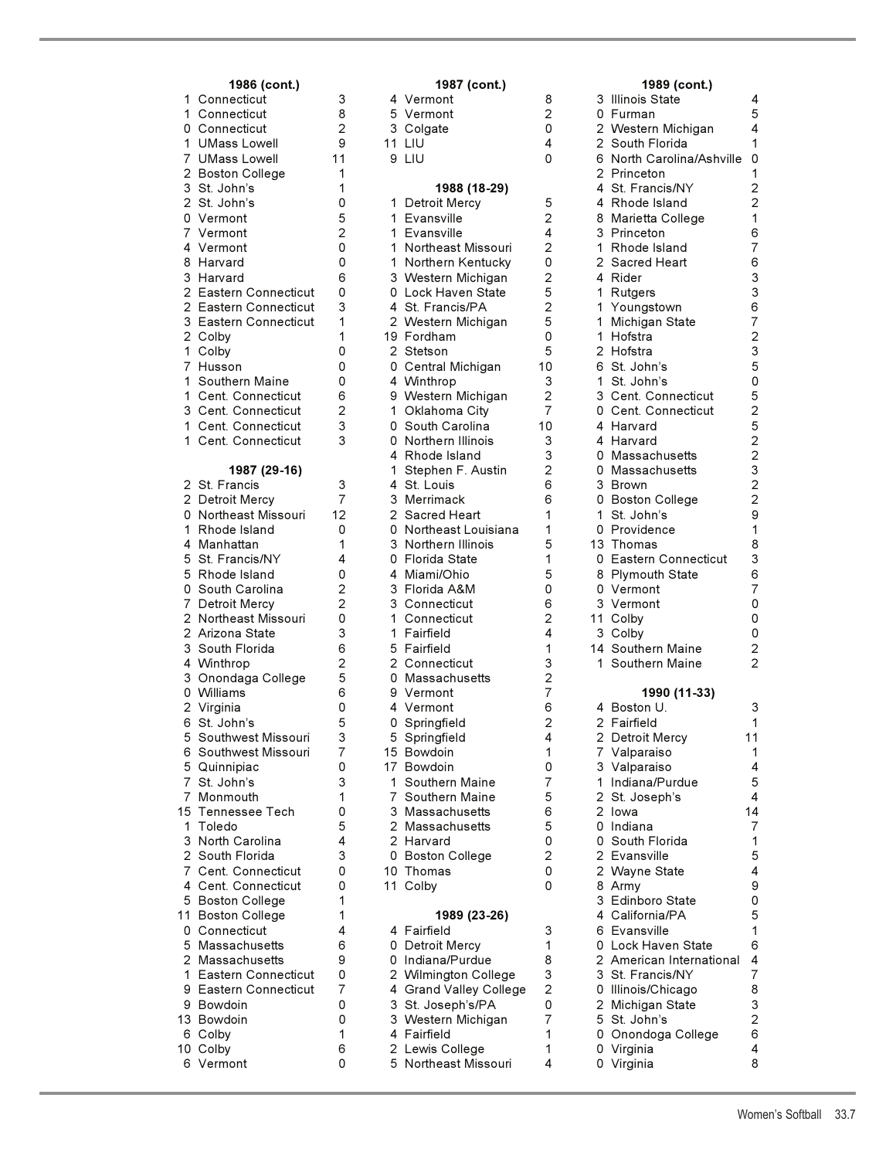| 1<br>1<br>0<br>1<br>7<br>$\overline{c}$<br>$\frac{3}{2}$<br>0<br>$\overline{7}$<br>4<br>8<br>3<br>$\overline{c}$<br>$\overline{\mathbf{c}}$<br>$\frac{3}{2}$<br>$\mathbf 1$<br>$\overline{7}$<br>1<br>1<br>3<br>1<br>1 | <b>1900 (COLIL)</b><br>Connecticut<br>Connecticut<br>Connecticut<br><b>UMass Lowell</b><br><b>UMass Lowell</b><br><b>Boston College</b><br>St. John's<br>St. John's<br>Vermont<br>Vermont<br>Vermont<br>Harvard<br>Harvard<br>Eastern Connecticut<br>Eastern Connecticut<br>Eastern Connecticut<br>Colby<br>Colby<br>Husson<br>Southern Maine<br>Cent. Connecticut<br><b>Cent. Connecticut<br/>Cent. Connecticut</b><br>Cent. Connecticut | 1 |
|------------------------------------------------------------------------------------------------------------------------------------------------------------------------------------------------------------------------|-------------------------------------------------------------------------------------------------------------------------------------------------------------------------------------------------------------------------------------------------------------------------------------------------------------------------------------------------------------------------------------------------------------------------------------------|---|
| $\overline{\mathbf{c}}$<br>$\overline{c}$<br>0<br>$\mathbf 1$<br>$\overline{4}$<br>5<br>5<br>0<br>7<br>$\overline{a}$<br>$\overline{\mathbf{c}}$<br>3<br>4<br>3<br>0                                                   | 1987 (29-16)<br>St. Francis<br>Detroit Mercy<br>Northeast Missouri<br>Rhode Island<br>Manhattan<br>St. Francis/NY<br>Rhode Island<br>South Carolina<br>Detroit Mercy<br>Northeast Missouri<br>Arizona State<br>South Florida<br>Winthrop<br>Onondaga College<br>Williams<br>2 Virginia<br>6 St. John's                                                                                                                                    | 1 |
| 5<br>6<br>5<br>7<br>7<br>15<br>$\mathbf{1}$<br>3<br>$\frac{1}{2}$<br>$\overline{7}$<br>4<br>5<br>11<br>0<br>5                                                                                                          | Southwest Missouri<br>Southwest Missouri<br>Quinnipiac<br>St. John's<br>Monmouth<br>Tennessee Tech<br>Toledo<br>North Carolina<br>South Florida<br>Cent. Connecticut<br>Cent. Connecticut<br><b>Boston College</b><br><b>Boston College</b><br>Connecticut<br>Massachusetts                                                                                                                                                               |   |
| $\overline{c}$<br>1<br>9<br>9<br>13<br>6<br>10<br>6                                                                                                                                                                    | Massachusetts<br>Eastern Connecticut<br>Eastern Connecticut<br>Bowdoin<br>Bowdoin<br>Colby<br>Colby<br>Vermont                                                                                                                                                                                                                                                                                                                            |   |

| 1986 (cont.)                                   |                                  |    | 1987 (cont.)                                   |                     |    | 1989 (cont.)                               |                           |
|------------------------------------------------|----------------------------------|----|------------------------------------------------|---------------------|----|--------------------------------------------|---------------------------|
| 1 Connecticut                                  | 3                                |    | 4 Vermont                                      | 8                   |    | 3 Illinois State                           | 4                         |
| 1 Connecticut                                  | 8                                |    | 5 Vermont                                      | 2                   |    | 0 Furman                                   | 5                         |
| 0 Connecticut                                  | $\overline{2}$                   |    | 3 Colgate                                      | 0                   |    | 2 Western Michigan                         | 4                         |
| 1 UMass Lowell                                 | 9                                |    | 11 LIU                                         | 4                   |    | 2 South Florida                            | 1                         |
| 7 UMass Lowell                                 | 11                               |    | 9 LIU                                          | 0                   |    | 6 North Carolina/Ashville                  | 0                         |
| 2 Boston College                               | 1                                |    |                                                |                     |    | 2 Princeton                                | 1<br>$\overline{c}$       |
| 3 St. John's<br>2 St. John's                   | 1<br>0                           | 1. | 1988 (18-29)<br>Detroit Mercy                  | 5                   |    | 4 St. Francis/NY<br>4 Rhode Island         | $\overline{2}$            |
| 0 Vermont                                      | 5                                |    | 1 Evansville                                   | $\overline{2}$      |    | 8 Marietta College                         | 1                         |
| 7 Vermont                                      | $\overline{2}$                   |    | 1 Evansville                                   | 4                   |    | 3 Princeton                                | 6                         |
| 4 Vermont                                      | 0                                |    | 1 Northeast Missouri                           | $\overline{2}$      |    | 1 Rhode Island                             | $\overline{7}$            |
| 8 Harvard                                      | 0                                |    | 1 Northern Kentucky                            | 0                   |    | 2 Sacred Heart                             | 6                         |
| 3 Harvard                                      | 6                                |    | 3 Western Michigan                             | $\overline{2}$      |    | 4 Rider                                    | 3                         |
| 2 Eastern Connecticut                          | 0                                |    | 0 Lock Haven State                             | 5                   |    | 1 Rutgers                                  | 3                         |
| 2 Eastern Connecticut                          | 3                                |    | 4 St. Francis/PA                               | 2                   |    | 1 Youngstown                               | 6                         |
| 3 Eastern Connecticut                          | 1                                |    | 2 Western Michigan                             | 5                   |    | 1 Michigan State                           | $\overline{7}$            |
| 2 Colby                                        | 1                                |    | 19 Fordham                                     | 0                   |    | 1 Hofstra                                  | $\overline{c}$            |
| 1 Colby                                        | 0                                |    | 2 Stetson                                      | 5                   |    | 2 Hofstra                                  | 3                         |
| 7 Husson                                       | 0                                |    | 0 Central Michigan                             | 10                  |    | 6 St. John's                               | 5                         |
| 1 Southern Maine                               | 0                                |    | 4 Winthrop                                     | 3<br>$\overline{2}$ | 1. | St. John's                                 | $\mathbf 0$<br>5          |
| 1 Cent. Connecticut<br>3 Cent. Connecticut     | 6<br>2                           |    | 9 Western Michigan<br>1 Oklahoma City          | 7                   |    | 3 Cent. Connecticut<br>0 Cent. Connecticut | $\overline{c}$            |
| 1 Cent. Connecticut                            | 3                                |    | 0 South Carolina                               | 10                  |    | 4 Harvard                                  | 5                         |
| 1 Cent. Connecticut                            | 3                                |    | 0 Northern Illinois                            | 3                   |    | 4 Harvard                                  | $\overline{c}$            |
|                                                |                                  |    | 4 Rhode Island                                 | 3                   |    | 0 Massachusetts                            | $\overline{c}$            |
| 1987 (29-16)                                   |                                  | 1. | Stephen F. Austin                              | 2                   |    | 0 Massachusetts                            | 3                         |
| 2 St. Francis                                  | 3                                |    | 4 St. Louis                                    | 6                   |    | 3 Brown                                    | $\overline{c}$            |
| 2 Detroit Mercy                                | $\overline{7}$                   |    | 3 Merrimack                                    | 6                   |    | 0 Boston College                           | $\overline{c}$            |
| 0 Northeast Missouri                           | 12                               |    | 2 Sacred Heart                                 | 1                   |    | 1 St. John's                               | 9                         |
| 1 Rhode Island                                 | 0                                |    | 0 Northeast Louisiana                          | 1                   |    | 0 Providence                               | 1                         |
| 4 Manhattan                                    | 1                                |    | 3 Northern Illinois                            | 5                   |    | 13 Thomas                                  | 8                         |
| 5 St. Francis/NY                               | 4                                |    | 0 Florida State                                | 1                   |    | 0 Eastern Connecticut                      | 3                         |
| 5 Rhode Island                                 | 0                                |    | 4 Miami/Ohio                                   | 5<br>0              |    | 8 Plymouth State                           | 6<br>$\overline{7}$       |
| 0 South Carolina<br>7 Detroit Mercy            | $\overline{c}$<br>$\overline{c}$ |    | 3 Florida A&M<br>3 Connecticut                 | 6                   |    | 0 Vermont<br>3 Vermont                     | $\mathbf 0$               |
| 2 Northeast Missouri                           | 0                                |    | 1 Connecticut                                  | 2                   |    | 11 Colby                                   | 0                         |
| 2 Arizona State                                | 3                                |    | 1 Fairfield                                    | 4                   |    | 3 Colby                                    | 0                         |
| 3 South Florida                                | 6                                |    | 5 Fairfield                                    | 1                   |    | 14 Southern Maine                          | $\overline{c}$            |
| 4 Winthrop                                     | $\overline{2}$                   |    | 2 Connecticut                                  | 3                   |    | 1 Southern Maine                           | $\overline{2}$            |
| 3 Onondaga College                             | 5                                |    | 0 Massachusetts                                | $\overline{c}$      |    |                                            |                           |
| 0 Williams                                     | 6                                |    | 9 Vermont                                      | 7                   |    | 1990 (11-33)                               |                           |
| 2 Virginia                                     | 0                                |    | 4 Vermont                                      | 6                   |    | 4 Boston U.                                | 3                         |
| 6 St. John's                                   | 5                                |    | 0 Springfield                                  | $\overline{2}$      |    | 2 Fairfield                                | 1                         |
| 5 Southwest Missouri                           | 3                                |    | 5 Springfield                                  | 4                   |    | 2 Detroit Mercy                            | 11                        |
| 6 Southwest Missouri                           | 7                                |    | 15 Bowdoin                                     | 1                   |    | 7 Valparaiso                               | 1                         |
| 5 Quinnipiac<br>7 St. John's                   | 0<br>3                           |    | 17 Bowdoin<br>1 Southern Maine                 | 0<br>$\overline{7}$ |    | 3 Valparaiso<br>1 Indiana/Purdue           | 4<br>5                    |
| 7 Monmouth                                     | 1                                |    | 7 Southern Maine                               | 5                   |    | 2 St. Joseph's                             | 4                         |
| 15 Tennessee Tech                              | 0                                |    | 3 Massachusetts                                | 6                   |    | 2 lowa                                     | 14                        |
| 1 Toledo                                       | 5                                |    | 2 Massachusetts                                | 5                   |    | 0 Indiana                                  | $\overline{7}$            |
| 3 North Carolina                               | 4                                |    | 2 Harvard                                      | 0                   | 0  | South Florida                              | 1                         |
| 2 South Florida                                | 3                                |    | 0 Boston College                               | $\overline{c}$      |    | 2 Evansville                               | 5                         |
| 7 Cent. Connecticut                            | 0                                |    | 10 Thomas                                      | 0                   |    | 2 Wayne State                              | 4                         |
| 4 Cent. Connecticut                            | 0                                |    | 11 Colby                                       | 0                   |    | 8 Army                                     | 9                         |
| 5 Boston College                               | 1                                |    |                                                |                     | 3  | Edinboro State                             | 0                         |
| 11 Boston College                              | 1                                |    | 1989 (23-26)                                   |                     |    | 4 California/PA                            | 5                         |
| 0 Connecticut                                  | 4                                |    | 4 Fairfield                                    | 3                   |    | 6 Evansville                               | 1                         |
| 5 Massachusetts                                | 6                                |    | 0 Detroit Mercy                                | 1                   |    | 0 Lock Haven State                         | 6                         |
| 2 Massachusetts                                | 9                                |    | 0 Indiana/Purdue                               | 8<br>3              |    | 2 American International                   | $\pmb{4}$                 |
| 1 Eastern Connecticut<br>9 Eastern Connecticut | 0<br>7                           |    | 2 Wilmington College<br>4 Grand Valley College | $\overline{2}$      |    | 3 St. Francis/NY<br>0 Illinois/Chicago     | $\overline{7}$<br>8       |
| 9 Bowdoin                                      | 0                                |    | 3 St. Joseph's/PA                              | 0                   |    | 2 Michigan State                           | $\ensuremath{\mathsf{3}}$ |
| 13 Bowdoin                                     | 0                                |    | 3 Western Michigan                             | $\overline{7}$      |    | 5 St. John's                               | $\overline{c}$            |
| 6 Colby                                        | 1                                |    | 4 Fairfield                                    | 1                   |    | 0 Onondoga College                         | 6                         |
| 10 Colby                                       | 6                                |    | 2 Lewis College                                | 1                   |    | 0 Virginia                                 | 4                         |
| 6 Vermont                                      | 0                                |    | 5 Northeast Missouri                           | 4                   |    | 0 Virginia                                 | 8                         |

|    | ,, ,,,,,,,             |                | 1 J J J<br>1001117        |                         |
|----|------------------------|----------------|---------------------------|-------------------------|
|    | 4 Vermont              | 8              | Illinois State<br>3       | 4                       |
|    | 5 Vermont              | $\overline{2}$ | 0 Furman                  | 5                       |
|    | 3 Colgate              | 0              | 2 Western Michigan        | 4                       |
|    |                        |                |                           |                         |
|    | <b>11 LIU</b>          | 4              | 2 South Florida           | 1                       |
|    | 9 LIU                  | 0              | 6 North Carolina/Ashville | 0                       |
|    |                        |                | 2 Princeton               | 1                       |
|    |                        |                | 4 St. Francis/NY          | $\overline{c}$          |
|    | 1988 (18-29)           |                |                           |                         |
| 1  | Detroit Mercy          | 5              | 4 Rhode Island            | $\overline{\mathbf{c}}$ |
|    | 1 Evansville           | $\overline{2}$ | 8 Marietta College        | 1                       |
|    | 1 Evansville           | 4              | 3 Princeton               | 6                       |
| 1. |                        | $\overline{2}$ | 1 Rhode Island            |                         |
|    | Northeast Missouri     |                |                           | 7                       |
|    | 1 Northern Kentucky    | 0              | 2 Sacred Heart            | 6                       |
|    | 3 Western Michigan     | $\overline{c}$ | 4 Rider                   | 3                       |
|    | 0 Lock Haven State     | 5              | 1 Rutgers                 | 3                       |
|    |                        | $\overline{2}$ |                           |                         |
|    | 4 St. Francis/PA       |                | 1 Youngstown              | 6                       |
|    | 2 Western Michigan     | 5              | 1 Michigan State          | $\overline{7}$          |
|    | 19 Fordham             | 0              | 1 Hofstra                 | $\overline{c}$          |
|    | 2 Stetson              | 5              | 2 Hofstra                 | 3                       |
|    |                        |                |                           |                         |
|    | 0 Central Michigan     | 10             | 6 St. John's              | 5                       |
|    | 4 Winthrop             | 3              | 1 St. John's              | 0                       |
|    | 9 Western Michigan     | $\overline{c}$ | 3 Cent. Connecticut       | 5                       |
|    | 1 Oklahoma City        | $\overline{7}$ | 0 Cent. Connecticut       | $\overline{\mathbf{c}}$ |
|    |                        |                |                           |                         |
|    | 0 South Carolina       | 10             | 4 Harvard                 | 5                       |
|    | 0 Northern Illinois    | 3              | 4 Harvard                 | $\overline{\mathbf{c}}$ |
|    | 4 Rhode Island         | 3              | 0 Massachusetts           | $\overline{2}$          |
| 1  | Stephen F. Austin      | $\overline{c}$ |                           | 3                       |
|    |                        |                | 0 Massachusetts           |                         |
|    | 4 St. Louis            | 6              | 3 Brown                   | $\overline{c}$          |
|    | 3 Merrimack            | 6              | 0 Boston College          | $\overline{c}$          |
|    | 2 Sacred Heart         | 1              | 1 St. John's              | 9                       |
|    |                        |                |                           |                         |
|    | 0 Northeast Louisiana  | 1              | 0 Providence              | 1                       |
|    | 3 Northern Illinois    | 5              | 13 Thomas                 | 8                       |
|    | 0 Florida State        | 1              | 0 Eastern Connecticut     | 3                       |
| 4  | Miami/Ohio             | 5              | 8 Plymouth State          | 6                       |
|    |                        |                |                           |                         |
|    | 3 Florida A&M          | 0              | 0 Vermont                 | 7                       |
|    | 3 Connecticut          | 6              | 3 Vermont                 | 0                       |
|    | 1 Connecticut          | $\overline{c}$ | 11 Colby                  | 0                       |
| 1  | Fairfield              | 4              | 3 Colby                   | 0                       |
|    |                        |                |                           |                         |
|    | 5 Fairfield            | 1              | 14 Southern Maine         | 2                       |
|    | 2 Connecticut          | 3              | 1 Southern Maine          | $\overline{c}$          |
|    | 0 Massachusetts        | $\overline{c}$ |                           |                         |
|    | 9 Vermont              | $\overline{7}$ | 1990 (11-33)              |                         |
|    |                        |                |                           |                         |
|    | 4 Vermont              | 6              | 4 Boston U.               | 3                       |
| 0  | Springfield            | $\overline{c}$ | 2 Fairfield               | 1                       |
| 5  | Springfield            | 4              | Detroit Mercy<br>11<br>2  |                         |
|    | 15 Bowdoin             |                |                           |                         |
|    |                        | 1              | 7 Valparaiso              | 1                       |
|    | 17 Bowdoin             | 0              | 3 Valparaiso              | 4                       |
| 1  | Southern Maine         | 7              | 1 Indiana/Purdue          | 5                       |
|    | 7 Southern Maine       | 5              | 2 St. Joseph's            | 4                       |
|    |                        |                |                           |                         |
|    | 3 Massachusetts        | 6              | 2 lowa                    | 14                      |
|    | 2 Massachusetts        | 5              | 0 Indiana                 | 7                       |
|    | 2 Harvard              | 0              | 0 South Florida           | 1                       |
|    |                        | 2              |                           | 5                       |
| 0  | <b>Boston College</b>  |                | 2 Evansville              |                         |
|    | 10 Thomas              | 0              | 2<br>Wayne State          | 4                       |
|    | 11 Colby               | 0              | 8 Army                    | 9                       |
|    |                        |                | 3 Edinboro State          | 0                       |
|    |                        |                |                           |                         |
|    | 1989 (23-26)           |                | 4 California/PA           | 5                       |
|    | 4 Fairfield            | 3              | 6 Evansville              | 1                       |
|    | 0 Detroit Mercy        | 1              | 0 Lock Haven State        | 6                       |
|    | 0 Indiana/Purdue       | 8              | 2 American International  | 4                       |
|    |                        |                |                           |                         |
|    | 2 Wilmington College   | 3              | 3 St. Francis/NY          | 7                       |
|    | 4 Grand Valley College | $\overline{c}$ | 0 Illinois/Chicago        | 8                       |
| 3  | St. Joseph's/PA        | 0              | 2 Michigan State          | 3                       |
|    |                        | $\overline{7}$ | 5 St. John's              | 2                       |
|    | 3 Western Michigan     |                |                           |                         |
|    | 4 Fairfield            | 1              | 0 Onondoga College        | 6                       |
|    | 2 Lewis College        | 1              | Virginia<br>0             | 4                       |
|    | 5 Northeast Missouri   | 4              | 0 Virginia                | 8                       |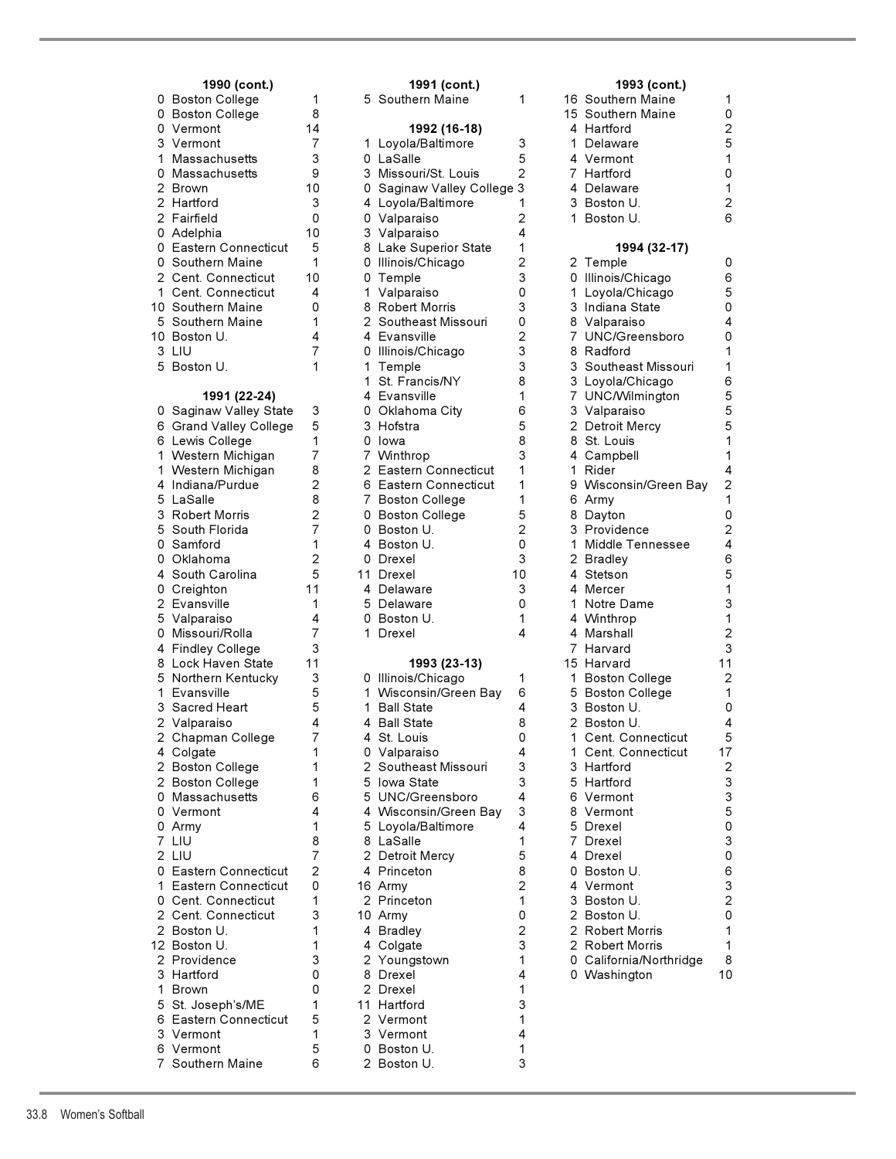# 0 Adelphia 6 Grand Valley College 0 Massachusetts 1 Eastern Connecticut 2 Cent. Connecticut 1 Brown 0 5 St. Joseph's/ME 1 6 Eastern Connecticut 5 3 Vermont 1 6 Vermont 5

|   | 1990 (cont.)                            |                |              | 1991 (cont.)               |                |    | 1993 (cont.)            |                           |
|---|-----------------------------------------|----------------|--------------|----------------------------|----------------|----|-------------------------|---------------------------|
|   | 0 Boston College                        | 1              |              | 5 Southern Maine           | 1              |    | 16 Southern Maine       | 1                         |
|   | 0 Boston College                        | 8              |              |                            |                |    | 15 Southern Maine       | 0                         |
|   | 0 Vermont                               | 14             |              | 1992 (16-18)               |                |    | 4 Hartford              | $\overline{2}$            |
|   | 3 Vermont                               | 7              |              | 1 Loyola/Baltimore         | 3              | 1. | Delaware                | 5                         |
| 1 | Massachusetts                           | 3              |              | 0 LaSalle                  | 5              |    | 4 Vermont               | 1                         |
|   | 0 Massachusetts                         | 9              |              | 3 Missouri/St. Louis       | $\overline{2}$ |    | 7 Hartford              | 0                         |
|   | 2 Brown                                 | 10             |              | 0 Saginaw Valley College 3 |                |    | 4 Delaware              | 1                         |
|   | 2 Hartford                              | 3              |              | 4 Loyola/Baltimore         | 1              |    | 3 Boston U.             | $\overline{2}$            |
|   | 2 Fairfield                             | 0              |              | 0 Valparaiso               | $\overline{2}$ |    | 1 Boston U.             | 6                         |
|   | 0 Adelphia                              | 10             |              | 3 Valparaiso               | 4              |    |                         |                           |
|   | 0 Eastern Connecticut                   | 5              |              | 8 Lake Superior State      | 1              |    | 1994 (32-17)            |                           |
|   | 0 Southern Maine                        | 1              |              | 0 Illinois/Chicago         | 2              |    | 2 Temple                | 0                         |
|   | 2 Cent. Connecticut                     | 10             | 0            | Temple                     | 3              |    | 0 Illinois/Chicago      | 6                         |
|   | 1 Cent. Connecticut                     | 4              | 1.           | Valparaiso                 | 0              | 1. | Loyola/Chicago          | 5                         |
|   | 10  Southern Maine                      | 0              |              | 8 Robert Morris            | 3              |    | 3 Indiana State         | 0                         |
|   | 5 Southern Maine                        | 1              |              | 2  Southeast Missouri      | 0              |    | 8 Valparaiso            | 4                         |
|   | 10  Boston U.                           | 4              |              | 4 Evansville               | 2              | 7  | UNC/Greensboro          | 0                         |
|   | 3 LIU                                   | 7              | 0            | Illinois/Chicago           | 3              |    | 8 Radford               | 1                         |
|   | 5 Boston U.                             | 1              | 1            | Temple                     | 3              |    | 3 Southeast Missouri    | 1                         |
|   |                                         |                | 1            | St. Francis/NY             | 8              |    | 3 Loyola/Chicago        | 6                         |
|   | 1991 (22-24)                            |                |              | 4 Evansville               | 1              |    | 7 UNC/Wilmington        | 5                         |
|   | 0 Saginaw Valley State                  | 3              | 0            | Oklahoma City              | 6              |    | 3 Valparaiso            | 5                         |
|   | 6 Grand Valley College                  | 5              |              | 3 Hofstra                  | 5              |    | 2 Detroit Mercy         | 5                         |
|   | 6 Lewis College                         | 1              |              | 0 lowa                     | 8              |    | 8 St. Louis             | 1                         |
|   | 1 Western Michigan                      | 7              |              | 7 Winthrop                 | 3              |    | 4 Campbell              | 1                         |
|   | 1 Western Michigan                      | 8              | $\mathbf{2}$ | <b>Eastern Connecticut</b> | 1              | 1. | Rider                   | 4                         |
|   | 4 Indiana/Purdue                        | $\overline{2}$ |              | 6 Eastern Connecticut      | 1              |    | 9 Wisconsin/Green Bay   | $\overline{c}$            |
|   | 5 LaSalle                               | 8              | 7            | <b>Boston College</b>      | 1              |    | 6 Army                  | 1                         |
|   | 3 Robert Morris                         | $\overline{2}$ | 0            | <b>Boston College</b>      | 5              |    | 8 Dayton                | $\mathbf 0$               |
|   | 5 South Florida                         | 7              | 0            | Boston U.                  | $\overline{2}$ |    | 3 Providence            | $\overline{c}$            |
|   | 0 Samford                               | 1              | 4            | Boston U.                  | 0              | 1. | Middle Tennessee        | 4                         |
|   | 0 Oklahoma                              | $\overline{2}$ | 0            | Drexel                     | 3              |    | 2 Bradley               | 6                         |
|   | 4 South Carolina                        | 5              | 11           | Drexel                     | 10             |    | 4 Stetson               | 5                         |
|   | 0 Creighton                             | 11             | 4            | Delaware                   | 3              |    | 4 Mercer                | 1                         |
|   | 2 Evansville                            | 1              | 5            | Delaware                   | 0              |    | 1 Notre Dame            | 3                         |
|   | 5 Valparaiso                            | 4<br>7         | 0            | Boston U.                  | 1<br>4         |    | 4 Winthrop              | 1<br>$\overline{2}$       |
|   | 0 Missouri/Rolla                        | 3              | 1.           | Drexel                     |                |    | 4 Marshall<br>7 Harvard | 3                         |
|   | 4 Findley College<br>8 Lock Haven State | 11             |              | 1993 (23-13)               |                |    | 15 Harvard              | 11                        |
|   | 5 Northern Kentucky                     | 3              |              | 0 Illinois/Chicago         | 1              |    | 1 Boston College        | $\overline{2}$            |
|   | 1 Evansville                            | 5              |              | 1 Wisconsin/Green Bay      | 6              |    | 5 Boston College        | 1                         |
|   | 3 Sacred Heart                          | 5              | 1.           | <b>Ball State</b>          | 4              |    | 3 Boston U.             | 0                         |
|   | 2 Valparaiso                            | 4              | 4            | <b>Ball State</b>          | 8              |    | 2 Boston U              | $\overline{4}$            |
|   | 2 Chapman College                       | 7              |              | 4 St. Louis                | 0              |    | 1 Cent. Connecticut     | 5                         |
|   | 4 Colgate                               | 1              |              | 0 Valparaiso               | 4              |    | 1 Cent. Connecticut     | 17                        |
|   | 2 Boston College                        | 1              |              | 2 Southeast Missouri       | 3              |    | 3 Hartford              | $\overline{c}$            |
|   | 2 Boston College                        | 1              |              | 5 Iowa State               | 3              |    | 5 Hartford              | 3                         |
|   | 0 Massachusetts                         | 6              |              | 5 UNC/Greensboro           | 4              |    | 6 Vermont               | $\ensuremath{\mathsf{3}}$ |
|   | 0 Vermont                               | 4              |              | 4 Wisconsin/Green Bay      | 3              |    | 8 Vermont               | $\mathbf 5$               |
|   | 0 Army                                  | 1              |              | 5 Loyola/Baltimore         | 4              |    | 5 Drexel                | 0                         |
|   | 7 LIU                                   | 8              |              | 8 LaSalle                  | 1              |    | 7 Drexel                | 3                         |
|   | 2 LIU                                   | 7              |              | 2 Detroit Mercy            | 5              |    | 4 Drexel                | 0                         |
|   | 0 Eastern Connecticut                   | 2              |              | 4 Princeton                | 8              |    | 0 Boston U.             | 6                         |
|   | 1 Eastern Connecticut                   | 0              |              | 16 Army                    | $\overline{2}$ |    | 4 Vermont               | $\mathsf 3$               |
|   | 0 Cent. Connecticut                     | 1              |              | 2 Princeton                | 1              |    | 3 Boston U.             | $\overline{\mathbf{c}}$   |
|   | 2 Cent. Connecticut                     | 3              |              | 10 Army                    | 0              |    | 2 Boston U.             | 0                         |
|   | 2 Boston U.                             | 1              |              | 4 Bradley                  | 2              |    | 2 Robert Morris         | 1                         |
|   | 12 Boston U.                            | 1              |              | 4 Colgate                  | 3              |    | 2 Robert Morris         | $\mathbf 1$               |
|   | 2 Providence                            | 3              |              | 2 Youngstown               | 1              |    | 0 California/Northridge | 8                         |
|   | 3 Hartford                              | 0              |              | 8 Drexel                   | 4              |    | 0 Washington            | 10                        |
|   | 1 Brown                                 | 0              |              | 2 Drexel                   | 1              |    |                         |                           |
|   | 5 St. Joseph's/ME                       | 1              |              | 11 Hartford                | 3              |    |                         |                           |
|   | 6 Eastern Connecticut                   | 5              |              | 2 Vermont                  | 1              |    |                         |                           |
|   | 3 Vermont                               | 1              |              | 3 Vermont                  | 4              |    |                         |                           |
|   | 6 Vermont                               | 5              | 0            | Boston U.                  | 1              |    |                         |                           |
|   | 7 Southern Maine                        | 6              |              | 2 Boston U.                | 3              |    |                         |                           |

# 3 Loyola/Chicago 6 1 Notre Dame 0 Washington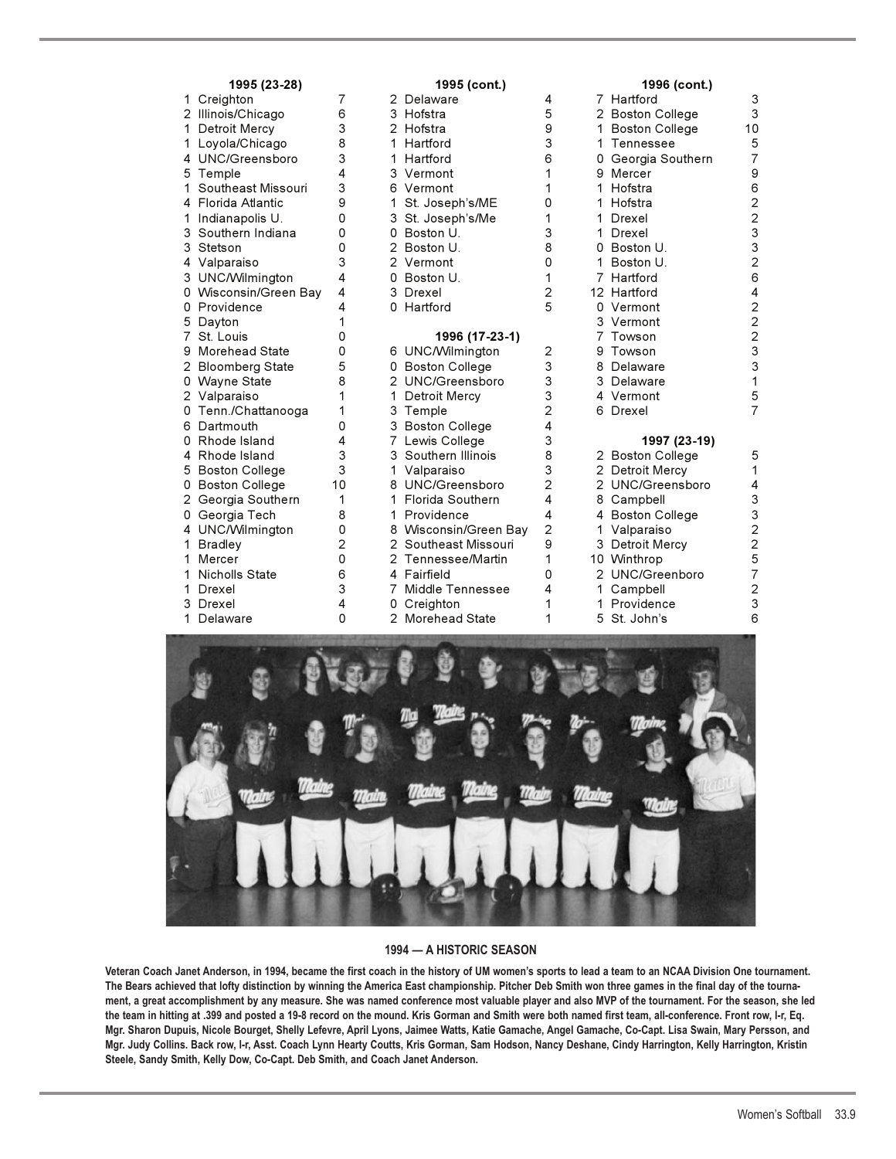| 1995 (23-28)               |                                                                                                                                                                                                                                                                 |                                                                               | 1995 (cont.)    |                                                                                                                                                                                                                                                                                                                                                                                                                                                                                                                                                                                                |                                                                                                                            | 1996 (cont.)          |                                                                                                                                                                                                                                                                                                                                                                                                                                        |  |
|----------------------------|-----------------------------------------------------------------------------------------------------------------------------------------------------------------------------------------------------------------------------------------------------------------|-------------------------------------------------------------------------------|-----------------|------------------------------------------------------------------------------------------------------------------------------------------------------------------------------------------------------------------------------------------------------------------------------------------------------------------------------------------------------------------------------------------------------------------------------------------------------------------------------------------------------------------------------------------------------------------------------------------------|----------------------------------------------------------------------------------------------------------------------------|-----------------------|----------------------------------------------------------------------------------------------------------------------------------------------------------------------------------------------------------------------------------------------------------------------------------------------------------------------------------------------------------------------------------------------------------------------------------------|--|
| 1 Creighton                | 7                                                                                                                                                                                                                                                               |                                                                               |                 | 4                                                                                                                                                                                                                                                                                                                                                                                                                                                                                                                                                                                              |                                                                                                                            |                       | 3                                                                                                                                                                                                                                                                                                                                                                                                                                      |  |
| 2 Illinois/Chicago         | 6                                                                                                                                                                                                                                                               |                                                                               |                 | 5                                                                                                                                                                                                                                                                                                                                                                                                                                                                                                                                                                                              |                                                                                                                            |                       | 3                                                                                                                                                                                                                                                                                                                                                                                                                                      |  |
| 1 Detroit Mercy            | 3                                                                                                                                                                                                                                                               |                                                                               |                 | 9                                                                                                                                                                                                                                                                                                                                                                                                                                                                                                                                                                                              |                                                                                                                            | <b>Boston College</b> | 10                                                                                                                                                                                                                                                                                                                                                                                                                                     |  |
| 1 Loyola/Chicago           | 8                                                                                                                                                                                                                                                               |                                                                               | Hartford        | 3                                                                                                                                                                                                                                                                                                                                                                                                                                                                                                                                                                                              | 1                                                                                                                          | Tennessee             | 5                                                                                                                                                                                                                                                                                                                                                                                                                                      |  |
| 4 UNC/Greensboro           | 3                                                                                                                                                                                                                                                               |                                                                               |                 | 6                                                                                                                                                                                                                                                                                                                                                                                                                                                                                                                                                                                              |                                                                                                                            | Georgia Southern      | $\overline{7}$                                                                                                                                                                                                                                                                                                                                                                                                                         |  |
| 5 Temple                   | 4                                                                                                                                                                                                                                                               |                                                                               |                 | 1                                                                                                                                                                                                                                                                                                                                                                                                                                                                                                                                                                                              |                                                                                                                            |                       | 9                                                                                                                                                                                                                                                                                                                                                                                                                                      |  |
| Southeast Missouri<br>1.   | 3                                                                                                                                                                                                                                                               |                                                                               |                 | 1                                                                                                                                                                                                                                                                                                                                                                                                                                                                                                                                                                                              |                                                                                                                            |                       | 6                                                                                                                                                                                                                                                                                                                                                                                                                                      |  |
| 4 Florida Atlantic         | 9                                                                                                                                                                                                                                                               | 1.                                                                            | St. Joseph's/ME | 0                                                                                                                                                                                                                                                                                                                                                                                                                                                                                                                                                                                              | 1                                                                                                                          |                       | $\overline{c}$                                                                                                                                                                                                                                                                                                                                                                                                                         |  |
| Indianapolis U.<br>1.      | 0                                                                                                                                                                                                                                                               |                                                                               |                 | 1                                                                                                                                                                                                                                                                                                                                                                                                                                                                                                                                                                                              | 1                                                                                                                          | Drexel                | $\overline{c}$                                                                                                                                                                                                                                                                                                                                                                                                                         |  |
| Southern Indiana<br>3      | 0                                                                                                                                                                                                                                                               |                                                                               |                 | 3                                                                                                                                                                                                                                                                                                                                                                                                                                                                                                                                                                                              | 1                                                                                                                          | Drexel                | $\mathsf 3$                                                                                                                                                                                                                                                                                                                                                                                                                            |  |
| 3<br>Stetson               | 0                                                                                                                                                                                                                                                               |                                                                               |                 | 8                                                                                                                                                                                                                                                                                                                                                                                                                                                                                                                                                                                              | 0                                                                                                                          |                       | $\mathsf 3$                                                                                                                                                                                                                                                                                                                                                                                                                            |  |
| 4 Valparaiso               | 3                                                                                                                                                                                                                                                               |                                                                               |                 | 0                                                                                                                                                                                                                                                                                                                                                                                                                                                                                                                                                                                              | 1                                                                                                                          | Boston U.             | $\overline{c}$                                                                                                                                                                                                                                                                                                                                                                                                                         |  |
| 3 UNC/Wilmington           | 4                                                                                                                                                                                                                                                               |                                                                               |                 | 1                                                                                                                                                                                                                                                                                                                                                                                                                                                                                                                                                                                              |                                                                                                                            |                       | 6                                                                                                                                                                                                                                                                                                                                                                                                                                      |  |
| 0 Wisconsin/Green Bay      | 4                                                                                                                                                                                                                                                               |                                                                               |                 |                                                                                                                                                                                                                                                                                                                                                                                                                                                                                                                                                                                                |                                                                                                                            |                       | 4                                                                                                                                                                                                                                                                                                                                                                                                                                      |  |
| 0 Providence               | 4                                                                                                                                                                                                                                                               |                                                                               |                 |                                                                                                                                                                                                                                                                                                                                                                                                                                                                                                                                                                                                |                                                                                                                            |                       | $\mathbf 2$                                                                                                                                                                                                                                                                                                                                                                                                                            |  |
| Dayton                     | 1                                                                                                                                                                                                                                                               |                                                                               |                 |                                                                                                                                                                                                                                                                                                                                                                                                                                                                                                                                                                                                |                                                                                                                            |                       | $\overline{c}$                                                                                                                                                                                                                                                                                                                                                                                                                         |  |
| 7<br>St. Louis             | 0                                                                                                                                                                                                                                                               |                                                                               | 1996 (17-23-1)  |                                                                                                                                                                                                                                                                                                                                                                                                                                                                                                                                                                                                |                                                                                                                            | Towson                | $\overline{c}$                                                                                                                                                                                                                                                                                                                                                                                                                         |  |
| <b>Morehead State</b>      | 0                                                                                                                                                                                                                                                               |                                                                               |                 | 2                                                                                                                                                                                                                                                                                                                                                                                                                                                                                                                                                                                              | 9                                                                                                                          |                       | $\mathbf{3}$                                                                                                                                                                                                                                                                                                                                                                                                                           |  |
| 2 Bloomberg State          | 5                                                                                                                                                                                                                                                               |                                                                               |                 |                                                                                                                                                                                                                                                                                                                                                                                                                                                                                                                                                                                                | 8                                                                                                                          |                       | 3                                                                                                                                                                                                                                                                                                                                                                                                                                      |  |
|                            |                                                                                                                                                                                                                                                                 |                                                                               |                 |                                                                                                                                                                                                                                                                                                                                                                                                                                                                                                                                                                                                |                                                                                                                            |                       | 1                                                                                                                                                                                                                                                                                                                                                                                                                                      |  |
| 2 Valparaiso               | 1                                                                                                                                                                                                                                                               |                                                                               |                 |                                                                                                                                                                                                                                                                                                                                                                                                                                                                                                                                                                                                |                                                                                                                            |                       | 5                                                                                                                                                                                                                                                                                                                                                                                                                                      |  |
|                            |                                                                                                                                                                                                                                                                 |                                                                               |                 |                                                                                                                                                                                                                                                                                                                                                                                                                                                                                                                                                                                                |                                                                                                                            |                       | $\overline{7}$                                                                                                                                                                                                                                                                                                                                                                                                                         |  |
|                            |                                                                                                                                                                                                                                                                 |                                                                               |                 |                                                                                                                                                                                                                                                                                                                                                                                                                                                                                                                                                                                                |                                                                                                                            |                       |                                                                                                                                                                                                                                                                                                                                                                                                                                        |  |
|                            |                                                                                                                                                                                                                                                                 |                                                                               |                 |                                                                                                                                                                                                                                                                                                                                                                                                                                                                                                                                                                                                |                                                                                                                            |                       |                                                                                                                                                                                                                                                                                                                                                                                                                                        |  |
| 4                          |                                                                                                                                                                                                                                                                 |                                                                               |                 |                                                                                                                                                                                                                                                                                                                                                                                                                                                                                                                                                                                                |                                                                                                                            |                       | 5                                                                                                                                                                                                                                                                                                                                                                                                                                      |  |
|                            |                                                                                                                                                                                                                                                                 |                                                                               |                 |                                                                                                                                                                                                                                                                                                                                                                                                                                                                                                                                                                                                |                                                                                                                            |                       | 1                                                                                                                                                                                                                                                                                                                                                                                                                                      |  |
|                            |                                                                                                                                                                                                                                                                 |                                                                               |                 |                                                                                                                                                                                                                                                                                                                                                                                                                                                                                                                                                                                                |                                                                                                                            |                       | 4                                                                                                                                                                                                                                                                                                                                                                                                                                      |  |
|                            |                                                                                                                                                                                                                                                                 |                                                                               |                 |                                                                                                                                                                                                                                                                                                                                                                                                                                                                                                                                                                                                |                                                                                                                            |                       | 3                                                                                                                                                                                                                                                                                                                                                                                                                                      |  |
| 0                          |                                                                                                                                                                                                                                                                 |                                                                               |                 |                                                                                                                                                                                                                                                                                                                                                                                                                                                                                                                                                                                                |                                                                                                                            |                       | 3                                                                                                                                                                                                                                                                                                                                                                                                                                      |  |
|                            |                                                                                                                                                                                                                                                                 |                                                                               |                 |                                                                                                                                                                                                                                                                                                                                                                                                                                                                                                                                                                                                |                                                                                                                            |                       | $\overline{c}$                                                                                                                                                                                                                                                                                                                                                                                                                         |  |
|                            |                                                                                                                                                                                                                                                                 |                                                                               |                 |                                                                                                                                                                                                                                                                                                                                                                                                                                                                                                                                                                                                |                                                                                                                            |                       | $\overline{\mathbf{c}}$                                                                                                                                                                                                                                                                                                                                                                                                                |  |
|                            |                                                                                                                                                                                                                                                                 |                                                                               |                 |                                                                                                                                                                                                                                                                                                                                                                                                                                                                                                                                                                                                |                                                                                                                            |                       | 5                                                                                                                                                                                                                                                                                                                                                                                                                                      |  |
|                            |                                                                                                                                                                                                                                                                 |                                                                               |                 |                                                                                                                                                                                                                                                                                                                                                                                                                                                                                                                                                                                                |                                                                                                                            |                       | $\overline{7}$                                                                                                                                                                                                                                                                                                                                                                                                                         |  |
|                            |                                                                                                                                                                                                                                                                 |                                                                               |                 |                                                                                                                                                                                                                                                                                                                                                                                                                                                                                                                                                                                                |                                                                                                                            |                       | $\overline{\mathbf{c}}$                                                                                                                                                                                                                                                                                                                                                                                                                |  |
|                            |                                                                                                                                                                                                                                                                 |                                                                               |                 |                                                                                                                                                                                                                                                                                                                                                                                                                                                                                                                                                                                                |                                                                                                                            |                       | 3                                                                                                                                                                                                                                                                                                                                                                                                                                      |  |
|                            |                                                                                                                                                                                                                                                                 |                                                                               |                 |                                                                                                                                                                                                                                                                                                                                                                                                                                                                                                                                                                                                |                                                                                                                            |                       | 6                                                                                                                                                                                                                                                                                                                                                                                                                                      |  |
| 1.<br>1.<br>1.<br>1.<br>3. | 0 Wayne State<br>0 Tenn./Chattanooga<br>Dartmouth<br>Rhode Island<br>Rhode Island<br>5 Boston College<br>0 Boston College<br>Georgia Southern<br>Georgia Tech<br>4 UNC/Wilmington<br>Bradley<br>Mercer<br><b>Nicholls State</b><br>Drexel<br>Drexel<br>Delaware | 8<br>1<br>0<br>4<br>3<br>3<br>10<br>1<br>8<br>0<br>2<br>0<br>6<br>3<br>4<br>0 | 1.<br>1         | 2 Delaware<br>3 Hofstra<br>2 Hofstra<br>1.<br>1 Hartford<br>3 Vermont<br>6 Vermont<br>3 St. Joseph's/Me<br>0 Boston U.<br>2 Boston U.<br>2 Vermont<br>0 Boston U.<br>3 Drexel<br>0 Hartford<br>6 UNC/Wilmington<br>0 Boston College<br>2 UNC/Greensboro<br>$\mathbf{1}$<br>Detroit Mercy<br>3 Temple<br>3 Boston College<br>7 Lewis College<br>3 Southern Illinois<br>1<br>Valparaiso<br>8 UNC/Greensboro<br>Florida Southern<br>Providence<br>8 Wisconsin/Green Bay<br>2 Southeast Missouri<br>2 Tennessee/Martin<br>4 Fairfield<br>Middle Tennessee<br>7.<br>0 Creighton<br>2 Morehead State | 2<br>5<br>3<br>3<br>3<br>$\overline{2}$<br>4<br>3<br>8<br>3<br>$\overline{2}$<br>4<br>4<br>2<br>9<br>1<br>0<br>4<br>1<br>1 | 8<br>1<br>1           | 7 Hartford<br>2 Boston College<br>1<br>9 Mercer<br>1 Hofstra<br>Hofstra<br>Boston U.<br>7 Hartford<br>12 Hartford<br>0 Vermont<br>3 Vermont<br>Towson<br>Delaware<br>3 Delaware<br>4 Vermont<br>6 Drexel<br>1997 (23-19)<br>2 Boston College<br>2 Detroit Mercy<br>2 UNC/Greensboro<br>Campbell<br>4 Boston College<br>1 Valparaiso<br>3 Detroit Mercy<br>10 Winthrop<br>2 UNC/Greenboro<br>Campbell<br>Providence<br>St. John's<br>5. |  |



### **1994 — A HISTORIC SEASON**

**Veteran Coach Janet Anderson, in 1994, became the first coach in the history of UM women's sports to lead a team to an NCAA Division One tournament. The Bears achieved that lofty distinction by winning the America East championship. Pitcher Deb Smith won three games in the final day of the tournament, a great accomplishment by any measure. She was named conference most valuable player and also MVP of the tournament. For the season, she led the team in hitting at .399 and posted a 19-8 record on the mound. Kris Gorman and Smith were both named first team, all-conference. Front row, l-r, Eq. Mgr. Sharon Dupuis, Nicole Bourget, Shelly Lefevre, April Lyons, Jaimee Watts, Katie Gamache, Angel Gamache, Co-Capt. Lisa Swain, Mary Persson, and Mgr. Judy Collins. Back row, l-r, Asst. Coach Lynn Hearty Coutts, Kris Gorman, Sam Hodson, Nancy Deshane, Cindy Harrington, Kelly Harrington, Kristin Steele, Sandy Smith, Kelly Dow, Co-Capt. Deb Smith, and Coach Janet Anderson.**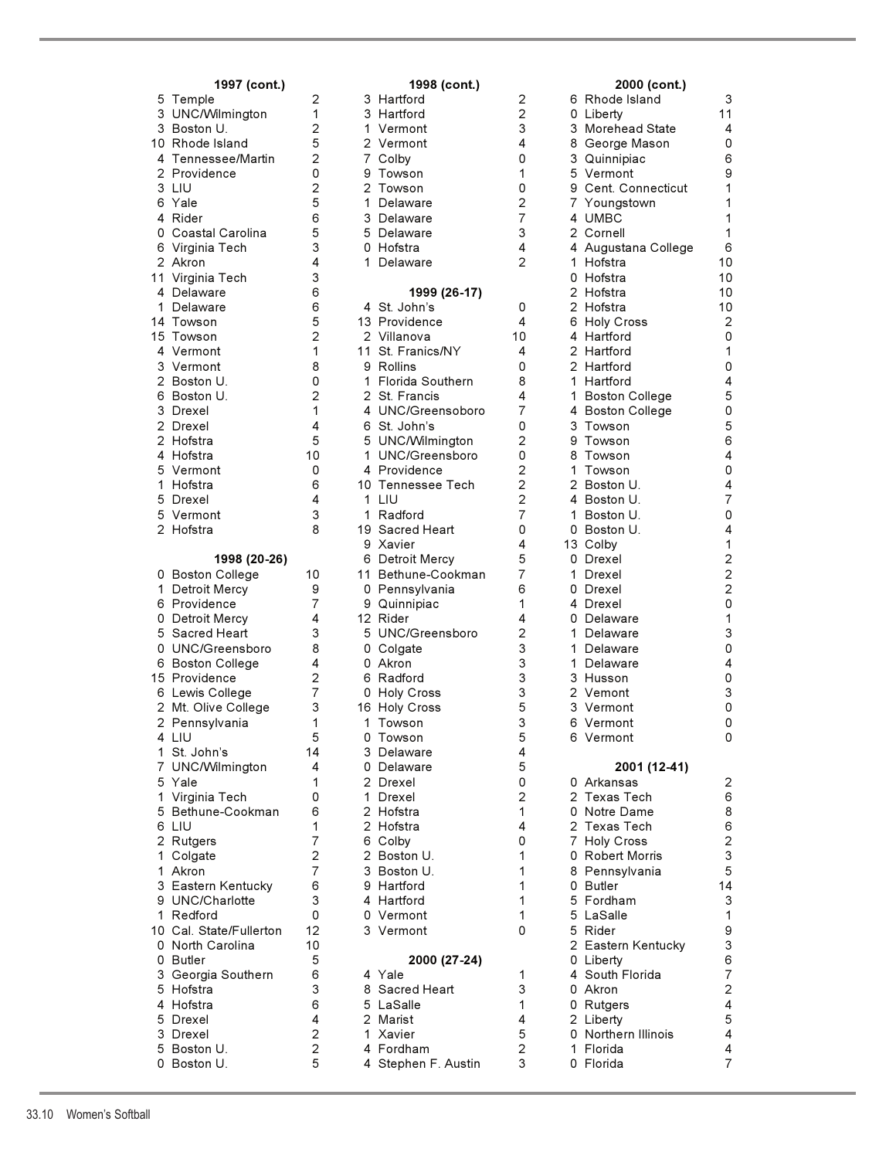|                | 1997 (cont.)                          |    |
|----------------|---------------------------------------|----|
| 5              | Temple                                |    |
| 3              | UNC/Wilmington                        |    |
|                | 3 Boston U.                           |    |
|                | 10 Rhode Island                       |    |
|                | 4 Tennessee/Martin<br>2 Providence    |    |
|                |                                       |    |
|                | $3$ LIU                               |    |
| 6              | Yale                                  |    |
|                | 4 Rider<br>0 Coastal Carolina         |    |
|                |                                       |    |
| $\overline{c}$ | 6 Virginia Tech                       |    |
| 11             | Akron<br>Virginia Tech                |    |
|                | 4 Delaware                            |    |
| $\mathbf{1}$   | Delaware                              |    |
| 14             | Towson                                |    |
|                | 15 Towson                             |    |
|                |                                       |    |
|                | 4 Vermont<br>3 Vermont<br>2 Boston U. |    |
|                |                                       |    |
|                | 6 Boston U.                           |    |
|                |                                       |    |
|                | 3 Drexel<br>2 Drexel                  |    |
|                | 2 Hofstra                             |    |
|                | 4 Hofstra                             | 1  |
| 5              | Vermont                               |    |
|                | 1 Hofstra                             |    |
|                | 5 Drexel<br>5 Vermont                 |    |
|                |                                       |    |
|                | 2 Hofstra                             |    |
|                |                                       |    |
|                | 1998 (20-26)                          |    |
| 0              | <b>Boston College</b>                 | 1  |
|                |                                       |    |
| $\mathbf{1}$   | Detroit Mercy                         |    |
| 6              | Providence                            |    |
| 0              | Detroit Mercy                         |    |
| 5              | Sacred Heart                          |    |
|                | 0 UNC/Greensboro                      |    |
| 6              | <b>Boston College</b>                 |    |
|                | 15 Providence                         |    |
|                | 6 Lewis College                       |    |
| $\overline{2}$ | 2 Mt. Olive College                   |    |
| 4              | Pennsylvania<br>LIU                   |    |
| 1              | St. John's                            | 1. |
| $\overline{7}$ | UNC/Wilmington                        |    |
| 5              | Yale                                  |    |
| $\mathbf 1$    | Virginia Tech                         |    |
| 5              | Bethune-Cookman                       |    |
| 6              | LIU                                   |    |
| $\overline{2}$ | Rutgers                               |    |
| $\mathbf{1}$   | Colgate                               |    |
| 1              | Akron                                 |    |
| 3              | Eastern Kentucky                      |    |
| 9              | UNC/Charlotte                         |    |
| $\mathbf{1}$   | Redford                               |    |
| 10             | Cal. State/Fullerton                  | 1  |
| 0              | North Carolina                        | 1  |
| 0              | <b>Butler</b>                         |    |
| 3              | Georgia Southern                      |    |
| 5              | Hofstra                               |    |
| 4              | Hofstra                               |    |
|                | Drexel<br>Drexel                      |    |
| 5<br>3<br>5    | Boston U.                             |    |

|                                     |                   |   | 1998 (cont.)                          |                     |    |                                  |                           |
|-------------------------------------|-------------------|---|---------------------------------------|---------------------|----|----------------------------------|---------------------------|
| 1997 (cont.)<br>5 Temple            | 2                 |   | 3 Hartford                            | 2                   |    | 2000 (cont.)<br>6 Rhode Island   | 3                         |
| 3 UNC/Wilmington                    | 1                 |   | 3 Hartford                            | $\overline{c}$      |    | 0 Liberty                        | 11                        |
| 3 Boston U.                         | $\overline{2}$    |   | 1 Vermont                             | 3                   |    | 3 Morehead State                 | 4                         |
| 10 Rhode Island                     | 5                 |   | 2 Vermont                             | 4                   |    | 8 George Mason                   | 0                         |
| 4 Tennessee/Martin                  | 2                 |   | 7 Colby                               | 0                   |    | 3 Quinnipiac                     | 6                         |
| 2 Providence                        | 0                 | 9 | Towson                                | 1                   |    | 5 Vermont                        | 9                         |
| 3 LIU                               | $\overline{2}$    |   | 2 Towson                              | 0                   |    | 9 Cent. Connecticut              | 1                         |
| 6 Yale                              | 5                 |   | 1 Delaware                            | $\overline{c}$      |    | 7 Youngstown                     | 1                         |
| 4 Rider                             | 6                 |   | 3 Delaware                            | $\overline{7}$      |    | 4 UMBC                           | 1                         |
| 0 Coastal Carolina                  | 5                 |   | 5 Delaware                            | 3                   |    | 2 Cornell                        | 1                         |
| 6 Virginia Tech                     | 3                 |   | 0 Hofstra                             | 4                   |    | 4 Augustana College              | 6                         |
| 2 Akron                             | 4                 |   | 1 Delaware                            | $\overline{2}$      |    | 1 Hofstra                        | 10                        |
| 11 Virginia Tech                    | 3                 |   |                                       |                     |    | 0 Hofstra                        | 10                        |
| 4 Delaware                          | 6<br>6            |   | 1999 (26-17)                          |                     |    | 2 Hofstra                        | 10                        |
| 1 Delaware<br>14 Towson             | 5                 |   | 4 St. John's<br>13 Providence         | 0<br>4              |    | 2 Hofstra<br>6 Holy Cross        | 10<br>$\overline{2}$      |
| 15 Towson                           | 2                 |   | 2 Villanova                           | 10                  |    | 4 Hartford                       | 0                         |
| 4 Vermont                           | 1                 |   | 11 St. Franics/NY                     | 4                   |    | 2 Hartford                       | $\mathbf{1}$              |
| 3 Vermont                           | 8                 |   | 9 Rollins                             | 0                   |    | 2 Hartford                       | 0                         |
| 2 Boston U.                         | 0                 |   | 1 Florida Southern                    | 8                   |    | 1 Hartford                       | 4                         |
| 6 Boston U.                         | 2                 |   | 2 St. Francis                         | 4                   |    | 1 Boston College                 | 5                         |
| 3 Drexel                            | 1                 |   | 4 UNC/Greensoboro                     | 7                   |    | 4 Boston College                 | 0                         |
| 2 Drexel                            | 4                 |   | 6 St. John's                          | 0                   |    | 3 Towson                         | 5                         |
| 2 Hofstra                           | 5                 |   | 5 UNC/Wilmington                      | 2                   | 9  | Towson                           | 6                         |
| 4 Hofstra                           | 10                |   | 1 UNC/Greensboro                      | 0                   |    | 8 Towson                         | 4                         |
| 5 Vermont                           | 0                 |   | 4 Providence                          | $\overline{2}$      |    | 1 Towson                         | 0                         |
| 1 Hofstra                           | 6                 |   | 10 Tennessee Tech                     | 2                   |    | 2 Boston U.                      | 4                         |
| 5 Drexel                            | 4                 |   | 1 LIU                                 | $\overline{2}$      |    | 4 Boston U.                      | $\overline{7}$            |
| 5 Vermont                           | 3                 |   | 1 Radford                             | 7                   |    | 1 Boston U.                      | 0                         |
| 2 Hofstra                           | 8                 |   | 19 Sacred Heart                       | 0                   |    | 0 Boston U.                      | 4                         |
|                                     |                   |   | 9 Xavier                              | 4                   |    | 13 Colby                         | 1<br>$\overline{c}$       |
| 1998 (20-26)                        | 10                |   | 6 Detroit Mercy<br>11 Bethune-Cookman | 5<br>7              | 1. | 0 Drexel<br>Drexel               | $\overline{c}$            |
| 0 Boston College<br>1 Detroit Mercy | 9                 |   | 0 Pennsylvania                        | 6                   |    | 0 Drexel                         | $\overline{c}$            |
| 6 Providence                        | $\overline{7}$    |   | 9 Quinnipiac                          | 1                   |    | 4 Drexel                         | 0                         |
| 0 Detroit Mercy                     | 4                 |   | 12 Rider                              | 4                   |    | 0 Delaware                       | 1                         |
| 5 Sacred Heart                      | 3                 |   | 5 UNC/Greensboro                      | $\overline{2}$      | 1. | Delaware                         | 3                         |
| 0 UNC/Greensboro                    | 8                 |   | 0 Colgate                             | 3                   | 1. | Delaware                         | 0                         |
| 6 Boston College                    | 4                 |   | 0 Akron                               | 3                   |    | 1 Delaware                       | 4                         |
| 15 Providence                       | $\overline{2}$    |   | 6 Radford                             | 3                   |    | 3 Husson                         | 0                         |
| 6 Lewis College                     | $\overline{7}$    |   | 0 Holy Cross                          | 3                   |    | 2 Vemont                         | 3                         |
| 2 Mt. Olive College                 | 3                 |   | 16 Holy Cross                         | 5                   |    | 3 Vermont                        | 0                         |
| 2 Pennsylvania                      | 1                 |   | 1 Towson                              | 3                   |    | 6 Vermont                        | 0                         |
| 4 LIU                               | 5                 |   | 0 Towson                              | 5                   |    | 6 Vermont                        | 0                         |
| 1 St. John's                        | 14                |   | 3 Delaware                            | 4                   |    |                                  |                           |
| 7 UNC/Wilmington                    | 4                 |   | 0 Delaware                            | 5                   |    | 2001 (12-41)                     |                           |
| 5 Yale<br>1 Virginia Tech           | 1<br>0            |   | 2 Drexel<br>1 Drexel                  | 0<br>$\overline{2}$ |    | 0 Arkansas<br>2 Texas Tech       | $\overline{c}$<br>6       |
| 5 Bethune-Cookman                   | 6                 |   | 2 Hofstra                             | 1                   |    | 0 Notre Dame                     | 8                         |
| 6 LIU                               | 1                 |   | 2 Hofstra                             | 4                   |    | 2 Texas Tech                     | 6                         |
| 2 Rutgers                           | $\overline{7}$    |   | 6 Colby                               | 0                   |    | 7 Holy Cross                     | $\mathbf 2$               |
| 1 Colgate                           | 2                 |   | 2 Boston U.                           | 1                   |    | 0 Robert Morris                  | $\mathsf 3$               |
| 1 Akron                             | $\overline{7}$    |   | 3 Boston U.                           | 1                   |    | 8 Pennsylvania                   | 5                         |
| 3 Eastern Kentucky                  | 6                 |   | 9 Hartford                            | 1                   |    | 0 Butler                         | 14                        |
| 9 UNC/Charlotte                     | 3                 |   | 4 Hartford                            | 1                   |    | 5 Fordham                        | 3                         |
| 1 Redford                           | 0                 |   | 0 Vermont                             | 1                   |    | 5 LaSalle                        | $\mathbf{1}$              |
| 10 Cal. State/Fullerton             | 12                |   | 3 Vermont                             | 0                   |    | 5 Rider                          | $\boldsymbol{9}$          |
| 0 North Carolina                    | 10                |   |                                       |                     |    | 2 Eastern Kentucky               | $\ensuremath{\mathsf{3}}$ |
| 0 Butler                            | 5                 |   | 2000 (27-24)                          |                     |    | 0 Liberty                        | 6                         |
| 3 Georgia Southern                  | 6                 |   | 4 Yale                                | 1                   |    | 4 South Florida                  | $\overline{7}$            |
| 5 Hofstra                           | 3                 |   | 8 Sacred Heart                        | 3                   |    | 0 Akron                          | $\sqrt{2}$                |
| 4 Hofstra                           | 6                 |   | 5 LaSalle                             | 1                   |    | 0 Rutgers                        | $\overline{\mathbf{4}}$   |
| 5 Drexel<br>3 Drexel                | 4<br>$\mathbf{2}$ |   | 2 Marist<br>1 Xavier                  | 4<br>5              |    | 2 Liberty<br>0 Northern Illinois | $\mathbf 5$<br>4          |
| 5 Boston U.                         | $\overline{c}$    |   | 4 Fordham                             | $\overline{2}$      |    | 1 Florida                        | 4                         |
| 0 Boston U.                         | 5                 |   | 4 Stephen F. Austin                   | 3                   |    | 0 Florida                        | $\overline{7}$            |
|                                     |                   |   |                                       |                     |    |                                  |                           |

|                         | 2000 (cont.)                              |                                                 |
|-------------------------|-------------------------------------------|-------------------------------------------------|
| 6                       | Rhode Island                              | 3                                               |
| 0<br>3                  | Liberty<br>Morehead State                 | 11<br>4                                         |
| 8                       | George Mason                              | 0                                               |
| 3                       | Quinnipiac                                | 6                                               |
| 5                       | Vermont                                   | 9                                               |
| 9                       | Cent. Connecticut                         | 1                                               |
| 7                       | Youngstown                                | 1                                               |
| 4                       | <b>UMBC</b>                               | 1                                               |
| $\overline{a}$          | Cornell                                   | 1                                               |
| 4<br>1                  | Augustana College                         | 6                                               |
| 0                       | Hofstra<br>Hofstra                        | 10<br>10                                        |
| $\overline{2}$          | Hofstra                                   | 10                                              |
| $\overline{a}$          | Hofstra                                   | 10                                              |
| 6                       | <b>Holy Cross</b>                         | 2                                               |
| 4                       | Hartford                                  | 0                                               |
| $\overline{2}$          | Hartford                                  | 1                                               |
| $\overline{c}$          | Hartford                                  | 0                                               |
| $\mathbf{1}$            | Hartford                                  | 4                                               |
| 1                       | <b>Boston College</b><br>4 Boston College | 5<br>0                                          |
| 3                       | Towson                                    | 5                                               |
| 9                       | Towson                                    | 6                                               |
| 8                       | Towson                                    | 4                                               |
| 1                       | Towson                                    | 0                                               |
| $\overline{2}$          | Boston U.                                 | 4                                               |
| 4                       | Boston U.                                 | $\overline{7}$                                  |
| 1                       | Boston U.                                 | 0                                               |
| 0<br>13                 | Boston U.<br>Colby                        | 4                                               |
| 0                       | Drexel                                    | $12201$<br>$13$                                 |
| $\mathbf{1}$            | Drexel                                    |                                                 |
| 0                       | Drexel                                    |                                                 |
| 4                       | Drexel                                    |                                                 |
| 0                       | Delaware                                  |                                                 |
| 1                       | Delaware                                  |                                                 |
| $\mathbf{1}$            | Delaware                                  | 0                                               |
| $\mathbf{1}$<br>3       | Delaware<br>Husson                        | $\begin{array}{c} 4 \\ 0 \\ 3 \\ 0 \end{array}$ |
| $\overline{c}$          | Vemont                                    |                                                 |
| 3                       | Vermont                                   |                                                 |
| 6                       | Vermont                                   | 0                                               |
| 6                       | Vermont                                   | 0                                               |
|                         |                                           |                                                 |
| 0                       | 2001 (12-41)<br>Arkansas                  | 2                                               |
| $\overline{\mathbf{c}}$ | <b>Texas Tech</b>                         |                                                 |
| 0                       | Notre Dame                                |                                                 |
| $\frac{2}{7}$           | <b>Texas Tech</b>                         | 6<br>8<br>6<br>2<br>3<br>5<br>4<br>4            |
|                         | <b>Holy Cross</b>                         |                                                 |
| 0                       | <b>Robert Morris</b>                      |                                                 |
| 8<br>0                  | Pennsylvania                              |                                                 |
|                         | <b>Butler</b><br>Fordham                  |                                                 |
| 5<br>5<br>5             | LaSalle                                   |                                                 |
|                         | Rider                                     |                                                 |
| $\overline{a}$          | Eastern Kentucky                          | 31936724544                                     |
| 0                       | Liberty                                   |                                                 |
| 4                       | South Florida                             |                                                 |
| 0                       | Akron                                     |                                                 |
| 0                       | Rutgers                                   |                                                 |
| $\overline{2}$<br>0     | Liberty<br>Northern Illinois              |                                                 |
| $\mathbf{1}$            | Florida                                   |                                                 |
| 0                       | Florida                                   | $\overline{7}$                                  |
|                         |                                           |                                                 |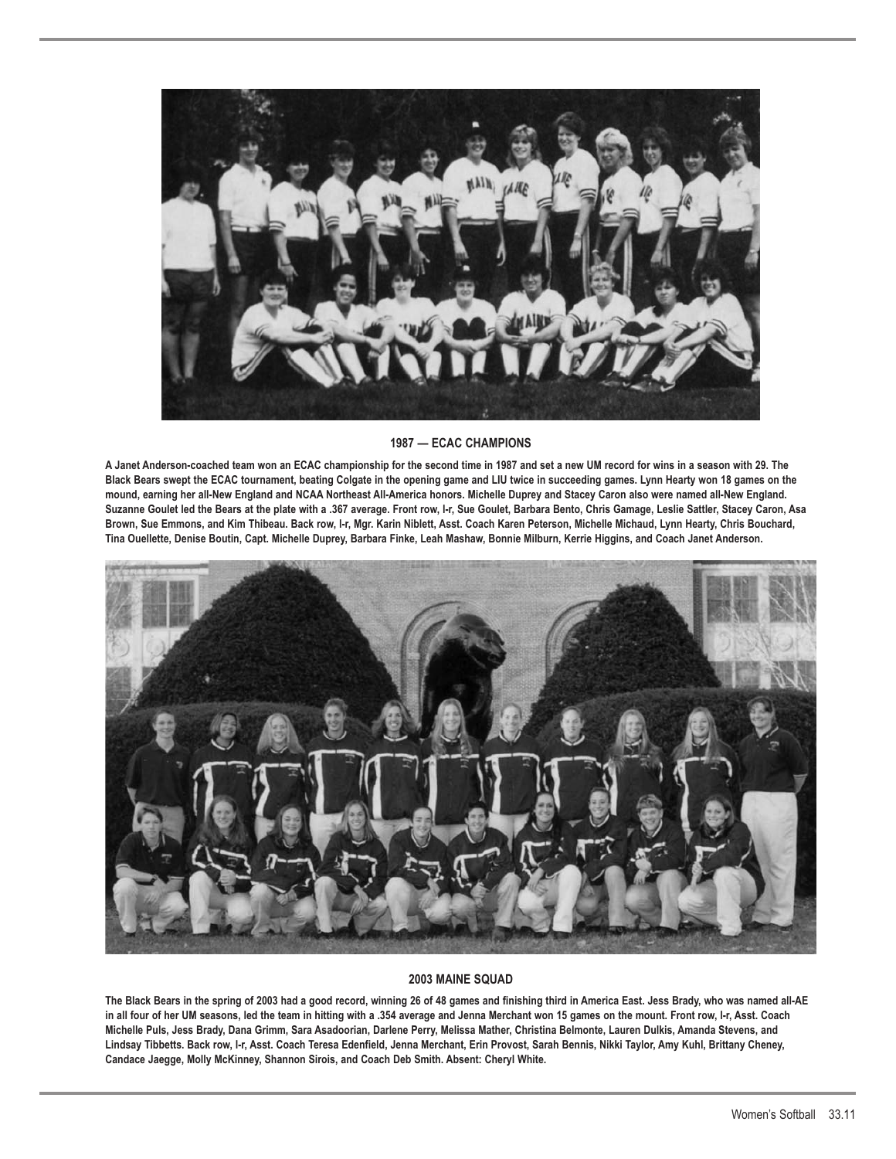

### **1987 — ECAC CHAMPIONS**

**A Janet Anderson-coached team won an ECAC championship for the second time in 1987 and set a new UM record for wins in a season with 29. The Black Bears swept the ECAC tournament, beating Colgate in the opening game and LIU twice in succeeding games. Lynn Hearty won 18 games on the mound, earning her all-New England and NCAA Northeast All-America honors. Michelle Duprey and Stacey Caron also were named all-New England. Suzanne Goulet led the Bears at the plate with a .367 average. Front row, l-r, Sue Goulet, Barbara Bento, Chris Gamage, Leslie Sattler, Stacey Caron, Asa Brown, Sue Emmons, and Kim Thibeau. Back row, l-r, Mgr. Karin Niblett, Asst. Coach Karen Peterson, Michelle Michaud, Lynn Hearty, Chris Bouchard, Tina Ouellette, Denise Boutin, Capt. Michelle Duprey, Barbara Finke, Leah Mashaw, Bonnie Milburn, Kerrie Higgins, and Coach Janet Anderson.**



#### **2003 MAINE SQUAD**

**The Black Bears in the spring of 2003 had a good record, winning 26 of 48 games and finishing third in America East. Jess Brady, who was named all-AE in all four of her UM seasons, led the team in hitting with a .354 average and Jenna Merchant won 15 games on the mount. Front row, l-r, Asst. Coach Michelle Puls, Jess Brady, Dana Grimm, Sara Asadoorian, Darlene Perry, Melissa Mather, Christina Belmonte, Lauren Dulkis, Amanda Stevens, and Lindsay Tibbetts. Back row, l-r, Asst. Coach Teresa Edenfield, Jenna Merchant, Erin Provost, Sarah Bennis, Nikki Taylor, Amy Kuhl, Brittany Cheney, Candace Jaegge, Molly McKinney, Shannon Sirois, and Coach Deb Smith. Absent: Cheryl White.**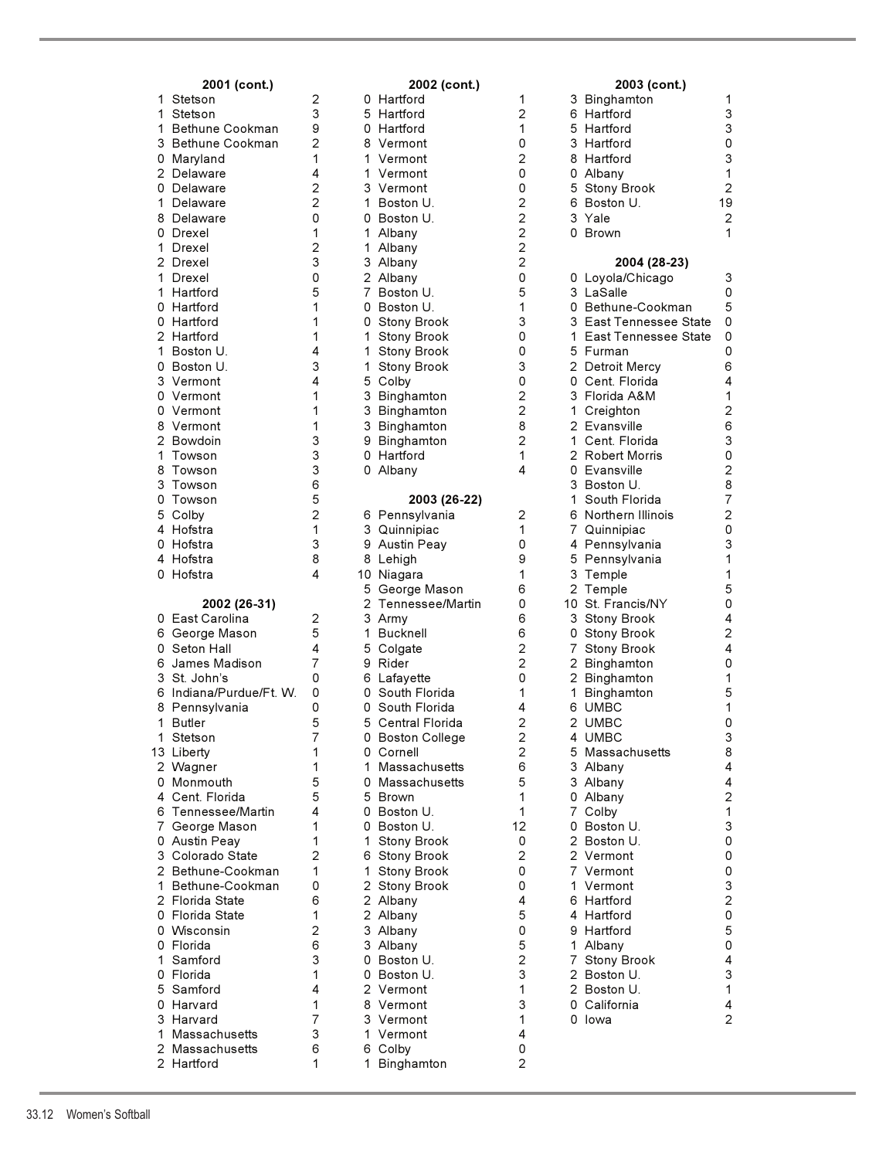| 2001 (cont.)                       |                                  |                | 2002 (cont.)                  |                                           |        | 2003 (cont.)                    |
|------------------------------------|----------------------------------|----------------|-------------------------------|-------------------------------------------|--------|---------------------------------|
| Stetson<br>1                       | 2                                |                | 0 Hartford                    | 1                                         | 3      | Binghamton                      |
| Stetson<br>1                       | 3                                |                | 5 Hartford                    | $\overline{2}$                            |        | 6 Hartford                      |
| Bethune Cookman<br>1               | 9                                |                | 0 Hartford                    | 1                                         |        | 5 Hartford                      |
| 3  Bethune Cookman                 | $\overline{2}$                   |                | 8 Vermont                     | 0                                         |        | 3 Hartford                      |
| Maryland<br>0                      | 1                                | 1              | Vermont                       | $\overline{2}$                            |        | 8 Hartford                      |
| 2 Delaware                         | 4                                | 1              | Vermont                       | 0                                         |        | 0 Albany                        |
| 0<br>Delaware<br>Delaware<br>1     | $\overline{c}$<br>$\overline{2}$ | 1.             | 3 Vermont<br>Boston U.        | 0<br>$\overline{2}$                       | 5<br>6 | <b>Stony Brook</b><br>Boston U. |
| Delaware<br>8                      | 0                                |                | 0 Boston U.                   | $\overline{2}$                            |        | 3 Yale                          |
| 0 Drexel                           | 1                                | 1              | Albany                        | $\overline{2}$                            |        | 0 Brown                         |
| 1.<br>Drexel                       | $\overline{c}$                   |                | 1 Albany                      | $\overline{c}$                            |        |                                 |
| 2 Drexel                           | 3                                |                | 3 Albany                      | $\overline{2}$                            |        | 2004 (28-23)                    |
| Drexel<br>1                        | 0                                |                | 2 Albany                      | 0                                         |        | 0 Loyola/Chicago                |
| Hartford<br>1                      | 5                                | $\overline{7}$ | Boston U.                     | 5                                         |        | 3 LaSalle                       |
| Hartford<br>0                      | 1                                |                | 0 Boston U.                   | 1                                         |        | 0 Bethune-Cookmar               |
| Hartford<br>0                      | 1                                |                | 0 Stony Brook                 | 3                                         |        | 3 East Tennessee S              |
| 2 Hartford                         | 1                                | 1              | <b>Stony Brook</b>            | 0                                         |        | 1 East Tennessee S              |
| 1.<br>Boston U.                    | 4                                | 1              | <b>Stony Brook</b>            | 0                                         |        | 5 Furman                        |
| Boston U.<br>0                     | 3                                | 1              | <b>Stony Brook</b>            | 3                                         |        | 2 Detroit Mercy                 |
| 3 Vermont                          | 4                                | 5              | Colby                         | 0                                         | 0      | Cent. Florida                   |
| 0 Vermont                          | 1                                |                | 3 Binghamton                  | $\overline{2}$                            |        | 3 Florida A&M                   |
| 0 Vermont                          | 1                                |                | 3 Binghamton                  | $\overline{2}$                            | 1.     | Creighton                       |
| 8 Vermont                          | 1                                |                | 3 Binghamton                  | 8                                         |        | 2 Evansville                    |
| 2 Bowdoin                          | 3                                | 9              | Binghamton                    | $\overline{2}$                            | 1.     | Cent. Florida                   |
| Towson<br>1                        | 3                                | 0              | Hartford                      | 1                                         |        | 2 Robert Morris                 |
| Towson<br>8<br>3<br>Towson         | 3<br>6                           |                | 0 Albany                      | 4                                         |        | 0 Evansville<br>3 Boston U.     |
| Towson<br>0                        | 5                                |                | 2003 (26-22)                  |                                           | 1      | South Florida                   |
| 5 Colby                            | $\overline{2}$                   |                | 6 Pennsylvania                | 2                                         |        | 6 Northern Illinois             |
| Hofstra<br>4                       | 1                                |                | 3 Quinnipiac                  | 1                                         |        | 7 Quinnipiac                    |
| 0 Hofstra                          | 3                                |                | 9 Austin Peay                 | 0                                         |        | 4 Pennsylvania                  |
| 4 Hofstra                          | 8                                |                | 8 Lehigh                      | 9                                         | 5      | Pennsylvania                    |
| 0 Hofstra                          | 4                                |                | 10 Niagara                    | 1                                         | 3      | Temple                          |
|                                    |                                  | 5              | George Mason                  | 6                                         |        | 2 Temple                        |
| 2002 (26-31)                       |                                  | 2              | Tennessee/Martin              | 0                                         |        | 10 St. Francis/NY               |
| East Carolina<br>0                 | 2                                |                | 3 Army                        | 6                                         |        | 3 Stony Brook                   |
| 6 George Mason                     | 5                                | 1              | <b>Bucknell</b>               | 6                                         | 0      | <b>Stony Brook</b>              |
| 0 Seton Hall                       | 4                                |                | 5 Colgate                     | $\overline{2}$                            | 7      | <b>Stony Brook</b>              |
| 6 James Madison                    | 7                                |                | 9 Rider                       | $\overline{2}$                            |        | 2 Binghamton                    |
| 3 St. John's                       | 0                                |                | 6 Lafayette                   | 0                                         |        | 2 Binghamton                    |
| 6 Indiana/Purdue/Ft. W.            | 0                                |                | 0 South Florida               | 1                                         | 1.     | Binghamton                      |
| 8 Pennsylvania                     | 0                                |                | 0 South Florida               | 4                                         |        | 6 UMBC                          |
| 1 Butler<br>1                      | 5                                |                | 5 Central Florida             | $\overline{2}$                            |        | 2 UMBC<br><b>UMBC</b>           |
| Stetson<br>13 Liberty              | 7<br>1                           |                | 0 Boston College<br>0 Cornell | $\overline{\mathbf{c}}$<br>$\overline{2}$ | 4      | 5 Massachusetts                 |
| 2 Wagner                           | 1                                |                | 1 Massachusetts               | 6                                         |        | 3 Albany                        |
| 0 Monmouth                         | 5                                | 0              | Massachusetts                 | 5                                         |        | 3 Albany                        |
| 4 Cent. Florida                    | 5                                |                | 5 Brown                       | 1                                         |        | 0 Albany                        |
| 6 Tennessee/Martin                 | 4                                |                | 0 Boston U.                   | 1                                         | 7      | Colby                           |
| 7 George Mason                     | 1                                | 0              | Boston U.                     | 12                                        | 0      | Boston U.                       |
| 0 Austin Peay                      | 1                                | 1              | Stony Brook                   | 0                                         |        | 2 Boston U.                     |
| 3 Colorado State                   | 2                                |                | 6 Stony Brook                 | $\overline{2}$                            |        | 2 Vermont                       |
| 2 Bethune-Cookman                  | 1                                | 1.             | <b>Stony Brook</b>            | 0                                         |        | 7 Vermont                       |
| 1 Bethune-Cookman                  | 0                                |                | 2 Stony Brook                 | 0                                         |        | 1 Vermont                       |
| 2 Florida State                    | 6                                |                | 2 Albany                      | 4                                         |        | 6 Hartford                      |
| 0 Florida State                    | 1                                |                | 2 Albany                      | 5                                         |        | 4 Hartford                      |
| 0 Wisconsin                        | 2                                |                | 3 Albany                      | 0                                         |        | 9 Hartford                      |
| 0 Florida                          | 6                                |                | 3 Albany                      | 5                                         |        | 1 Albany                        |
| 1 Samford                          | 3                                |                | 0 Boston U.                   | $\overline{c}$                            |        | 7 Stony Brook                   |
| 0 Florida                          | 1                                |                | 0 Boston U.                   | 3                                         |        | 2 Boston U.                     |
| 5 Samford                          | 4                                |                | 2 Vermont                     | 1                                         |        | 2 Boston U.                     |
| 0 Harvard                          | 1                                |                | 8 Vermont                     | 3                                         |        | 0 California                    |
| 3 Harvard                          | 7<br>3                           | 1.             | 3 Vermont                     | 1                                         |        | 0 lowa                          |
| 1 Massachusetts<br>2 Massachusetts | 6                                |                | Vermont<br>6 Colby            | 4<br>0                                    |        |                                 |
| 2 Hartford                         | 1                                |                | 1 Binghamton                  | $\overline{2}$                            |        |                                 |
|                                    |                                  |                |                               |                                           |        |                                 |

|    | 2001 (cont.)           |                | 2002 (cont.)                       |                              |
|----|------------------------|----------------|------------------------------------|------------------------------|
| 1  | Stetson                | 2              | 0 Hartford                         | 1                            |
| 1  | Stetson                | 3              | 5 Hartford                         | 2                            |
| 1  | Bethune Cookman        | 9              | 0 Hartford                         | 1                            |
| 3  | Bethune Cookman        | 2              | 8 Vermont                          | 0                            |
| 0  | Maryland               | 1              | 1 Vermont                          | $\overline{c}$               |
| 2  | Delaware               | 4              | 1 Vermont                          | 0                            |
| 0  | Delaware               | $\overline{2}$ | 3 Vermont                          | 0                            |
| 1  | Delaware               | 2              | 1 Boston U.                        | 2222                         |
| 8  | Delaware               | 0              | 0 Boston U.                        |                              |
| 0  | Drexel                 | 1              | 1 Albany                           |                              |
| 1  | Drexel                 | 2              | 1 Albany                           |                              |
| 2  | Drexel                 | 3              | 3 Albany                           |                              |
| 1  | Drexel                 | 0              | 2 Albany                           | 0                            |
| 1  | Hartford               | 5              | 7 Boston U.                        | 5                            |
|    | 0 Hartford             | 1              | 0 Boston U.                        | 1                            |
| 0  | Hartford               | 1              | 0 Stony Brook                      | 3                            |
| 1  | 2 Hartford             | 1              | $\mathbf{1}$<br><b>Stony Brook</b> | 0                            |
| 0  | Boston U.              | 4<br>3         | 1 Stony Brook                      | 0<br>3                       |
|    | Boston U.<br>3 Vermont | 4              | Stony Brook<br>1.                  | 0                            |
| 0  | Vermont                | 1              | 5 Colby                            |                              |
| 0  | Vermont                | 1              | 3 Binghamton<br>3 Binghamton       | $\frac{2}{2}$                |
| 8  | Vermont                | 1              | 3 Binghamton                       | 8                            |
| 2  | Bowdoin                | 3              | 9 Binghamton                       | $\overline{c}$               |
| 1  | Towson                 | 3              | 0 Hartford                         | $\mathbf{1}$                 |
| 8  | Towson                 | 3              | 0 Albany                           | 4                            |
| 3  | Towson                 | 6              |                                    |                              |
| 0  | Towson                 | 5              | 2003 (26-22)                       |                              |
| 5  | Colby                  | $\overline{c}$ | 6 Pennsylvania                     | 2                            |
|    | 4 Hofstra              | 1              | 3 Quinnipiac                       | 1                            |
|    | 0 Hofstra              | 3              | 9 Austin Peay                      | 0                            |
| 4  | Hofstra                | 8              | 8 Lehigh                           | 9                            |
|    | 0 Hofstra              | 4              | 10 Niagara                         | 1                            |
|    |                        |                | 5 George Mason                     | 6                            |
|    | 2002 (26-31)           |                | 2 Tennessee/Martin                 | 0                            |
| 0  | East Carolina          | 2              | 3 Army                             | 6                            |
|    | 6 George Mason         | 5              | 1 Bucknell                         | 6                            |
| 0  | Seton Hall             | 4              | 5 Colgate                          | $\overline{\mathbf{c}}$      |
| 6  | James Madison          | 7              | 9 Rider                            | $\overline{\mathbf{c}}$      |
| 3  | St. John's             | 0              | 6 Lafayette                        | 0                            |
| 6  | Indiana/Purdue/Ft. W.  | 0              | 0 South Florida                    | 1                            |
| 8  | Pennsylvania           | 0<br>5         | South Florida<br>0                 | 4                            |
| 1  | Butler<br>Stetson      | 7              | 5<br>Central Florida               | $\overline{c}$               |
| 1  | 13 Liberty             | 1              | 0 Boston College<br>0 Cornell      | 2<br>$\overline{\mathbf{c}}$ |
|    | 2 Wagner               | 1              | 1.<br>Massachusetts                | 6                            |
|    | 0 Monmouth             | 5              | 0 Massachusetts                    | 5                            |
|    | 4 Cent. Florida        | 5              | 5 Brown                            | 1                            |
| 6  | Tennessee/Martin       | 4              | 0 Boston U.                        | 1                            |
|    | 7 George Mason         | 1              | 0 Boston U.                        | 12                           |
|    | 0 Austin Peay          | 1              | Stony Brook<br>1.                  | 0                            |
|    | 3 Colorado State       | 2              | 6 Stony Brook                      | $\overline{c}$               |
|    | 2 Bethune-Cookman      | 1              | 1 Stony Brook                      | 0                            |
| 1. | Bethune-Cookman        | 0              | 2 Stony Brook                      | 0                            |
|    | 2 Florida State        | 6              | 2 Albany                           | 4                            |
|    | 0 Florida State        | 1              | 2 Albany                           | 5                            |
|    | 0 Wisconsin            | $\overline{2}$ | 3 Albany                           | 0                            |
|    | 0 Florida              | 6              | 3 Albany                           | 5                            |
|    | Samford                | 3              | 0 Boston U.                        | $\overline{\mathbf{c}}$      |
| 1  | 0 Florida              | 1              | 0 Boston U.                        | 3                            |
|    | Samford                | 4              | 2 Vermont                          | 1                            |
| 5. | Harvard                | 1              | 8 Vermont                          | 3                            |
| 0  |                        | 7              | 3 Vermont                          | 1                            |
|    | 3 Harvard              |                |                                    |                              |
| 1  | Massachusetts          | 3              | 1 Vermont                          | 4                            |
|    | 2 Massachusetts        | 6              | 6 Colby                            | 0                            |
|    | 2 Hartford             | 1              | 1<br>Binghamton                    | $\overline{2}$               |

| 2001 (cont.)            |                | 2002 (cont.) |                            | 2003 (cont.)   |   |                                 |                |
|-------------------------|----------------|--------------|----------------------------|----------------|---|---------------------------------|----------------|
| 1 Stetson               | 2              |              | 0 Hartford                 | 1              |   | 3 Binghamton                    | 1              |
| Stetson<br>1.           | 3              |              | 5 Hartford                 | $\overline{2}$ |   | 6 Hartford                      | 3              |
| Bethune Cookman<br>1.   | 9              |              | 0 Hartford                 | 1              |   | 5 Hartford                      | 3              |
| 3 Bethune Cookman       | 2              |              | 8 Vermont                  | 0              |   | 3 Hartford                      | $\pmb{0}$      |
| 0 Maryland              | 1              | 1.           | Vermont                    | 2              |   | 8 Hartford                      | 3              |
| 2 Delaware              | 4              |              | 1 Vermont                  | 0              |   | 0 Albany                        | 1              |
| 0 Delaware              | 2              |              | 3 Vermont                  | 0              |   | 5 Stony Brook                   | $\overline{2}$ |
| 1.<br>Delaware          | $\overline{2}$ | 1.           | Boston U.                  | 2              | 6 | Boston U.                       | 19             |
| 8 Delaware              | 0              |              | 0 Boston U.                | 2              |   | 3 Yale                          | $\overline{2}$ |
| 0 Drexel                | 1              | 1.           | Albany                     | 2              |   | 0 Brown                         | 1              |
| 1 Drexel                | 2              | 1.           | Albany                     | $\overline{c}$ |   |                                 |                |
| 2 Drexel                | 3              |              | 3 Albany                   | $\overline{c}$ |   | 2004 (28-23)                    |                |
| 1.<br>Drexel            | 0              |              | 2 Albany                   | 0              |   | 0 Loyola/Chicago                | 3              |
| 1 Hartford              | 5              | 7.           | Boston U.                  | 5              |   | 3 LaSalle                       | 0              |
| 0 Hartford              | 1              |              | 0 Boston U.                | 1              |   | 0 Bethune-Cookman               | 5              |
| 0 Hartford              | 1              | 0            | <b>Stony Brook</b>         | 3              |   | 3 East Tennessee State          | 0              |
| 2 Hartford              | 1              | 1.           | <b>Stony Brook</b>         | 0              |   | 1 East Tennessee State          | 0              |
| 1.<br>Boston U.         | 4              | 1            | <b>Stony Brook</b>         | 0              |   | 5 Furman                        | 0              |
| 0 Boston U.             | 3              | 1            | <b>Stony Brook</b>         | 3              |   | 2 Detroit Mercy                 | 6              |
| 3 Vermont               | 4              |              | 5 Colby                    | 0              |   | 0 Cent. Florida                 | 4              |
| 0 Vermont               | 1              |              | 3 Binghamton               | 2              |   | 3 Florida A&M                   | 1              |
| 0 Vermont               | 1<br>1         |              | 3 Binghamton               | 2<br>8         |   | 1 Creighton                     | 2<br>6         |
| 8 Vermont<br>2 Bowdoin  | 3              |              | 3 Binghamton               | 2              |   | 2 Evansville<br>1 Cent. Florida | 3              |
| 1 Towson                | 3              |              | 9 Binghamton<br>0 Hartford | 1              |   | 2 Robert Morris                 | 0              |
| 8 Towson                | 3              |              | 0 Albany                   | 4              |   | 0 Evansville                    | $\overline{2}$ |
| 3 Towson                | 6              |              |                            |                |   | 3 Boston U.                     | 8              |
| 0 Towson                | 5              |              | 2003 (26-22)               |                | 1 | South Florida                   | $\overline{7}$ |
| 5 Colby                 | 2              |              | 6 Pennsylvania             | $\overline{2}$ |   | 6 Northern Illinois             | $\overline{c}$ |
| 4 Hofstra               | 1              |              | 3 Quinnipiac               | 1              |   | 7 Quinnipiac                    | $\pmb{0}$      |
| 0 Hofstra               | 3              |              | 9 Austin Peay              | 0              |   | 4 Pennsylvania                  | 3              |
| 4 Hofstra               | 8              |              | 8 Lehigh                   | 9              |   | 5 Pennsylvania                  | 1              |
| 0 Hofstra               | 4              |              | 10 Niagara                 | 1              |   | 3 Temple                        | 1              |
|                         |                |              | 5 George Mason             | 6              |   | 2 Temple                        | 5              |
| 2002 (26-31)            |                |              | 2 Tennessee/Martin         | 0              |   | 10 St. Francis/NY               | 0              |
| 0 East Carolina         | 2              |              | 3 Army                     | 6              |   | 3 Stony Brook                   | 4              |
| 6 George Mason          | 5              | 1.           | <b>Bucknell</b>            | 6              | 0 | <b>Stony Brook</b>              | 2              |
| 0 Seton Hall            | 4              |              | 5 Colgate                  | 2              |   | 7 Stony Brook                   | 4              |
| 6 James Madison         | 7              |              | 9 Rider                    | 2              |   | 2 Binghamton                    | 0              |
| 3 St. John's            | 0              |              | 6 Lafayette                | 0              |   | 2 Binghamton                    | 1              |
| 6 Indiana/Purdue/Ft. W. | 0              |              | 0 South Florida            | 1              |   | 1 Binghamton                    | 5              |
| 8.<br>Pennsylvania      | 0              |              | 0 South Florida            | 4              |   | 6 UMBC                          | 1              |
| 1 Butler                | 5              |              | 5 Central Florida          | 2              |   | 2 UMBC                          | 0              |
| 1 Stetson               | 7              |              | 0 Boston College           | 2              |   | 4 UMBC                          | 3              |
| 13 Liberty              | 1              |              | 0 Cornell                  | $\overline{c}$ |   | 5 Massachusetts                 | 8              |
| 2 Wagner                | 1              | 1.           | Massachusetts              | 6              |   | 3 Albany                        | $\overline{4}$ |
| 0 Monmouth              | 5              |              | 0 Massachusetts            | 5              |   | 3 Albany                        | 4              |
| 4 Cent. Florida         | 5              |              | 5 Brown                    | 1              |   | 0 Albany                        | $\overline{2}$ |
| 6 Tennessee/Martin      | 4              |              | 0 Boston U.                | 1              |   | 7 Colby                         | 1              |
| 7 George Mason          | 1              |              | 0 Boston U.                | 12             |   | 0 Boston U.                     | 3              |
| 0 Austin Peay           | 1              | 1.           | Stony Brook                | 0              |   | 2 Boston U.                     | 0              |
| 3 Colorado State        | 2              |              | 6 Stony Brook              | $\overline{2}$ |   | 2 Vermont                       | 0              |
| 2 Bethune-Cookman       | 1              | 1.           | Stony Brook                | 0              |   | 7 Vermont                       | 0              |
| 1 Bethune-Cookman       | 0              |              | 2 Stony Brook              | 0              |   | 1 Vermont                       | 3              |
| 2 Florida State         | 6              |              | 2 Albany                   | 4              |   | 6 Hartford                      | $\overline{c}$ |
| 0 Florida State         | 1<br>2         |              | 2 Albany                   | 5<br>0         |   | 4 Hartford                      | 0              |
| 0 Wisconsin             | 6              |              | 3 Albany                   | 5              |   | 9 Hartford                      | 5<br>0         |
| 0 Florida<br>1 Samford  | 3              |              | 3 Albany<br>0 Boston U.    | $\overline{2}$ |   | 1 Albany                        | 4              |
| 0 Florida               | 1              |              | 0 Boston U.                | 3              |   | 7 Stony Brook<br>2 Boston U.    | 3              |
| 5 Samford               | 4              |              | 2 Vermont                  | 1              |   | 2 Boston U.                     | 1              |
| 0 Harvard               | 1              |              | 8 Vermont                  | 3              |   | 0 California                    | 4              |
| 3 Harvard               | 7              |              | 3 Vermont                  | 1              |   | 0 lowa                          | 2              |
| 1 Massachusetts         | 3              |              | 1 Vermont                  | 4              |   |                                 |                |
| 2 Massachusetts         | 6              |              | 6 Colby                    | 0              |   |                                 |                |
| 2 Hartford              | 1              |              | 1 Binghamton               | 2              |   |                                 |                |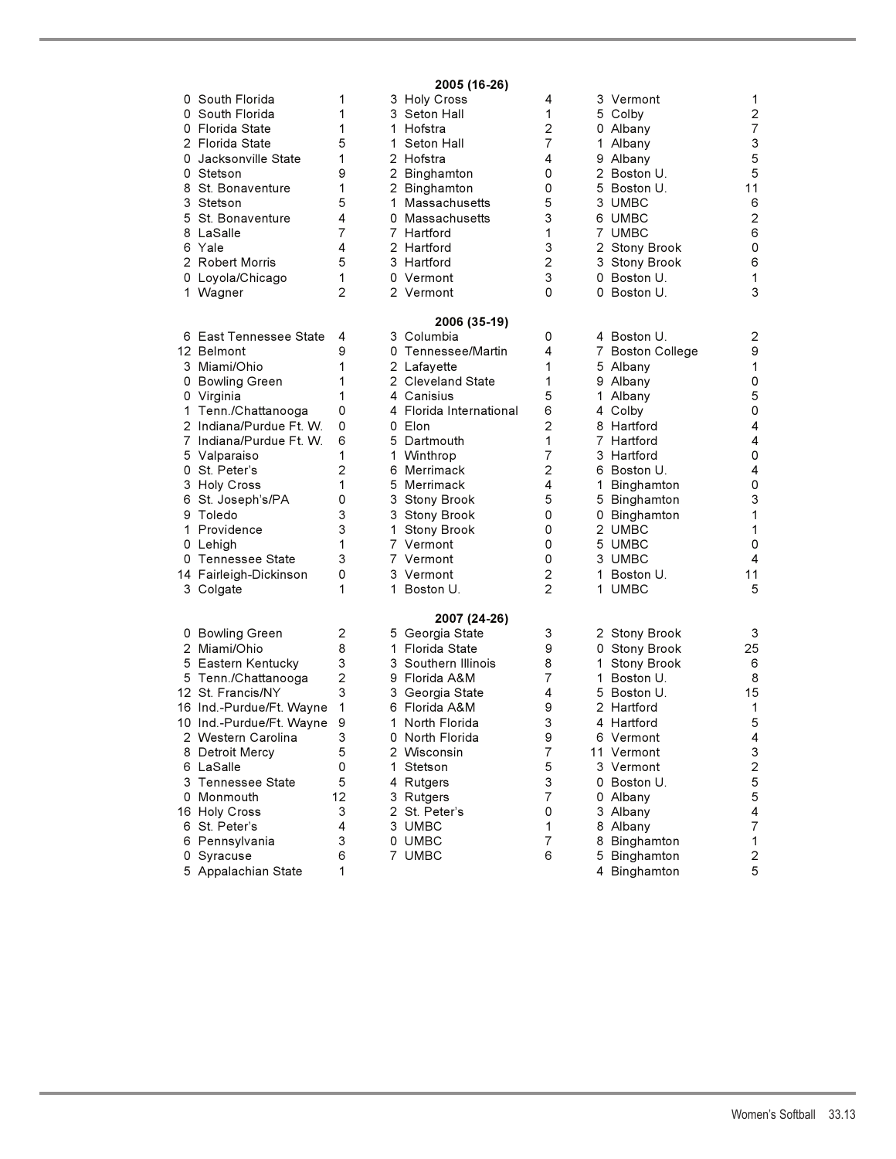# **2005 (16-26)**

| 0 | South Florida            | 1              |    | 3 Holy Cross            | 4              |    | 3 Vermont        | 1                         |
|---|--------------------------|----------------|----|-------------------------|----------------|----|------------------|---------------------------|
|   | 0 South Florida          | 1              |    | 3 Seton Hall            | 1              |    | 5 Colby          | $\overline{c}$            |
|   | 0 Florida State          | 1              |    | 1 Hofstra               | 2              |    | 0 Albany         | $\overline{7}$            |
|   | 2 Florida State          | 5              |    | 1 Seton Hall            | $\overline{7}$ |    | 1 Albany         | 3                         |
|   | 0 Jacksonville State     | 1              |    | 2 Hofstra               | 4              |    | 9 Albany         | 5                         |
|   | 0 Stetson                | 9              |    | 2 Binghamton            | 0              |    | 2 Boston U.      | 5                         |
|   | 8 St. Bonaventure        | 1              |    | 2 Binghamton            | 0              |    | 5 Boston U.      | 11                        |
|   | 3 Stetson                | 5              |    | 1 Massachusetts         | 5              |    | 3 UMBC           | 6                         |
|   | 5 St. Bonaventure        | 4              |    | 0 Massachusetts         | 3              |    | 6 UMBC           | $\mathbf 2$               |
|   |                          | 7              |    |                         | 1              |    |                  | 6                         |
|   | 8 LaSalle                |                |    | 7 Hartford              |                |    | 7 UMBC           |                           |
|   | 6 Yale                   | 4              |    | 2 Hartford              | 3              |    | 2 Stony Brook    | 0                         |
|   | 2 Robert Morris          | 5              |    | 3 Hartford              | $\overline{2}$ |    | 3 Stony Brook    | 6                         |
|   | 0 Loyola/Chicago         | 1              |    | 0 Vermont               | 3              |    | 0 Boston U.      | $\mathbf{1}$              |
|   | 1 Wagner                 | $\overline{2}$ |    | 2 Vermont               | 0              |    | 0 Boston U.      | 3                         |
|   |                          |                |    | 2006 (35-19)            |                |    |                  |                           |
|   | 6 East Tennessee State   | 4              |    | 3 Columbia              | 0              |    | 4 Boston U.      | $\overline{\mathbf{c}}$   |
|   | 12 Belmont               | 9              |    | 0 Tennessee/Martin      | 4              |    | 7 Boston College | 9                         |
|   | 3 Miami/Ohio             | 1              |    | 2 Lafayette             | 1              |    | 5 Albany         | $\mathbf 1$               |
|   | 0 Bowling Green          | 1              |    | 2 Cleveland State       | 1              |    | 9 Albany         | 0                         |
|   | 0 Virginia               | 1              |    | 4 Canisius              | 5              |    | 1 Albany         | 5                         |
|   | 1 Tenn./Chattanooga      | 0              |    | 4 Florida International | 6              |    | 4 Colby          | 0                         |
|   | 2 Indiana/Purdue Ft. W.  | 0              |    | 0 Elon                  | $\overline{2}$ |    | 8 Hartford       | 4                         |
|   | 7 Indiana/Purdue Ft. W.  | 6              |    | 5 Dartmouth             | 1              |    | 7 Hartford       | 4                         |
|   |                          | 1              |    |                         | 7              |    | 3 Hartford       | 0                         |
|   | 5 Valparaiso             | $\overline{2}$ |    | 1 Winthrop              | $\overline{2}$ |    |                  |                           |
|   | 0 St. Peter's            |                |    | 6 Merrimack             |                |    | 6 Boston U.      | 4                         |
|   | 3 Holy Cross             | 1              |    | 5 Merrimack             | 4              | 1. | Binghamton       | $\mathsf{O}\xspace$       |
|   | 6 St. Joseph's/PA        | 0              |    | 3 Stony Brook           | 5              | 5. | Binghamton       | 3                         |
|   | 9 Toledo                 | 3              |    | 3 Stony Brook           | 0              |    | 0 Binghamton     | $\mathbf{1}$              |
|   | 1 Providence             | 3              |    | 1 Stony Brook           | 0              |    | 2 UMBC           | 1                         |
|   | 0 Lehigh                 | 1              |    | 7 Vermont               | 0              |    | 5 UMBC           | 0                         |
|   | 0 Tennessee State        | 3              |    | 7 Vermont               | 0              |    | 3 UMBC           | $\overline{4}$            |
|   | 14 Fairleigh-Dickinson   | 0              |    | 3 Vermont               | $\overline{2}$ |    | 1 Boston U.      | 11                        |
|   | 3 Colgate                | 1              |    | 1 Boston U.             | $\overline{2}$ |    | 1 UMBC           | 5                         |
|   |                          |                |    | 2007 (24-26)            |                |    |                  |                           |
|   | 0 Bowling Green          | 2              |    | 5 Georgia State         | 3              |    | 2 Stony Brook    | 3                         |
|   | 2 Miami/Ohio             | 8              |    | 1 Florida State         | 9              |    | 0 Stony Brook    | 25                        |
|   | 5 Eastern Kentucky       | 3              |    | 3 Southern Illinois     | 8              |    | 1 Stony Brook    | 6                         |
|   | 5 Tenn./Chattanooga      | $\overline{2}$ |    | 9 Florida A&M           | 7              | 1. | Boston U.        | 8                         |
|   | 12 St. Francis/NY        | 3              |    | 3 Georgia State         | 4              |    | 5 Boston U.      | 15                        |
|   |                          | 1              |    | 6 Florida A&M           | 9              |    |                  | 1                         |
|   | 16 Ind.-Purdue/Ft. Wayne |                |    |                         |                |    | 2 Hartford       |                           |
|   | 10 Ind.-Purdue/Ft. Wayne | 9              |    | 1 North Florida         | 3              |    | 4 Hartford       | 5                         |
|   | 2 Western Carolina       | 3              |    | 0 North Florida         | 9              |    | 6 Vermont        | 4                         |
|   | 8 Detroit Mercy          | 5              |    | 2 Wisconsin             | $\overline{7}$ |    | 11 Vermont       | $\ensuremath{\mathsf{3}}$ |
|   | 6 LaSalle                | 0              | 1. | Stetson                 | 5              |    | 3 Vermont        | $\mathbf{2}$              |
|   | 3 Tennessee State        | 5              |    | 4 Rutgers               | 3              |    | 0 Boston U.      | $\mathbf 5$               |
|   | 0 Monmouth               | 12             |    | 3 Rutgers               | $\overline{7}$ |    | 0 Albany         | $\sqrt{5}$                |
|   | 16 Holy Cross            | 3              |    | 2 St. Peter's           | 0              |    | 3 Albany         | $\overline{\mathbf{4}}$   |
|   | 6 St. Peter's            | $\overline{4}$ |    | 3 UMBC                  | 1              |    | 8 Albany         | $\overline{7}$            |
|   | 6 Pennsylvania           | 3              |    | 0 UMBC                  | $\overline{7}$ | 8. | Binghamton       | $\mathbf{1}$              |
|   | 0 Syracuse               | 6              |    | 7 UMBC                  | 6              |    | 5 Binghamton     | $\mathbf 2$               |
|   | 5 Appalachian State      | 1              |    |                         |                |    | 4 Binghamton     | 5                         |
|   |                          |                |    |                         |                |    |                  |                           |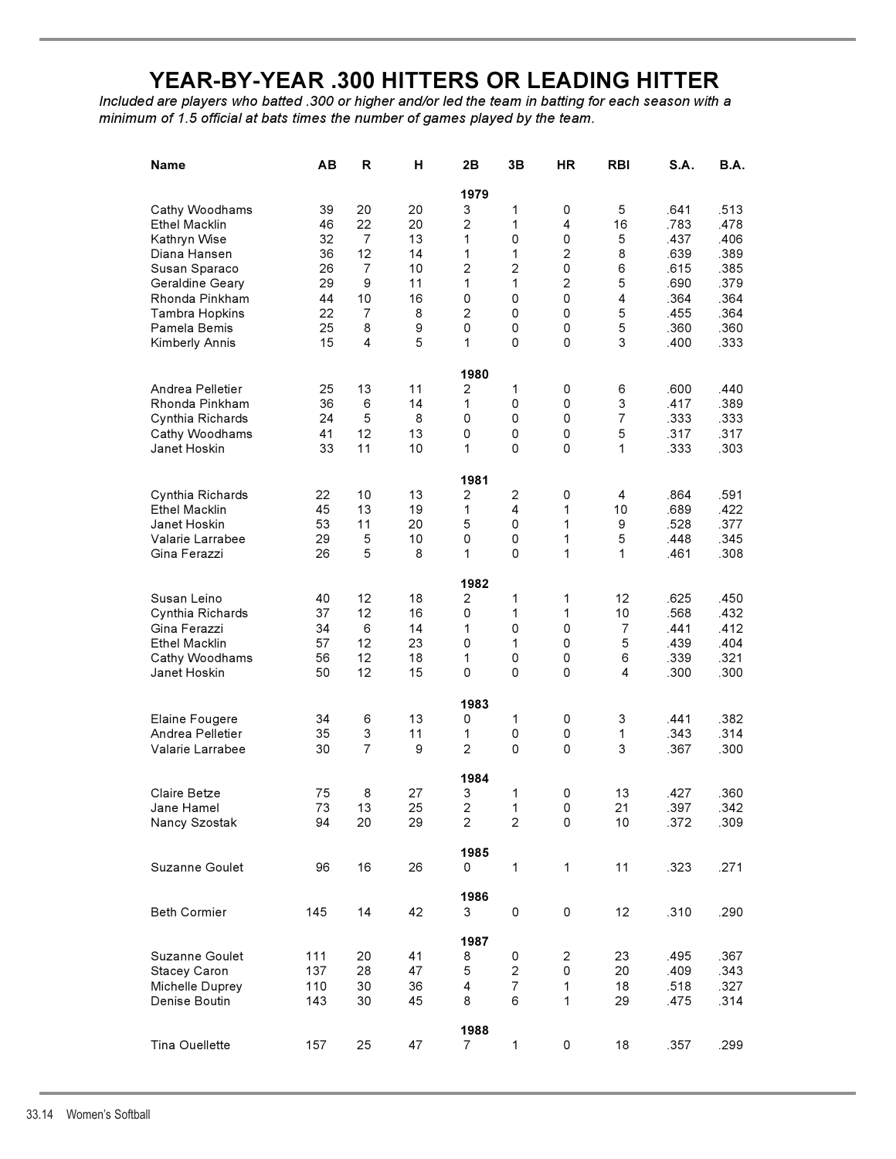# **YEAR-BY-YEAR .300 HITTERS OR LEADING HITTER**

*Included are players who batted .300 or higher and/or led the team in batting for each season with a minimum of 1.5 official at bats times the number of games played by the team.*

| Name                             | AВ         | R              | н        | 2B                      | 3B                      | <b>HR</b>               | <b>RBI</b>     | S.A.         | B.A.         |
|----------------------------------|------------|----------------|----------|-------------------------|-------------------------|-------------------------|----------------|--------------|--------------|
|                                  |            |                |          | 1979                    |                         |                         |                |              |              |
| Cathy Woodhams                   | 39         | 20             | 20       | 3                       | 1                       | 0                       | 5              | .641         | .513         |
| Ethel Macklin                    | 46         | 22             | 20       | $\overline{c}$          | 1                       | 4                       | 16             | .783         | .478         |
| Kathryn Wise                     | 32         | $\overline{7}$ | 13       | 1                       | 0                       | 0                       | 5              | .437         | .406         |
| Diana Hansen                     | 36         | 12             | 14       | 1                       | 1                       | $\overline{c}$          | 8              | .639         | .389         |
| Susan Sparaco                    | 26         | $\overline{7}$ | 10       | $\overline{2}$          | 2                       | 0                       | 6              | .615         | .385         |
| Geraldine Geary                  | 29         | 9              | 11       | 1                       | 1                       | $\overline{2}$          | 5              | .690         | .379         |
| Rhonda Pinkham                   | 44         | 10             | 16       | 0                       | $\mathsf 0$             | 0                       | 4              | .364         | .364         |
| <b>Tambra Hopkins</b>            | 22         | $\overline{7}$ | 8        | $\overline{2}$          | 0                       | 0                       | 5              | .455         | .364         |
| Pamela Bemis                     | 25         | 8              | 9        | 0                       | 0                       | 0                       | 5              | .360         | .360         |
| Kimberly Annis                   | 15         | 4              | 5        | 1                       | 0                       | 0                       | 3              | .400         | .333         |
|                                  |            |                |          |                         |                         |                         |                |              |              |
|                                  |            |                |          | 1980                    |                         |                         |                |              |              |
| Andrea Pelletier                 | 25         | 13             | 11       | 2                       | 1                       | 0                       | 6              | .600         | .440         |
| Rhonda Pinkham                   | 36         | 6              | 14       | 1                       | 0                       | 0                       | 3              | .417         | .389         |
| Cynthia Richards                 | 24         | 5              | 8        | 0                       | 0                       | 0                       | 7              | .333         | .333         |
| Cathy Woodhams                   | 41         | 12             | 13       | 0                       | 0                       | 0                       | 5              | .317         | .317         |
| Janet Hoskin                     | 33         | 11             | 10       | 1                       | 0                       | 0                       | 1              | .333         | .303         |
|                                  |            |                |          | 1981                    |                         |                         |                |              |              |
| Cynthia Richards                 | 22         | 10             | 13       | 2                       | 2                       | 0                       | 4              | .864         | .591         |
| <b>Ethel Macklin</b>             | 45         | 13             | 19       | 1                       | 4                       | 1                       | 10             | .689         | .422         |
| Janet Hoskin                     | 53         | 11             | 20       | 5                       | 0                       | 1                       | 9              | .528         | .377         |
| Valarie Larrabee                 | 29         | 5              | 10       | 0                       | 0                       | 1                       | 5              | .448         | .345         |
| Gina Ferazzi                     | 26         | 5              | 8        | 1                       | 0                       | 1                       | 1              | .461         | .308         |
|                                  |            |                |          |                         |                         |                         |                |              |              |
|                                  |            |                |          | 1982                    |                         |                         |                |              |              |
| Susan Leino                      | 40         | 12             | 18       | $\overline{c}$          | 1                       | 1                       | 12             | .625         | .450         |
| Cynthia Richards                 | 37         | 12             | 16       | 0                       | 1                       | 1                       | 10             | .568         | .432         |
| Gina Ferazzi                     | 34         | 6              | 14       | 1                       | 0                       | 0                       | $\overline{7}$ | .441         | .412         |
| <b>Ethel Macklin</b>             | 57         | 12             | 23       | 0                       | 1                       | 0                       | 5              | .439         | .404         |
| Cathy Woodhams                   | 56         | 12             | 18       | 1                       | 0                       | 0                       | 6              | .339         | .321         |
| Janet Hoskin                     | 50         | 12             | 15       | 0                       | 0                       | 0                       | 4              | .300         | .300         |
|                                  |            |                |          | 1983                    |                         |                         |                |              |              |
| Elaine Fougere                   | 34         | 6              | 13       | 0                       | 1                       | 0                       | 3              | .441         | .382         |
| Andrea Pelletier                 | 35         | 3              | 11       | 1                       | 0                       | 0                       | 1              | .343         | .314         |
| Valarie Larrabee                 | 30         | $\overline{7}$ | 9        | $\overline{2}$          | 0                       | 0                       | 3              | .367         | .300         |
|                                  |            |                |          |                         |                         |                         |                |              |              |
| Claire Betze                     | 75         | 8              | 27       | 1984<br>3               | 1                       | 0                       | 13             | .427         | .360         |
|                                  |            |                | 25       |                         |                         |                         |                |              |              |
| Jane Hamel                       | 73         | 13             |          | $\overline{\mathbf{c}}$ | 1                       | 0                       | 21             | .397         | .342         |
| Nancy Szostak                    | 94         | 20             | 29       | $\mathbf{2}$            | $\overline{c}$          | 0                       | 10             | .372         | .309         |
|                                  |            |                |          | 1985                    |                         |                         |                |              |              |
| Suzanne Goulet                   | 96         | 16             | 26       | 0                       | 1                       | 1                       | 11             | .323         | .271         |
|                                  |            |                |          | 1986                    |                         |                         |                |              |              |
| <b>Beth Cormier</b>              | 145        | 14             | 42       | 3                       | 0                       | 0                       | 12             | .310         | .290         |
|                                  |            |                |          |                         |                         |                         |                |              |              |
| Suzanne Goulet                   | 111        | 20             | 41       | 1987<br>8               | 0                       | $\overline{\mathbf{c}}$ | 23             | .495         | .367         |
| Stacey Caron                     | 137        | 28             | 47       | 5                       | $\overline{\mathbf{c}}$ | 0                       | 20             | .409         | .343         |
|                                  |            |                |          |                         | $\overline{7}$          |                         |                |              |              |
| Michelle Duprey<br>Denise Boutin | 110<br>143 | 30<br>30       | 36<br>45 | 4<br>8                  | 6                       | 1<br>1                  | 18<br>29       | .518<br>.475 | .327<br>.314 |
|                                  |            |                |          |                         |                         |                         |                |              |              |
|                                  |            |                |          | 1988                    |                         |                         |                |              |              |
| Tina Ouellette                   | 157        | 25             | 47       | 7                       | $\mathbf{1}$            | 0                       | 18             | .357         | .299         |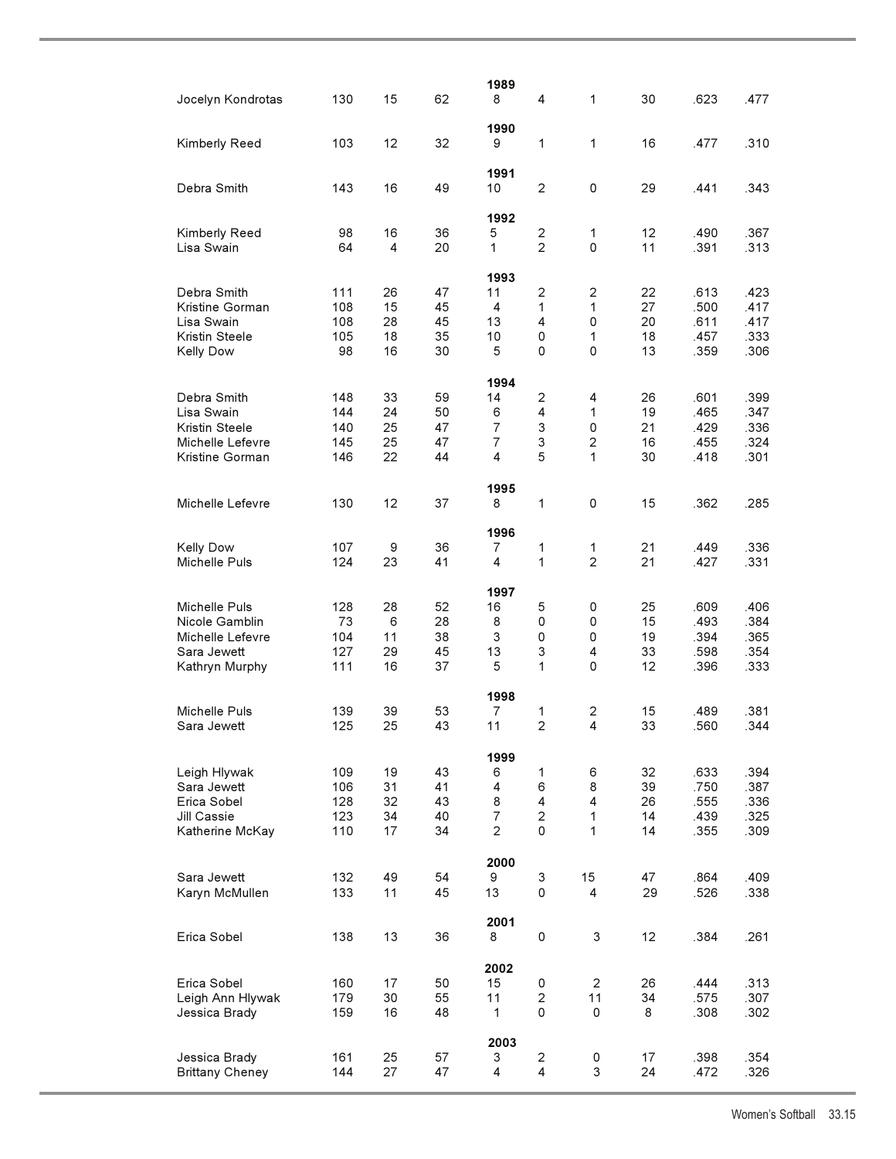| Jocelyn Kondrotas                   | 130        | 15       | 62       | 1989<br>8           | 4                         | 1                   | 30       | .623         | .477         |
|-------------------------------------|------------|----------|----------|---------------------|---------------------------|---------------------|----------|--------------|--------------|
| Kimberly Reed                       | 103        | 12       | 32       | 1990<br>9           | 1                         | 1                   | 16       | .477         | .310         |
| Debra Smith                         | 143        | 16       | 49       | 1991<br>10          | $\overline{2}$            | 0                   | 29       | .441         | .343         |
| Kimberly Reed<br>Lisa Swain         | 98<br>64   | 16<br>4  | 36<br>20 | 1992<br>5<br>1      | 2<br>2                    | 1<br>0              | 12<br>11 | .490<br>.391 | .367<br>.313 |
|                                     |            |          |          | 1993                |                           |                     |          |              |              |
| Debra Smith                         | 111        | 26       | 47       | 11                  | $\overline{c}$            | 2                   | 22       | .613         | .423         |
| Kristine Gorman                     | 108        | 15       | 45       | 4                   | 1                         | 1                   | 27       | .500         | .417         |
| Lisa Swain                          | 108        | 28       | 45       | 13                  | 4                         | 0                   | 20       | .611         | .417         |
| Kristin Steele                      | 105        | 18       | 35       | 10                  | 0                         | 1                   | 18       | .457         | .333         |
| <b>Kelly Dow</b>                    | 98         | 16       | 30       | 5                   | $\Omega$                  | 0                   | 13       | .359         | .306         |
|                                     |            |          |          | 1994                |                           |                     |          |              |              |
| Debra Smith                         | 148        | 33       | 59       | 14                  | 2                         | 4                   | 26       | .601         | .399         |
| Lisa Swain                          | 144        | 24       | 50       | 6                   | 4                         | 1                   | 19       | .465         | .347         |
| Kristin Steele                      | 140        | 25       | 47       | $\overline{7}$      | $\ensuremath{\mathsf{3}}$ | 0                   | 21       | .429         | .336         |
| Michelle Lefevre<br>Kristine Gorman | 145<br>146 | 25<br>22 | 47<br>44 | $\overline{7}$<br>4 | 3<br>5                    | $\overline{c}$<br>1 | 16<br>30 | .455<br>.418 | .324<br>.301 |
|                                     |            |          |          |                     |                           |                     |          |              |              |
| Michelle Lefevre                    | 130        | 12       | 37       | 1995<br>8           | 1                         | 0                   | 15       | .362         | .285         |
|                                     |            |          |          |                     |                           |                     |          |              |              |
|                                     |            |          |          | 1996                |                           |                     |          |              |              |
| <b>Kelly Dow</b><br>Michelle Puls   | 107<br>124 | 9<br>23  | 36<br>41 | 7<br>4              | 1<br>1                    | 1<br>$\overline{2}$ | 21<br>21 | .449<br>.427 | .336<br>.331 |
|                                     |            |          |          | 1997                |                           |                     |          |              |              |
| Michelle Puls                       | 128        | 28       | 52       | 16                  | 5                         | 0                   | 25       | .609         | .406         |
| Nicole Gamblin                      | 73         | 6        | 28       | 8                   | 0                         | 0                   | 15       | .493         | .384         |
| Michelle Lefevre                    | 104        | 11       | 38       | 3                   | 0                         | 0                   | 19       | .394         | .365         |
| Sara Jewett<br>Kathryn Murphy       | 127<br>111 | 29<br>16 | 45<br>37 | 13<br>5             | 3<br>1                    | 4<br>0              | 33<br>12 | .598<br>.396 | .354<br>.333 |
|                                     |            |          |          |                     |                           |                     |          |              |              |
| Michelle Puls                       | 139        | 39       | 53       | 1998<br>7           |                           | 2                   | 15       | .489         | .381         |
| Sara Jewett                         | 125        | 25       | 43       | 11                  | 1<br>$\overline{2}$       | 4                   | 33       | .560         | .344         |
|                                     |            |          |          | 1999                |                           |                     |          |              |              |
| Leigh Hlywak                        | 109        | 19       | 43       | 6                   | $\mathbf{1}$              | 6                   | 32       | .633         | .394         |
| Sara Jewett                         | 106        | 31       | 41       | 4                   | 6                         | 8                   | 39       | .750         | .387         |
| Erica Sobel                         | 128        | 32       | 43       | 8                   | $\overline{4}$            | 4                   | 26       | .555         | .336         |
| Jill Cassie                         | 123        | 34       | 40       | $\overline{7}$      | $\overline{2}$            | 1                   | 14       | .439         | .325         |
| Katherine McKay                     | 110        | 17       | 34       | $\overline{c}$      | 0                         | 1                   | 14       | .355         | .309         |
|                                     |            |          |          | 2000                |                           |                     |          |              |              |
| Sara Jewett                         | 132        | 49       | 54       | 9                   | 3                         | 15                  | 47       | .864         | .409         |
| Karyn McMullen                      | 133        | 11       | 45       | 13                  | 0                         | 4                   | 29       | .526         | .338         |
|                                     |            |          |          | 2001                |                           |                     |          |              |              |
| Erica Sobel                         | 138        | 13       | 36       | 8                   | 0                         | 3                   | 12       | .384         | .261         |
|                                     |            |          |          | 2002                |                           |                     |          |              |              |
| Erica Sobel                         | 160        | 17       | 50       | 15                  | 0                         | $\overline{2}$      | 26       | .444         | .313         |
| Leigh Ann Hlywak                    | 179        | 30       | 55       | 11                  | $\overline{c}$            | 11                  | 34       | .575         | .307         |
| Jessica Brady                       | 159        | 16       | 48       | $\mathbf 1$         | 0                         | 0                   | 8        | .308         | .302         |
|                                     |            |          |          | 2003                |                           |                     |          |              |              |
| Jessica Brady                       | 161        | 25       | 57       | 3                   | 2                         | 0                   | 17       | .398         | .354         |
| <b>Brittany Cheney</b>              | 144        | 27       | 47       | 4                   | $\overline{4}$            | 3                   | 24       | .472         | .326         |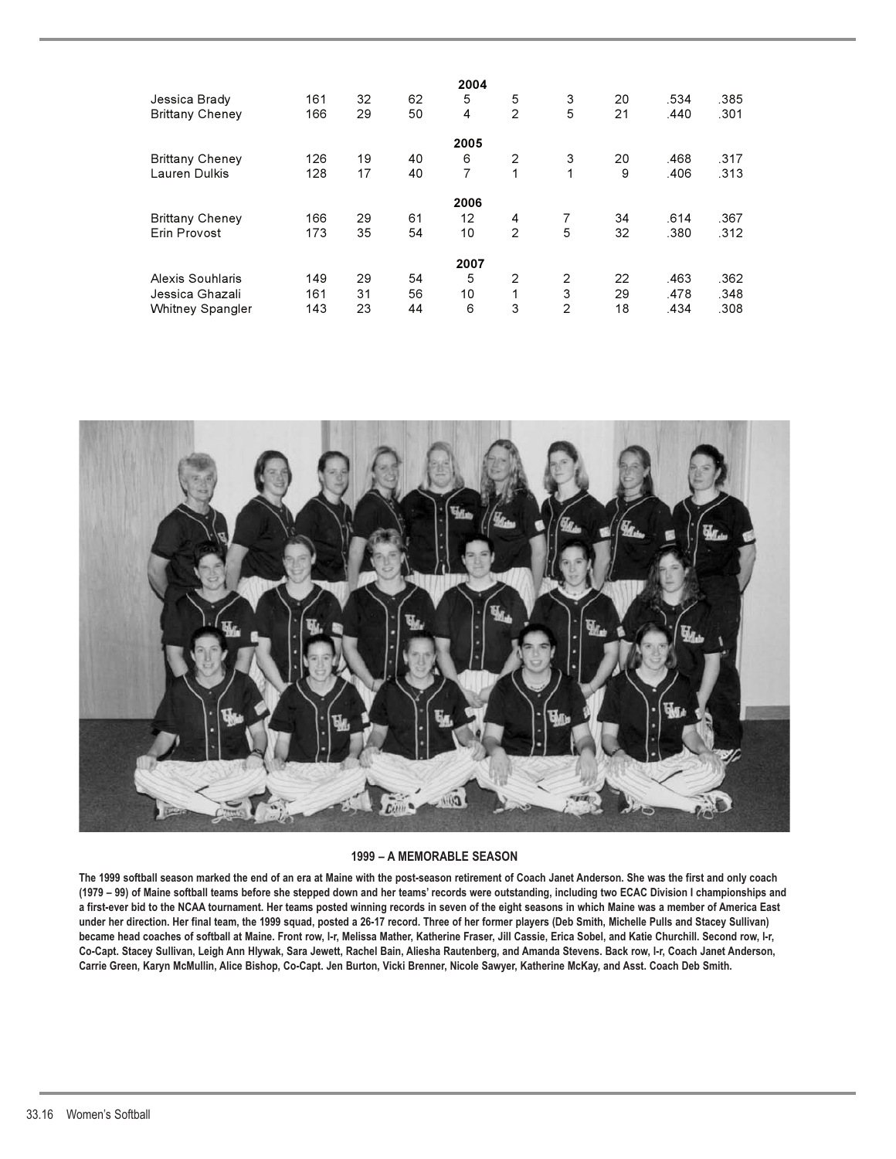|                         |     |    |    | 2004           |   |                |    |      |      |
|-------------------------|-----|----|----|----------------|---|----------------|----|------|------|
| Jessica Brady           | 161 | 32 | 62 | 5              | 5 | 3              | 20 | .534 | .385 |
| <b>Brittany Cheney</b>  | 166 | 29 | 50 | 4              | 2 | 5              | 21 | .440 | .301 |
|                         |     |    |    | 2005           |   |                |    |      |      |
| <b>Brittany Cheney</b>  | 126 | 19 | 40 | 6              | 2 | 3              | 20 | .468 | .317 |
| Lauren Dulkis           | 128 | 17 | 40 | $\overline{7}$ | 1 | 1              | 9  | .406 | .313 |
|                         |     |    |    | 2006           |   |                |    |      |      |
| <b>Brittany Cheney</b>  | 166 | 29 | 61 | 12             | 4 | 7              | 34 | .614 | .367 |
| Erin Provost            | 173 | 35 | 54 | 10             | 2 | 5              | 32 | .380 | .312 |
|                         |     |    |    | 2007           |   |                |    |      |      |
| Alexis Souhlaris        | 149 | 29 | 54 | 5              | 2 | 2              | 22 | .463 | .362 |
| Jessica Ghazali         | 161 | 31 | 56 | 10             | 1 | 3              | 29 | .478 | .348 |
| <b>Whitney Spangler</b> | 143 | 23 | 44 | 6              | 3 | $\overline{2}$ | 18 | .434 | .308 |



#### **1999 – A MEMORABLE SEASON**

**The 1999 softball season marked the end of an era at Maine with the post-season retirement of Coach Janet Anderson. She was the first and only coach (1979 – 99) of Maine softball teams before she stepped down and her teams' records were outstanding, including two ECAC Division I championships and a first-ever bid to the NCAA tournament. Her teams posted winning records in seven of the eight seasons in which Maine was a member of America East under her direction. Her final team, the 1999 squad, posted a 26-17 record. Three of her former players (Deb Smith, Michelle Pulls and Stacey Sullivan) became head coaches of softball at Maine. Front row, l-r, Melissa Mather, Katherine Fraser, Jill Cassie, Erica Sobel, and Katie Churchill. Second row, l-r, Co-Capt. Stacey Sullivan, Leigh Ann Hlywak, Sara Jewett, Rachel Bain, Aliesha Rautenberg, and Amanda Stevens. Back row, l-r, Coach Janet Anderson, Carrie Green, Karyn McMullin, Alice Bishop, Co-Capt. Jen Burton, Vicki Brenner, Nicole Sawyer, Katherine McKay, and Asst. Coach Deb Smith.**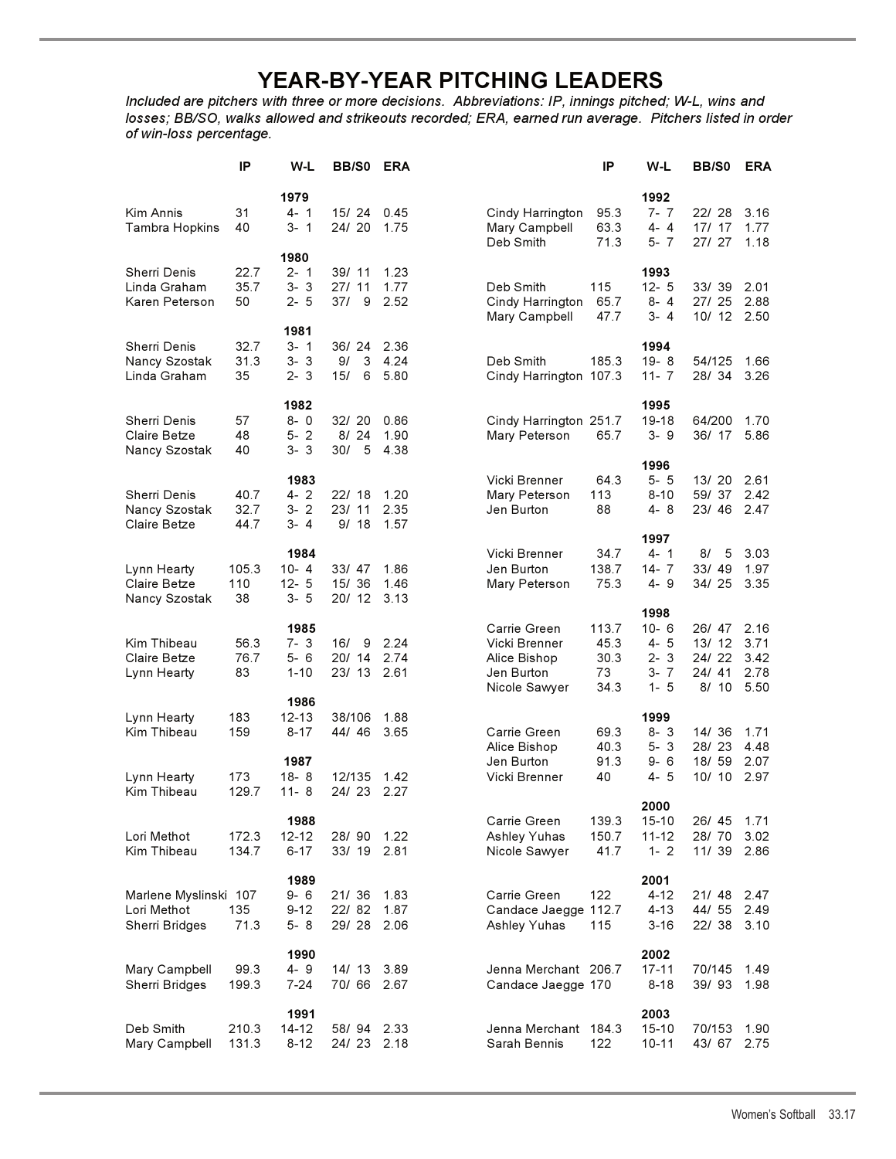# **YEAR-BY-YEAR PITCHING LEADERS**

*Included are pitchers with three or more decisions. Abbreviations: IP, innings pitched; W-L, wins and losses; BB/SO, walks allowed and strikeouts recorded; ERA, earned run average. Pitchers listed in order of win-loss percentage.*

|                                                               | IP                      | W-L                                               | BB/S0                        | <b>ERA</b>           |                                                                              | ΙP                                  | W-L                                                          | BB/S0                                     | <b>ERA</b>                           |
|---------------------------------------------------------------|-------------------------|---------------------------------------------------|------------------------------|----------------------|------------------------------------------------------------------------------|-------------------------------------|--------------------------------------------------------------|-------------------------------------------|--------------------------------------|
| Kim Annis<br><b>Tambra Hopkins</b>                            | 31<br>40                | 1979<br>$4 - 1$<br>3-1                            | 15/24<br>24/20               | 0.45<br>1.75         | Cindy Harrington<br>Mary Campbell<br>Deb Smith                               | 95.3<br>63.3<br>71.3                | 1992<br>7-7<br>4-4<br>$5 - 7$                                | 22/28<br>17/17<br>27/ 27                  | 3.16<br>1.77<br>1.18                 |
| <b>Sherri Denis</b><br>Linda Graham<br>Karen Peterson         | 22.7<br>35.7<br>50      | 1980<br>$2 - 1$<br>$3 - 3$<br>$2 - 5$             | 39/ 11<br>27/11<br>37/<br>9  | 1.23<br>1.77<br>2.52 | Deb Smith<br>Cindy Harrington<br>Mary Campbell                               | 115<br>65.7<br>47.7                 | 1993<br>$12 - 5$<br>$8 - 4$<br>3-4                           | 33/39<br>27/25<br>10/ 12                  | 2.01<br>2.88<br>2.50                 |
| <b>Sherri Denis</b><br>Nancy Szostak<br>Linda Graham          | 32.7<br>31.3<br>35      | 1981<br>$3 - 1$<br>$3 - 3$<br>$2 - 3$             | 36/24<br>3<br>9/<br>15/<br>6 | 2.36<br>4.24<br>5.80 | Deb Smith<br>Cindy Harrington 107.3                                          | 185.3                               | 1994<br>$19 - 8$<br>$11 - 7$                                 | 54/125<br>28/34                           | 1.66<br>3.26                         |
| Sherri Denis<br>Claire Betze<br>Nancy Szostak                 | 57<br>48<br>40          | 1982<br>$8 - 0$<br>$5 - 2$<br>$3 - 3$             | 32/20<br>8/24<br>30/<br>5    | 0.86<br>1.90<br>4.38 | Cindy Harrington 251.7<br>Mary Peterson                                      | 65.7                                | 1995<br>19-18<br>$3 - 9$                                     | 64/200<br>36/ 17                          | 1.70<br>5.86                         |
| Sherri Denis<br>Nancy Szostak<br>Claire Betze                 | 40.7<br>32.7<br>44.7    | 1983<br>$4 - 2$<br>$3 - 2$<br>3-4                 | 22/18<br>23/11<br>9/18       | 1.20<br>2.35<br>1.57 | Vicki Brenner<br>Mary Peterson<br>Jen Burton                                 | 64.3<br>113<br>88                   | 1996<br>$5 - 5$<br>$8 - 10$<br>4-8                           | 13/20<br>59/37<br>23/46                   | 2.61<br>2.42<br>2.47                 |
| Lynn Hearty<br>Claire Betze<br>Nancy Szostak                  | 105.3<br>110<br>38      | 1984<br>$10 - 4$<br>$12 - 5$<br>$3 - 5$           | 33/47<br>15/36<br>20/ 12     | 1.86<br>1.46<br>3.13 | Vicki Brenner<br>Jen Burton<br>Mary Peterson                                 | 34.7<br>138.7<br>75.3               | 1997<br>$4 - 1$<br>$14 - 7$<br>$4 - 9$                       | 8/<br>- 5<br>33/49<br>34/25               | 3.03<br>1.97<br>3.35                 |
| Kim Thibeau<br>Claire Betze<br>Lynn Hearty                    | 56.3<br>76.7<br>83      | 1985<br>$7 - 3$<br>$5 - 6$<br>$1 - 10$            | 16/<br>9<br>20/ 14<br>23/ 13 | 2.24<br>2.74<br>2.61 | Carrie Green<br>Vicki Brenner<br>Alice Bishop<br>Jen Burton<br>Nicole Sawyer | 113.7<br>45.3<br>30.3<br>73<br>34.3 | 1998<br>$10 - 6$<br>$4 - 5$<br>$2 - 3$<br>$3 - 7$<br>$1 - 5$ | 26/ 47<br>13/12<br>24/22<br>24/41<br>8/10 | 2.16<br>3.71<br>3.42<br>2.78<br>5.50 |
| Lynn Hearty<br>Kim Thibeau<br>Lynn Hearty                     | 183<br>159<br>173       | 1986<br>$12 - 13$<br>$8 - 17$<br>1987<br>$18 - 8$ | 38/106<br>44/46<br>12/135    | 1.88<br>3.65<br>1.42 | Carrie Green<br>Alice Bishop<br>Jen Burton<br>Vicki Brenner                  | 69.3<br>40.3<br>91.3<br>40          | 1999<br>$8 - 3$<br>$5 - 3$<br>$9 - 6$<br>4-5                 | 14/36<br>28/23<br>18/ 59<br>10/10         | 1.71<br>4.48<br>2.07<br>2.97         |
| Kim Thibeau<br>Lori Methot<br>Kim Thibeau                     | 129.7<br>172.3<br>134.7 | $11 - 8$<br>1988<br>$12 - 12$<br>$6 - 17$         | 24/23<br>28/90<br>33/19      | 2.27<br>1.22<br>2.81 | Carrie Green<br>Ashley Yuhas<br>Nicole Sawyer                                | 139.3<br>150.7<br>41.7              | 2000<br>$15 - 10$<br>$11 - 12$<br>$1 - 2$                    | 26/ 45<br>28/70<br>11/39                  | 1.71<br>3.02<br>2.86                 |
| Marlene Myslinski 107<br>Lori Methot<br><b>Sherri Bridges</b> | 135<br>71.3             | 1989<br>9-6<br>$9 - 12$<br>5-8                    | 21/36<br>22/82<br>29/28      | 1.83<br>1.87<br>2.06 | Carrie Green<br>Candace Jaegge 112.7<br>Ashley Yuhas                         | 122<br>115                          | 2001<br>$4 - 12$<br>$4 - 13$<br>$3 - 16$                     | 21/48<br>44/ 55<br>22/38                  | 2.47<br>2.49<br>3.10                 |
| Mary Campbell<br>Sherri Bridges                               | 99.3<br>199.3           | 1990<br>$4 - 9$<br>$7 - 24$                       | 14/13<br>70/66               | 3.89<br>2.67         | Jenna Merchant 206.7<br>Candace Jaegge 170                                   |                                     | 2002<br>17-11<br>$8 - 18$                                    | 70/145<br>39/93                           | 1.49<br>1.98                         |
| Deb Smith<br>Mary Campbell                                    | 210.3<br>131.3          | 1991<br>14-12<br>$8 - 12$                         | 58/94<br>24/23               | 2.33<br>2.18         | Jenna Merchant 184.3<br>Sarah Bennis                                         | 122                                 | 2003<br>$15 - 10$<br>$10 - 11$                               | 70/153<br>43/ 67                          | 1.90<br>2.75                         |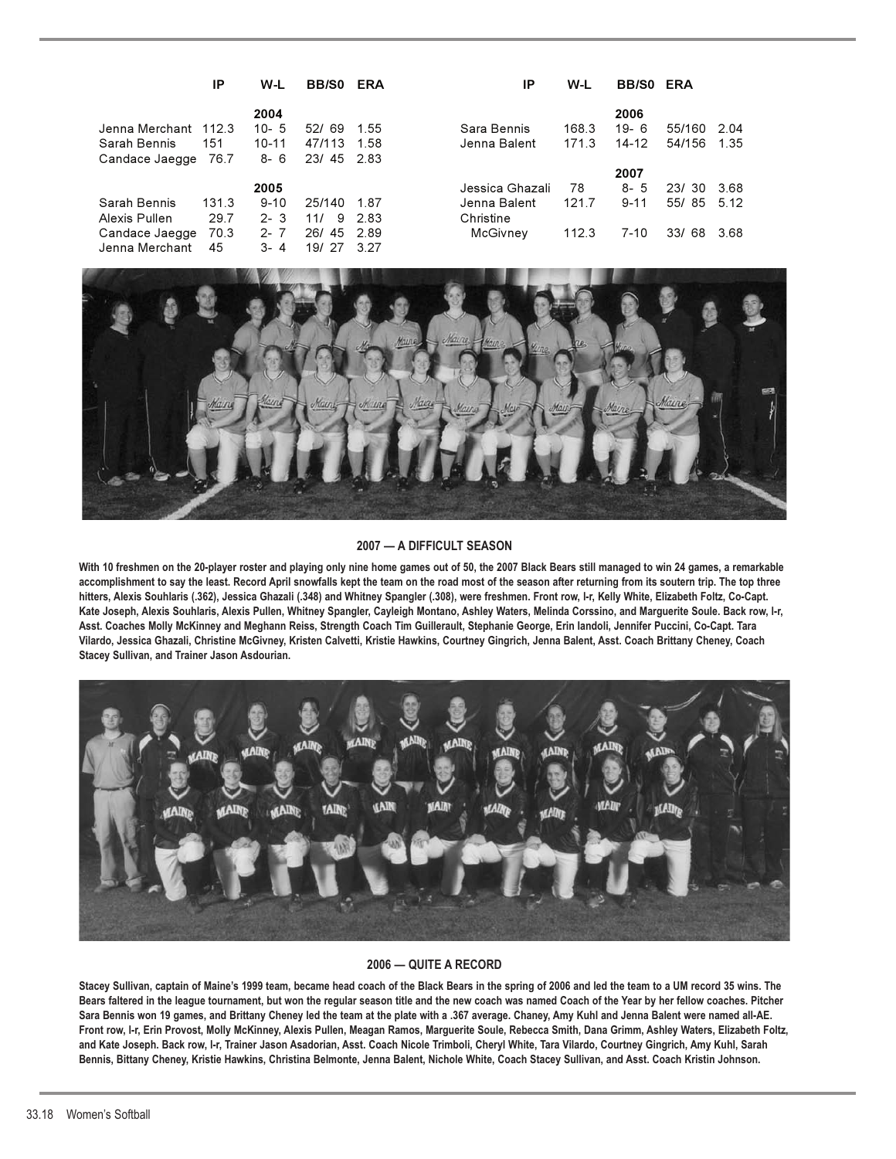|                      | ΙP    | W-L      | <b>BB/SO</b> | <b>ERA</b> | ΙP              | W-L   | <b>BB/SO ERA</b> |           |       |
|----------------------|-------|----------|--------------|------------|-----------------|-------|------------------|-----------|-------|
|                      |       | 2004     |              |            |                 |       | 2006             |           |       |
| Jenna Merchant 112.3 |       | $10 - 5$ | 52/69        | 1.55       | Sara Bennis     | 168.3 | $19 - 6$         | 55/160    | -2.04 |
| Sarah Bennis         | 151   | 10-11    | 47/113       | 1.58       | Jenna Balent    | 171.3 | 14-12            | 54/156    | 1 35  |
| Candace Jaegge       | 76.7  | $8 - 6$  | 23/45        | -2.83      |                 |       |                  |           |       |
|                      |       |          |              |            |                 |       | 2007             |           |       |
|                      |       | 2005     |              |            | Jessica Ghazali | 78    | $8 - 5$          | 23/30     | 3.68  |
| Sarah Bennis         | 131.3 | $9 - 10$ | 25/140       | 187        | Jenna Balent    | 121.7 | $9 - 11$         | 55/85     | 5.12  |
| Alexis Pullen        | 29.7  | $2 - 3$  | 9<br>11/     | 283        | Christine       |       |                  |           |       |
| Candace Jaegge       | 70.3  | $2 - 7$  | 26/<br>45    | 2.89       | McGivnev        | 112.3 | 7-10             | 33/<br>68 | 3.68  |
| Jenna Merchant       | 45    | $3 - 4$  | 19/<br>-27   | 3.27       |                 |       |                  |           |       |



#### **2007 — A DIFFICULT SEASON**

**With 10 freshmen on the 20-player roster and playing only nine home games out of 50, the 2007 Black Bears still managed to win 24 games, a remarkable accomplishment to say the least. Record April snowfalls kept the team on the road most of the season after returning from its soutern trip. The top three hitters, Alexis Souhlaris (.362), Jessica Ghazali (.348) and Whitney Spangler (.308), were freshmen. Front row, l-r, Kelly White, Elizabeth Foltz, Co-Capt. Kate Joseph, Alexis Souhlaris, Alexis Pullen, Whitney Spangler, Cayleigh Montano, Ashley Waters, Melinda Corssino, and Marguerite Soule. Back row, l-r, Asst. Coaches Molly McKinney and Meghann Reiss, Strength Coach Tim Guillerault, Stephanie George, Erin Iandoli, Jennifer Puccini, Co-Capt. Tara Vilardo, Jessica Ghazali, Christine McGivney, Kristen Calvetti, Kristie Hawkins, Courtney Gingrich, Jenna Balent, Asst. Coach Brittany Cheney, Coach Stacey Sullivan, and Trainer Jason Asdourian.** 



### **2006 — QUITE A RECORD**

**Stacey Sullivan, captain of Maine's 1999 team, became head coach of the Black Bears in the spring of 2006 and led the team to a UM record 35 wins. The Bears faltered in the league tournament, but won the regular season title and the new coach was named Coach of the Year by her fellow coaches. Pitcher Sara Bennis won 19 games, and Brittany Cheney led the team at the plate with a .367 average. Chaney, Amy Kuhl and Jenna Balent were named all-AE. Front row, l-r, Erin Provost, Molly McKinney, Alexis Pullen, Meagan Ramos, Marguerite Soule, Rebecca Smith, Dana Grimm, Ashley Waters, Elizabeth Foltz, and Kate Joseph. Back row, l-r, Trainer Jason Asadorian, Asst. Coach Nicole Trimboli, Cheryl White, Tara Vilardo, Courtney Gingrich, Amy Kuhl, Sarah Bennis, Bittany Cheney, Kristie Hawkins, Christina Belmonte, Jenna Balent, Nichole White, Coach Stacey Sullivan, and Asst. Coach Kristin Johnson.**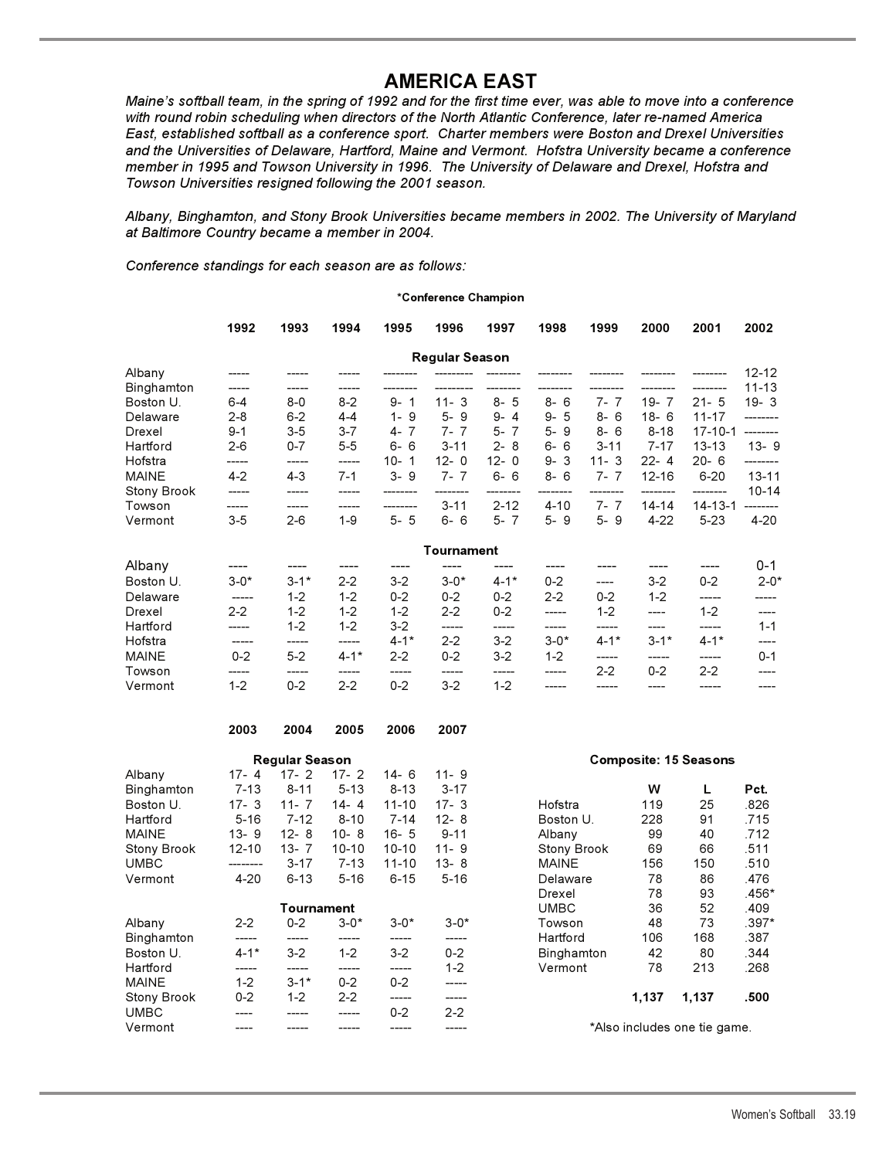**AMERICA EAST** *Maine's softball team, in the spring of 1992 and for the first time ever, was able to move into a conference with round robin scheduling when directors of the North Atlantic Conference, later re-named America East, established softball as a conference sport. Charter members were Boston and Drexel Universities and the Universities of Delaware, Hartford, Maine and Vermont. Hofstra University became a conference member in 1995 and Towson University in 1996. The University of Delaware and Drexel, Hofstra and Towson Universities resigned following the 2001 season.*

*Albany, Binghamton, and Stony Brook Universities became members in 2002. The University of Maryland at Baltimore Country became a member in 2004.*

*Conference standings for each season are as follows:*

#### **\*Conference Champion**

|                    | 1992    | 1993    | 1994    | 1995                  | 1996                  | 1997      | 1998     | 1999     | 2000      | 2001          | 2002      |
|--------------------|---------|---------|---------|-----------------------|-----------------------|-----------|----------|----------|-----------|---------------|-----------|
|                    |         |         |         |                       | <b>Regular Season</b> |           |          |          |           |               |           |
| Albany             |         |         |         |                       |                       |           |          |          |           |               | $12 - 12$ |
| Binghamton         |         |         |         |                       |                       |           |          |          |           |               | $11 - 13$ |
| Boston U.          | $6 - 4$ | $8 - 0$ | $8-2$   | 9-<br>1               | 11-<br>-3             | - 5<br>8- | $8 - 6$  | 7-       | 19-<br>-7 | $21 - 5$      | $19 - 3$  |
| Delaware           | $2 - 8$ | $6 - 2$ | $4 - 4$ | $1 - 9$               | $5 - 9$               | $9 - 4$   | $9 - 5$  | $8 - 6$  | $18 - 6$  | $11 - 17$     |           |
| Drexel             | $9 - 1$ | $3-5$   | $3 - 7$ | $4 - 7$               | $7 - 7$               | $5 - 7$   | $5 - 9$  | $8 - 6$  | $8 - 18$  | $17 - 10 - 1$ | --------  |
| Hartford           | 2-6     | $0 - 7$ | $5 - 5$ | $6 - 6$               | $3 - 11$              | $2 - 8$   | $6 - 6$  | $3 - 11$ | $7 - 17$  | $13 - 13$     | $13 - 9$  |
| Hofstra            | -----   | -----   | -----   | $10-$<br>$\mathbf{1}$ | $12 - 0$              | $12 - 0$  | $9 - 3$  | $11 - 3$ | $22 - 4$  | $20 - 6$      |           |
| <b>MAINE</b>       | $4-2$   | $4 - 3$ | 7-1     | $3 - 9$               | $7 - 7$               | $6 - 6$   | $8 - 6$  | 7-       | $12 - 16$ | $6 - 20$      | $13 - 11$ |
| <b>Stony Brook</b> |         |         |         |                       |                       |           |          |          |           | -------       | $10 - 14$ |
| Towson             |         |         |         |                       | $3 - 11$              | $2 - 12$  | $4 - 10$ | $7-$     | 14-14     | $14 - 13 - 1$ |           |
| Vermont            | $3 - 5$ | $2 - 6$ | 1-9     | $5 - 5$               | $6 - 6$               | $5 - 7$   | $5 - 9$  | $5 - 9$  | $4 - 22$  | $5-23$        | $4 - 20$  |

| Tournament   |          |          |          |          |          |          |          |          |          |          |          |
|--------------|----------|----------|----------|----------|----------|----------|----------|----------|----------|----------|----------|
| Albany       |          |          |          |          |          |          |          |          |          |          | $0 - 1$  |
| Boston U.    | $3 - 0*$ | $3 - 1*$ | $2 - 2$  | $3-2$    | $3 - 0*$ | $4 - 1*$ | $0 - 2$  | ----     | $3-2$    | $0 - 2$  | $2 - 0*$ |
| Delaware     | -----    | $1 - 2$  | $1 - 2$  | $0 - 2$  | $0 - 2$  | $0 - 2$  | $2 - 2$  | $0 - 2$  | $1 - 2$  | -----    |          |
| Drexel       | $2 - 2$  | $1 - 2$  | $1 - 2$  | $1 - 2$  | $2 - 2$  | $0 - 2$  |          | 1-2      | ----     | $1 - 2$  |          |
| Hartford     | -----    | $1 - 2$  | $1 - 2$  | $3-2$    | -----    |          |          |          |          | -----    | $1 - 1$  |
| Hofstra      |          |          | -----    | $4 - 1*$ | $2-2$    | $3-2$    | $3 - 0*$ | $4 - 1*$ | $3 - 1*$ | $4 - 1*$ |          |
| <b>MAINE</b> | $0 - 2$  | $5 - 2$  | $4 - 1*$ | $2 - 2$  | $0 - 2$  | $3-2$    | $1 - 2$  | -----    |          | -----    | $0 - 1$  |
| Towson       |          |          |          |          |          |          | -----    | $2 - 2$  | $0 - 2$  | $2-2$    |          |
| Vermont      | $1 - 2$  | $0 - 2$  | $2-2$    | $0 - 2$  | $3-2$    | 1-2      | -----    |          |          |          |          |

|                    | 2003      | 2004                  | 2005      | 2006      | 2007     |                    |       |                              |       |
|--------------------|-----------|-----------------------|-----------|-----------|----------|--------------------|-------|------------------------------|-------|
|                    |           | <b>Regular Season</b> |           |           |          |                    |       | <b>Composite: 15 Seasons</b> |       |
| Albany             | $17 - 4$  | $17 - 2$              | $17 - 2$  | $14 - 6$  | $11 - 9$ |                    |       |                              |       |
| Binghamton         | $7 - 13$  | $8 - 11$              | $5 - 13$  | $8 - 13$  | $3 - 17$ |                    | w     |                              | Pct.  |
| Boston U.          | $17 - 3$  | 11 - $7$              | $14 - 4$  | $11 - 10$ | $17 - 3$ | Hofstra            | 119   | 25                           | .826  |
| Hartford           | $5 - 16$  | $7 - 12$              | $8 - 10$  | $7 - 14$  | $12 - 8$ | Boston U.          | 228   | 91                           | .715  |
| MAINE              | $13 - 9$  | $12 - 8$              | $10 - 8$  | $16 - 5$  | $9 - 11$ | Albany             | 99    | 40                           | .712  |
| <b>Stony Brook</b> | $12 - 10$ | $13 - 7$              | $10 - 10$ | $10 - 10$ | $11 - 9$ | <b>Stony Brook</b> | 69    | 66                           | .511  |
| UMBC               | --------  | $3 - 17$              | $7 - 13$  | $11 - 10$ | $13 - 8$ | <b>MAINE</b>       | 156   | 150                          | .510  |
| Vermont            | $4 - 20$  | $6 - 13$              | $5 - 16$  | $6 - 15$  | $5 - 16$ | Delaware           | 78    | 86                           | .476  |
|                    |           |                       |           |           |          | Drexel             | 78    | 93                           | .456* |
|                    |           | Tournament            |           |           |          | <b>UMBC</b>        | 36    | 52                           | .409  |
| Albany             | $2 - 2$   | $0 - 2$               | $3 - 0*$  | $3 - 0*$  | $3 - 0*$ | Towson             | 48    | 73                           | .397* |
| Binghamton         | -----     | -----                 | -----     | -----     |          | Hartford           | 106   | 168                          | .387  |
| Boston U.          | $4 - 1*$  | $3-2$                 | $1 - 2$   | $3-2$     | $0 - 2$  | Binghamton         | 42    | 80                           | .344  |
| Hartford           | -----     |                       |           | -----     | $1 - 2$  | Vermont            | 78    | 213                          | .268  |
| MAINE              | $1 - 2$   | $3 - 1*$              | $0 - 2$   | $0 - 2$   | -----    |                    |       |                              |       |
| <b>Stony Brook</b> | $0 - 2$   | $1 - 2$               | $2-2$     | -----     | -----    |                    | 1,137 | 1,137                        | .500  |
| UMBC               |           |                       |           | $0 - 2$   | $2 - 2$  |                    |       |                              |       |
| Vermont            |           |                       |           |           | -----    |                    |       | *Also includes one tie game. |       |

| $8 - 11$   | $5 - 13$  | $8 - 13$  | $3 - 17$ |                    | w     |       | Pct.    |
|------------|-----------|-----------|----------|--------------------|-------|-------|---------|
| $11 - 7$   | $14 - 4$  | $11 - 10$ | $17 - 3$ | Hofstra            | 119   | 25    | .826    |
| $7 - 12$   | $8 - 10$  | $7 - 14$  | $12 - 8$ | Boston U.          | 228   | 91    | .715    |
| $12 - 8$   | $10 - 8$  | $16 - 5$  | $9 - 11$ | Albany             | 99    | 40    | .712    |
| 13-7       | $10 - 10$ | $10 - 10$ | $11 - 9$ | <b>Stony Brook</b> | 69    | 66    | .511    |
| $3 - 17$   | $7 - 13$  | $11 - 10$ | $13 - 8$ | <b>MAINE</b>       | 156   | 150   | .510    |
| $6 - 13$   | $5 - 16$  | $6 - 15$  | $5 - 16$ | Delaware           | 78    | 86    | .476    |
|            |           |           |          | Drexel             | 78    | 93    | $.456*$ |
| Tournament |           |           |          | <b>UMBC</b>        | 36    | 52    | .409    |
| $0 - 2$    | $3 - 0*$  | $3 - 0*$  | $3 - 0*$ | Towson             | 48    | 73    | $.397*$ |
|            |           |           |          | Hartford           | 106   | 168   | .387    |
| $3-2$      | $1 - 2$   | $3-2$     | $0 - 2$  | Binghamton         | 42    | 80    | .344    |
| -----      |           | -----     | $1 - 2$  | Vermont            | 78    | 213   | .268    |
| $3 - 1*$   | $0 - 2$   | $0 - 2$   |          |                    |       |       |         |
| $1 - 2$    | $2 - 2$   |           |          |                    | 1,137 | 1.137 | .500    |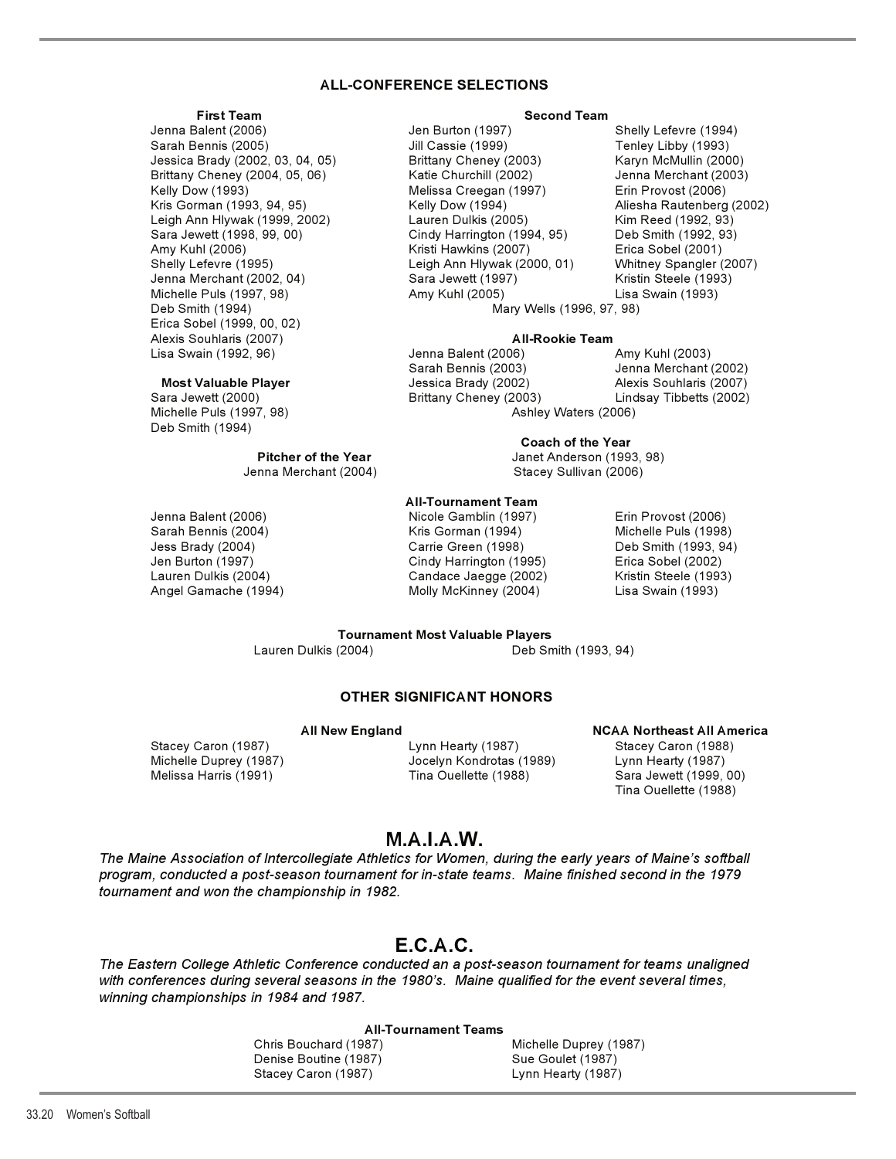# **ALL-CONFERENCE SELECTIONS**

 Sarah Bennis (2005) Jill Cassie (1999) Tenley Libby (1993) Jessica Brady (2002, 03, 04, 05) Brittany Cheney (2003) Karyn McMullin (2000) Brittany Cheney (2004, 05, 06) Katie Churchill (2002) Jenna Merchant (2003) Kelly Dow (1993) Melissa Creegan (1997) Erin Provost (2006) Kris Gorman (1993, 94, 95) Kelly Dow (1994) Aliesha Rautenberg (2002) Leigh Ann Hlywak (1999, 2002) Lauren Dulkis (2005) Kim Reed (1992, 93) Sara Jewett (1998, 99, 00) Cindy Harrington (1994, 95) Deb Smith (1992, 93) Amy Kuhl (2006) Kristi Hawkins (2007) Erica Sobel (2001) Shelly Lefevre (1995) Leigh Ann Hlywak (2000, 01) Whitney Spangler (2007) Michelle Puls (1997, 98) Amy Kuhl (2005) Lisa Swain (1993) Deb Smith (1994) Mary Wells (1996, 97, 98) Erica Sobel (1999, 00, 02) Alexis Souhlaris (2007) **All-Rookie Team** Lisa Swain (1992, 96) Jenna Balent (2006) Amy Kuhl (2003)

 Michelle Puls (1997, 98) Ashley Waters (2006) Deb Smith (1994)

#### **First Team Second Team**

Jenna Balent (2006) Jen Burton (1997) Shelly Lefevre (1994) Jenna Merchant (2002, 04) Sara Jewett (1997) Kristin Steele (1993)

 Sarah Bennis (2003) Jenna Merchant (2002) **Most Valuable Player Alexis Souhlaris (2007) Most Valuable Player** Jessica Brady (2002) **Alexis Souhlaris (2007)** Sara Jewett (2000) Brittany Cheney (2003) Lindsay Tibbetts (2002)

#### **Coach of the Year**

**Pitcher of the Year** Janet Anderson (1993, 98) Jenna Merchant (2004) Stacey Sullivan (2006)

#### **All-Tournament Team**

Jenna Balent (2006) Nicole Gamblin (1997) Erin Provost (2006) Sarah Bennis (2004) Kris Gorman (1994) Michelle Puls (1998) Jess Brady (2004) Carrie Green (1998) Deb Smith (1993, 94) Cindy Harrington (1995) Lauren Dulkis (2004) Candace Jaegge (2002) Kristin Steele (1993) Angel Gamache (1994) Molly McKinney (2004) Lisa Swain (1993)

**Tournament Most Valuable Players<br>Lauren Dulkis (2004)** Deb Sn Deb Smith (1993, 94)

# **OTHER SIGNIFICANT HONORS**

Stacey Caron (1987) Lynn Hearty (1987) Stacey Caron (1988) Michelle Duprey (1987) Jocelyn Kondrotas (1989) Lynn Hearty (1987)

# All New England **NGAA Northeast All America** Melissa Harris (1991) Tina Ouellette (1988) Sara Jewett (1999, 00) Tina Ouellette (1988)

# **M.A.I.A.W.**

*The Maine Association of Intercollegiate Athletics for Women, during the early years of Maine's softball program, conducted a post-season tournament for in-state teams. Maine finished second in the 1979 tournament and won the championship in 1982.*

# **E.C.A.C.**

*The Eastern College Athletic Conference conducted an a post-season tournament for teams unaligned with conferences during several seasons in the 1980's. Maine qualified for the event several times, winning championships in 1984 and 1987.*

#### **All-Tournament Teams**

Chris Bouchard (1987) Michelle Duprey (1987) Denise Boutine (1987) Sue Goulet (1987) Stacey Caron (1987) **Lynn Hearty (1987)**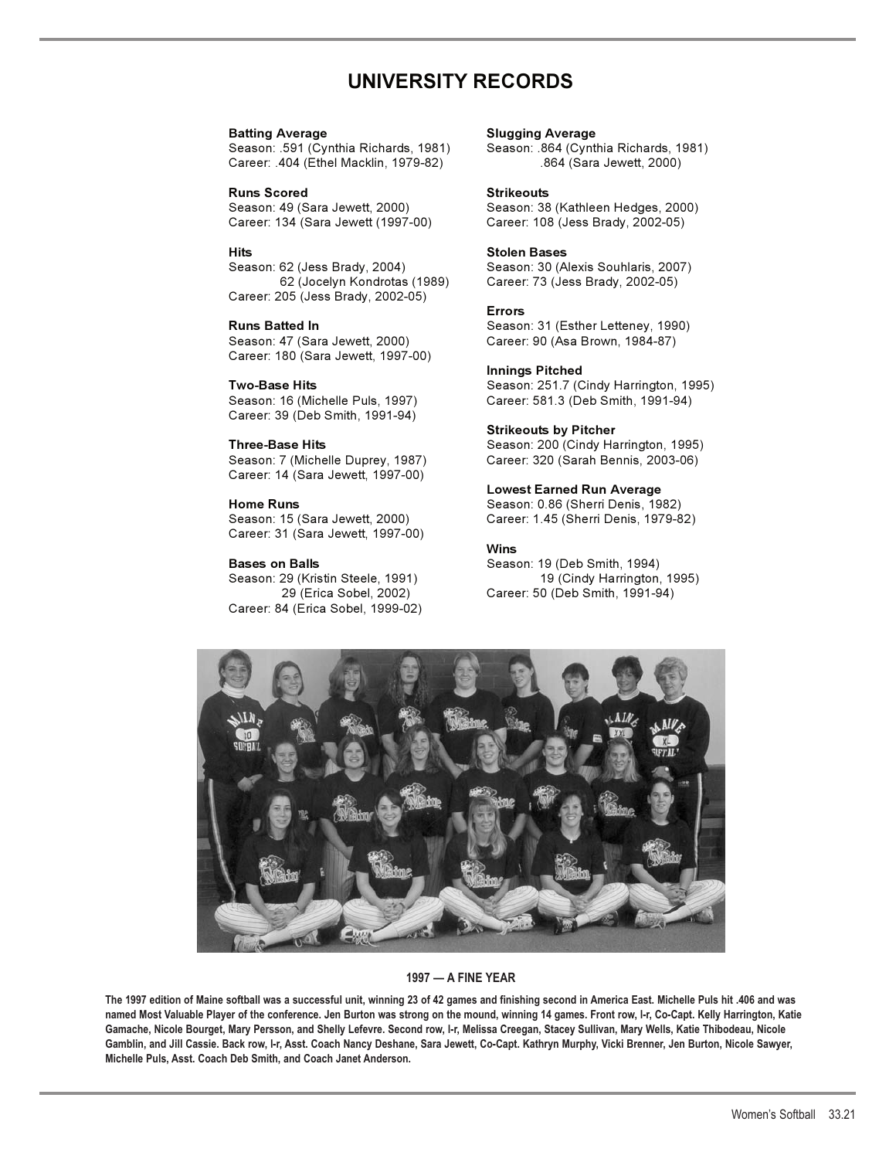# **UNIVERSITY RECORDS**

**Batting Average Slugging Average**  Season: .591 (Cynthia Richards, 1981) Career: .404 (Ethel Macklin, 1979-82) .864 (Sara Jewett, 2000)

**Runs Scored 6 Exercise Strikeouts**<br>
Season: 49 (Sara Jewett, 2000) Season: 38 Career: 134 (Sara Jewett (1997-00) Career: 108 (Jess Brady, 2002-05)

**Hits Stolen Bases**<br>
Season: 62 (Jess Brady, 2004) Season: 30 (A Career: 205 (Jess Brady, 2002-05)

Career: 180 (Sara Jewett, 1997-00)

Career: 39 (Deb Smith, 1991-94)

Career: 14 (Sara Jewett, 1997-00)

Career: 31 (Sara Jewett, 1997-00)

Season: 29 (Kristin Steele, 1991) Career: 84 (Erica Sobel, 1999-02)

Season: 38 (Kathleen Hedges, 2000)

Season: 30 (Alexis Souhlaris, 2007) 62 (Jocelyn Kondrotas (1989) Career: 73 (Jess Brady, 2002-05)

#### **Errors**

**Runs Batted In** Season: 31 (Esther Letteney, 1990) Season: 47 (Sara Jewett, 2000) Career: 90 (Asa Brown, 1984-87)

#### **Innings Pitched**

**Two-Base Hits** Season: 251.7 (Cindy Harrington, 1995) Season: 16 (Michelle Puls, 1997) Career: 581.3 (Deb Smith, 1991-94)

#### **Strikeouts by Pitcher**

**Three-Base Hits** Season: 200 (Cindy Harrington, 1995) Season: 7 (Michelle Duprey, 1987) Career: 320 (Sarah Bennis, 2003-06)

#### **Lowest Earned Run Average**

**Home Runs** Season: 0.86 (Sherri Denis, 1982) Career: 1.45 (Sherri Denis, 1979-82)

## **Wins**

**Bases on Balls** Season: 19 (Deb Smith, 1994) 29 (Erica Sobel, 2002) Career: 50 (Deb Smith, 1991-94)



#### **1997 — A FINE YEAR**

**The 1997 edition of Maine softball was a successful unit, winning 23 of 42 games and finishing second in America East. Michelle Puls hit .406 and was named Most Valuable Player of the conference. Jen Burton was strong on the mound, winning 14 games. Front row, l-r, Co-Capt. Kelly Harrington, Katie Gamache, Nicole Bourget, Mary Persson, and Shelly Lefevre. Second row, l-r, Melissa Creegan, Stacey Sullivan, Mary Wells, Katie Thibodeau, Nicole Gamblin, and Jill Cassie. Back row, l-r, Asst. Coach Nancy Deshane, Sara Jewett, Co-Capt. Kathryn Murphy, Vicki Brenner, Jen Burton, Nicole Sawyer, Michelle Puls, Asst. Coach Deb Smith, and Coach Janet Anderson.**